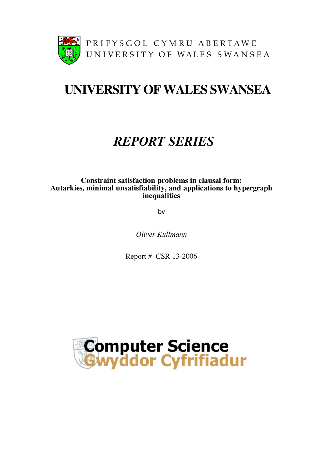

# **UNIVERSITY OFWALES SWANSEA**

## *REPORT SERIES*

## **Constraint satisfaction problems in clausal form: Autarkies, minimal unsatisfiability, and applications to hypergraph inequalities**

by

*Oliver Kullmann*

Report # CSR 13-2006

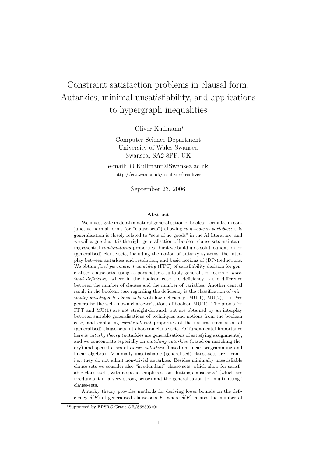## Constraint satisfaction problems in clausal form: Autarkies, minimal unsatisfiability, and applications to hypergraph inequalities

Oliver Kullmann<sup>∗</sup>

Computer Science Department University of Wales Swansea Swansea, SA2 8PP, UK

e-mail: O.Kullmann@Swansea.ac.uk http://cs.swan.ac.uk/ csoliver/~csoliver

September 23, 2006

#### Abstract

We investigate in depth a natural generalisation of boolean formulas in conjunctive normal forms (or "clause-sets") allowing non-boolean variables; this generalisation is closely related to "sets of no-goods" in the AI literature, and we will argue that it is the right generalisation of boolean clause-sets maintaining essential combinatorial properties. First we build up a solid foundation for (generalised) clause-sets, including the notion of autarky systems, the interplay between autarkies and resolution, and basic notions of (DP-)reductions. We obtain *fixed parameter tractability* (FPT) of satisfiability decision for generalised clause-sets, using as parameter a suitably generalised notion of maximal deficiency, where in the boolean case the deficiency is the difference between the number of clauses and the number of variables. Another central result in the boolean case regarding the deficiency is the classification of  $min$ *imally unsatisfiable clause-sets* with low deficiency  $(MU(1), MU(2), ...)$ . We generalise the well-known characterisations of boolean MU(1). The proofs for FPT and MU(1) are not straight-forward, but are obtained by an interplay between suitable generalisations of techniques and notions from the boolean case, and exploiting combinatorial properties of the natural translation of (generalised) clause-sets into boolean clause-sets. Of fundamental importance here is *autarky theory* (autarkies are generalisations of satisfying assignments), and we concentrate especially on *matching autarkies* (based on matching theory) and special cases of linear autarkies (based on linear programming and linear algebra). Minimally unsatisfiable (generalised) clause-sets are "lean", i.e., they do not admit non-trivial autarkies. Besides minimally unsatisfiable clause-sets we consider also "irredundant" clause-sets, which allow for satisfiable clause-sets, with a special emphasise on "hitting clause-sets" (which are irredundant in a very strong sense) and the generalisation to "multihitting" clause-sets.

Autarky theory provides methods for deriving lower bounds on the deficiency  $\delta(F)$  of generalised clause-sets F, where  $\delta(F)$  relates the number of

<sup>∗</sup>Supported by EPSRC Grant GR/S58393/01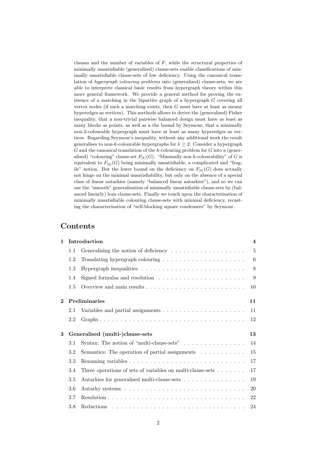clauses and the number of variables of  $F$ , while the structural properties of minimally unsatisfiable (generalised) clause-sets enable classifications of minimally unsatisfiable clause-sets of low deficiency. Using the canonical translation of hypergraph colouring problems into (generalised) clause-sets, we are able to interprete classical basic results from hypergraph theory within this more general framework. We provide a general method for proving the existence of a matching in the bipartite graph of a hypergraph G covering all vertex nodes (if such a matching exists, then  $G$  must have at least as meany hyperedges as vertices). This methods allows to derive the (generalised) Fisher inequality, that a non-trivial pairwise balanced design must have as least as many blocks as points, as well as a the bound by Seymour, that a minimally non-2-colourable hypergraph must have at least as many hyperedges as vertices. Regarding Seymour's inequality, without any additional work the result generalises to non-k-colourable hypergraphs for  $k \geq 2$ : Consider a hypergraph  $G$  and the canonical translation of the  $k$ -colouring problem for  $G$  into a (generalised) "colouring" clause-set  $F_{[k]}(G)$ . "Minimally non k-colourability" of G is equivalent to  $F_{[k]}(G)$  being minimally unsatisfiable, a complicated and "fragile" notion. But the lower bound on the deficiency on  $F_{[k]}(G)$  does actually not hinge on the minimal unsatisfiability, but only on the absence of a special class of linear autarkies (namely "balanced linear autarkies"), and so we can use the "smooth" generalisation of minimally unsatisfiable clause-sets by (balanced linearly) lean clause-sets. Finally we touch upon the characterisation of minimally unsatisfiable colouring clause-sets with minimal deficiency, recasting the characterisation of "self-blocking square condensers" by Seymour.

## Contents

| $\mathbf{1}$   | Introduction                          |                                                                                |    |  |  |
|----------------|---------------------------------------|--------------------------------------------------------------------------------|----|--|--|
|                | 1.1                                   | Generalising the notion of deficiency $\dots \dots \dots \dots \dots \dots$    | 5  |  |  |
|                | 1.2                                   | Translating hypergraph colouring $\dots \dots \dots \dots \dots \dots \dots$   | 6  |  |  |
|                | 1.3                                   |                                                                                | 8  |  |  |
|                | 1.4                                   | Signed formulas and resolution $\dots \dots \dots \dots \dots \dots \dots$     | 9  |  |  |
|                | 1.5                                   |                                                                                | 10 |  |  |
| $\overline{2}$ |                                       | <b>Preliminaries</b>                                                           | 11 |  |  |
|                | 2.1                                   |                                                                                | 11 |  |  |
|                | 2.2                                   |                                                                                | 12 |  |  |
| 3              | Generalised (multi-)clause-sets<br>13 |                                                                                |    |  |  |
|                | 3.1                                   | Syntax: The notion of "multi-clause-sets" $\ldots \ldots \ldots \ldots \ldots$ | 14 |  |  |
|                | 3.2                                   | Semantics: The operation of partial assignments $\ldots \ldots \ldots$         | 15 |  |  |
|                | 3.3                                   |                                                                                | 17 |  |  |
|                | 3.4                                   | Three operations of sets of variables on multi-clause-sets $\dots \dots$       | 17 |  |  |
|                | 3.5                                   | Autarkies for generalised multi-clause-sets                                    | 19 |  |  |
|                | 3.6                                   |                                                                                | 20 |  |  |
|                | 3.7                                   |                                                                                | 22 |  |  |
|                | $3.8\,$                               |                                                                                | 24 |  |  |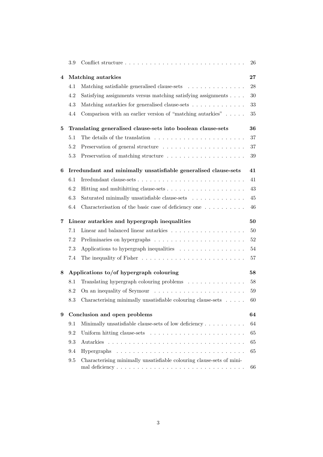|   | $3.9\,$                                                      |                                                                                  | 26 |  |  |
|---|--------------------------------------------------------------|----------------------------------------------------------------------------------|----|--|--|
| 4 |                                                              | Matching autarkies                                                               |    |  |  |
|   | 4.1                                                          | Matching satisfiable generalised clause-sets                                     | 28 |  |  |
|   | 4.2                                                          | Satisfying assignments versus matching satisfying assignments                    | 30 |  |  |
|   | 4.3                                                          | Matching autarkies for generalised clause-sets                                   | 33 |  |  |
|   | 4.4                                                          | Comparison with an earlier version of "matching autarkies" $\dots$ .             | 35 |  |  |
| 5 | Translating generalised clause-sets into boolean clause-sets |                                                                                  |    |  |  |
|   | 5.1                                                          | The details of the translation $\dots \dots \dots \dots \dots \dots \dots \dots$ | 37 |  |  |
|   | 5.2                                                          |                                                                                  | 37 |  |  |
|   | 5.3                                                          |                                                                                  | 39 |  |  |
| 6 |                                                              | Irredundant and minimally unsatisfiable generalised clause-sets                  | 41 |  |  |
|   | 6.1                                                          |                                                                                  | 41 |  |  |
|   | 6.2                                                          |                                                                                  | 43 |  |  |
|   | 6.3                                                          | Saturated minimally unsatisfiable clause-sets                                    | 45 |  |  |
|   | 6.4                                                          | Characterisation of the basic case of deficiency one                             | 46 |  |  |
| 7 |                                                              | Linear autarkies and hypergraph inequalities                                     | 50 |  |  |
|   | 7.1                                                          |                                                                                  | 50 |  |  |
|   | 7.2                                                          |                                                                                  | 52 |  |  |
|   | 7.3                                                          | Applications to hypergraph inequalities                                          | 54 |  |  |
|   | 7.4                                                          |                                                                                  | 57 |  |  |
| 8 |                                                              | Applications to/of hypergraph colouring                                          | 58 |  |  |
|   | 8.1                                                          | Translating hypergraph colouring problems $\ldots \ldots \ldots \ldots$          | 58 |  |  |
|   | 8.2                                                          |                                                                                  | 59 |  |  |
|   | 8.3                                                          | Characterising minimally unsatisfiable colouring clause-sets $\ldots$ .          | 60 |  |  |
| 9 | Conclusion and open problems                                 |                                                                                  |    |  |  |
|   | 9.1                                                          | Minimally unsatisfiable clause-sets of low deficiency                            | 64 |  |  |
|   | 9.2                                                          |                                                                                  | 65 |  |  |
|   | 9.3                                                          |                                                                                  | 65 |  |  |
|   | 9.4                                                          |                                                                                  | 65 |  |  |
|   | 9.5                                                          | Characterising minimally unsatisfiable colouring clause-sets of mini-            | 66 |  |  |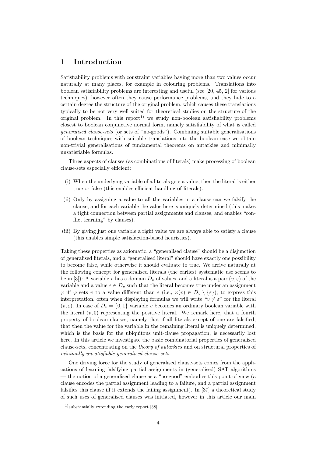## 1 Introduction

Satisfiability problems with constraint variables having more than two values occur naturally at many places, for example in colouring problems. Translations into boolean satisfiability problems are interesting and useful (see [20, 45, 2] for various techniques), however often they cause performance problems, and they hide to a certain degree the structure of the original problem, which causes these translations typically to be not very well suited for theoretical studies on the structure of the original problem. In this report<sup>1)</sup> we study non-boolean satisfiability problems closest to boolean conjunctive normal form, namely satisfiability of what is called generalised clause-sets (or sets of "no-goods"). Combining suitable generalisations of boolean techniques with suitable translations into the boolean case we obtain non-trivial generalisations of fundamental theorems on autarkies and minimally unsatisfiable formulas.

Three aspects of clauses (as combinations of literals) make processing of boolean clause-sets especially efficient:

- (i) When the underlying variable of a literals gets a value, then the literal is either true or false (this enables efficient handling of literals).
- (ii) Only by assigning a value to all the variables in a clause can we falsify the clause, and for each variable the value here is uniquely determined (this makes a tight connection between partial assignments and clauses, and enables "conflict learning" by clauses).
- (iii) By giving just one variable a right value we are always able to satisfy a clause (this enables simple satisfaction-based heuristics).

Taking these properties as axiomatic, a "generalised clause" should be a disjunction of generalised literals, and a "generalised literal" should have exactly one possibility to become false, while otherwise it should evaluate to true. We arrive naturally at the following concept for generalised literals (the earliest systematic use seems to be in [3]): A variable v has a domain  $D_v$  of values, and a literal is a pair  $(v, \varepsilon)$  of the variable and a value  $\varepsilon \in D_v$  such that the literal becomes true under an assignment  $\varphi$  iff  $\varphi$  sets v to a value different than  $\varepsilon$  (i.e.,  $\varphi(v) \in D_v \setminus {\varepsilon}$ ); to express this interpretation, often when displaying formulas we will write " $v \neq \varepsilon$ " for the literal  $(v, \varepsilon)$ . In case of  $D_v = \{0, 1\}$  variable v becomes an ordinary boolean variable with the literal  $(v, 0)$  representing the positive literal. We remark here, that a fourth property of boolean clauses, namely that if all literals except of one are falsified, that then the value for the variable in the remaining literal is uniquely determined, which is the basis for the ubiquitous unit-clause propagation, is necessarily lost here. In this article we investigate the basic combinatorial properties of generalised clause-sets, concentrating on the theory of autarkies and on structural properties of minimally unsatisfiable generalised clause-sets.

One driving force for the study of generalised clause-sets comes from the applications of learning falsifying partial assignments in (generalised) SAT algorithms — the notion of a generalised clause as a "no-good" embodies this point of view (a clause encodes the partial assignment leading to a failure, and a partial assignment falsifies this clause iff it extends the failing assignment). In [37] a theoretical study of such uses of generalised clauses was initiated, however in this article our main

<sup>&</sup>lt;sup>1)</sup>substantially extending the early report [38]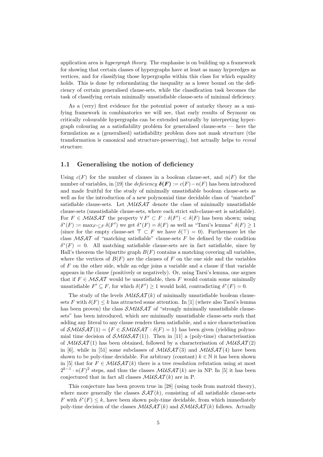application area is hypergraph theory. The emphasise is on building up a framework for showing that certain classes of hypergraphs have at least as many hyperedges as vertices, and for classifying those hypergraphs within this class for which equality holds. This is done by reformulating the inequality as a lower bound on the deficiency of certain generalised clause-sets, while the classification task becomes the task of classifying certain minimally unsatisfiable clause-sets of minimal deficiency.

As a (very) first evidence for the potential power of autarky theory as a unifying framework in combinatorics we will see, that early results of Seymour on critically colourable hypergraphs can be extended naturally by interpreting hypergraph colouring as a satisfiability problem for generalised clause-sets — here the formulation as a (generalised) satisfiability problem does not mask structure (the transformation is canonical and structure-preserving), but actually helps to reveal structure.

#### 1.1 Generalising the notion of deficiency

Using  $c(F)$  for the number of clauses in a boolean clause-set, and  $n(F)$  for the number of variables, in [19] the deficiency  $\delta(\mathbf{F}) := c(\mathbf{F}) - n(\mathbf{F})$  has been introduced and made fruitful for the study of minimally unsatisfiable boolean clause-sets as well as for the introduction of a new polynomial time decidable class of "matched" satisfiable clause-sets. Let  $\mathcal{M} \mathcal{U} \mathcal{S} \mathcal{A} \mathcal{T}$  denote the class of minimally unsatisfiable clause-sets (unsatisfiable clause-sets, where each strict sub-clause-set is satisfiable). For  $F \in \mathcal{M} \cup \mathcal{S} \mathcal{A}$  the property  $\forall F' \subset F : \delta(F') < \delta(F)$  has been shown; using  $\delta^*(F) := \max_{F' \subseteq F} \delta(F')$  we get  $\delta^*(F) = \delta(F)$  as well as "Tarsi's lemma"  $\delta(F) \ge 1$ (since for the empty clause-set  $\top \subset F$  we have  $\delta(\top) = 0$ ). Furthermore let the class  $MSAT$  of "matching satisfiable" clause-sets F be defined by the condition  $\delta^*(F) = 0$ . All matching satisfiable clause-sets are in fact satisfiable, since by Hall's theorem the bipartite graph  $B(F)$  contains a matching covering all variables, where the vertices of  $B(F)$  are the clauses of F on the one side and the variables of  $F$  on the other side, while an edge joins a variable and a clause if that variable appears in the clause (positively or negatively). Or, using Tarsi's lemma, one argues that if  $F \in \mathcal{MSAT}$  would be unsatisfiable, then F would contain some minimally unsatisfiable  $F' \subseteq F$ , for which  $\delta(F') \geq 1$  would hold, contradicting  $\delta^*(F) = 0$ .

The study of the levels  $\mathcal{M} \mathcal{U} \mathcal{S} \mathcal{A} \mathcal{T}(k)$  of minimally unsatisfiable boolean clausesets F with  $\delta(F) \leq k$  has attracted some attention. In [1] (where also Tarsi's lemma has been proven) the class  $\mathcal{SMUSAT}$  of "strongly minimally unsatisfiable clausesets" has been introduced, which are minimally unsatisfiable clause-sets such that adding any literal to any clause renders them satisfiable, and a nice characterisation of  $\mathcal{SMUSAT}(1) = \{F \in \mathcal{SMUSAT} : \delta(F) = 1\}$  has been given (yielding polynomial time decision of  $\mathcal{SMUSAT}(1)$ ). Then in [11] a (poly-time) characterisation of  $\mathcal{M} \mathcal{U} \mathcal{S} \mathcal{A} \mathcal{T} (1)$  has been obtained, followed by a characterisation of  $\mathcal{M} \mathcal{U} \mathcal{S} \mathcal{A} \mathcal{T} (2)$ in [6], while in [51] some subclasses of  $\mathcal{M} \mathcal{U} \mathcal{S} \mathcal{A} \mathcal{T}(3)$  and  $\mathcal{M} \mathcal{U} \mathcal{S} \mathcal{A} \mathcal{T}(4)$  have been shown to be poly-time decidable. For arbitrary (constant)  $k \in \mathbb{N}$  it has been shown in [5] that for  $F \in \mathcal{M} \mathcal{U} \mathcal{S} \mathcal{A} \mathcal{T}(k)$  there is a tree resolution refutation using at most  $2^{k-1} \cdot n(F)^2$  steps, and thus the classes  $\mathcal{M} \mathcal{U} \mathcal{S} \mathcal{A} \mathcal{T}(k)$  are in NP. In [5] it has been conjectured that in fact all classes  $\mathcal{M} \mathcal{U} \mathcal{S} \mathcal{A} \mathcal{T}(k)$  are in P.

This conjecture has been proven true in [28] (using tools from matroid theory), where more generally the classes  $\mathcal{SAT}(k)$ , consisting of all satisfiable clause-sets F with  $\delta^*(F) \leq k$ , have been shown poly-time decidable, from which immediately poly-time decision of the classes  $\mathcal{M} \mathcal{U} \mathcal{S} \mathcal{A} \mathcal{T}(k)$  and  $\mathcal{S} \mathcal{M} \mathcal{U} \mathcal{S} \mathcal{A} \mathcal{T}(k)$  follows. Actually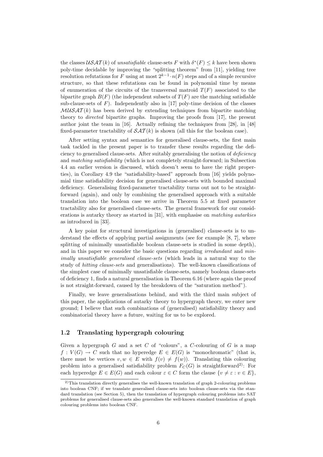the classes  $\mathcal{USAT}(k)$  of unsatisfiable clause-sets F with  $\delta^*(F) \leq k$  have been shown poly-time decidable by improving the "splitting theorem" from [11], yielding tree resolution refutations for F using at most  $2^{k-1} \cdot n(F)$  steps and of a simple recursive structure, so that these refutations can be found in polynomial time by means of enumeration of the circuits of the transversal matroid  $T(F)$  associated to the bipartite graph  $B(F)$  (the independent subsets of  $T(F)$  are the matching satisfiable sub-clause-sets of  $F$ ). Independently also in [17] poly-time decision of the classes  $MUSAT(k)$  has been derived by extending techniques from bipartite matching theory to directed bipartite graphs. Improving the proofs from [17], the present author joint the team in [16]. Actually refining the techniques from [28], in [48] fixed-parameter tractability of  $\mathcal{SAT}(k)$  is shown (all this for the boolean case).

After setting syntax and semantics for generalised clause-sets, the first main task tackled in the present paper is to transfer these results regarding the deficiency to generalised clause-sets. After suitably generalising the notion of deficiency and matching satisfiability (which is not completely straight-forward; in Subsection 4.4 an earlier version is discussed, which doesn't seem to have the right properties), in Corollary 4.9 the "satisfiability-based" approach from [16] yields polynomial time satisfiability decision for generalised clause-sets with bounded maximal deficiency. Generalising fixed-parameter tractability turns out not to be straightforward (again), and only by combining the generalised approach with a suitable translation into the boolean case we arrive in Theorem 5.5 at fixed parameter tractability also for generalised clause-sets. The general framework for our considerations is autarky theory as started in [31], with emphasise on matching autarkies as introduced in [33].

A key point for structural investigations in (generalised) clause-sets is to understand the effects of applying partial assignments (see for example [8, 7], where splitting of minimally unsatisfiable boolean clause-sets is studied in some depth), and in this paper we consider the basic questions regarding *irredundant* and *min*imally unsatisfiable generalised clause-sets (which leads in a natural way to the study of hitting clause-sets and generalisations). The well-known classifications of the simplest case of minimally unsatisfiable clause-sets, namely boolean clause-sets of deficiency 1, finds a natural generalisation in Theorem 6.16 (where again the proof is not straight-forward, caused by the breakdown of the "saturation method").

Finally, we leave generalisations behind, and with the third main subject of this paper, the applications of autarky theory to hypergraph theory, we enter new ground; I believe that such combinations of (generalised) satisfiability theory and combinatorial theory have a future, waiting for us to be explored.

#### 1.2 Translating hypergraph colouring

Given a hypergraph  $G$  and a set  $C$  of "colours", a  $C$ -colouring of  $G$  is a map  $f: V(G) \to C$  such that no hyperedge  $E \in E(G)$  is "monochromatic" (that is, there must be vertices  $v, w \in E$  with  $f(v) \neq f(w)$ . Translating this colouring problem into a generalised satisfiability problem  $F_C(G)$  is straightforward<sup>2)</sup>: For each hyperedge  $E \in E(G)$  and each colour  $\varepsilon \in C$  form the clause  $\{v \neq \varepsilon : v \in E\},\$ 

<sup>&</sup>lt;sup>2)</sup>This translation directly generalises the well-known translation of graph 2-colouring problems into boolean CNF; if we translate generalised clause-sets into boolean clause-sets via the standard translation (see Section 5), then the translation of hypergraph colouring problems into SAT problems for generalised clause-sets also generalises the well-known standard translation of graph colouring problems into boolean CNF.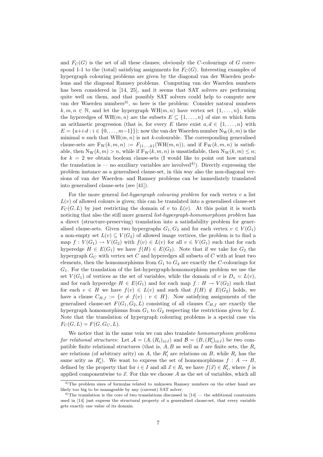and  $F<sub>C</sub>(G)$  is the set of all these clauses; obviously the C-colourings of G correspond 1-1 to the (total) satisfying assignments for  $F_C(G)$ . Interesting examples of hypergraph colouring problems are given by the diagonal van der Waerden problems and the diagonal Ramsey problems. Computing van der Waerden numbers has been considered in [14, 25], and it seems that SAT solvers are performing quite well on them, and that possibly SAT solvers could help to compute new van der Waerden numbers<sup>3)</sup>, so here is the problem: Consider natural numbers  $k, m, n \in \mathbb{N}$ , and let the hypergraph  $WH(m, n)$  have vertex set  $\{1, \ldots, n\}$ , while the hyperedges of  $WH(m, n)$  are the subsets  $E \subseteq \{1, \ldots, n\}$  of size m which form an arithmetic progression (that is, for every E there exist  $a, d \in \{1, \ldots, n\}$  with  $E = \{a+i\cdot d : i \in \{0,\ldots,m-1\}\}\;$  now the van der Waerden number  $N_{\rm W}(k,m)$  is the minimal n such that  $WH(m, n)$  is not k-colourable. The corresponding generalised clause-sets are  $F_W(k, m, n) := F_{\{1,\ldots,k\}}(WH(m, n)),$  and if  $F_W(k, m, n)$  is satisfiable, then  $N_W(k, m) > n$ , while if  $F_W(k, m, n)$  is unsatisfiable, then  $N_W(k, m) \leq n$ ; for  $k = 2$  we obtain boolean clause-sets (I would like to point out how natural the translation is — no auxiliary variables are involved<sup>4</sup>). Directly expressing the problem instance as a generalised clause-set, in this way also the non-diagonal versions of van der Waerden- and Ramsey problems can be immediately translated into generalised clause-sets (see [41]).

For the more general *list-hypergraph colouring problem* for each vertex  $v$  a list  $L(v)$  of allowed colours is given; this can be translated into a generalised clause-set  $F_C(G, L)$  by just restricting the domain of v to  $L(v)$ . At this point it is worth noticing that also the still more general *list-hypergraph-homomorphism problem* has a direct (structure-preserving) translation into a satisfiability problem for generalised clause-sets. Given two hypergraphs  $G_1, G_2$  and for each vertex  $v \in V(G_1)$ a non-empty set  $L(v) \subseteq V(G_2)$  of allowed image vertices, the problem is to find a map  $f: V(G_1) \to V(G_2)$  with  $f(v) \in L(v)$  for all  $v \in V(G_1)$  such that for each hyperedge  $H \in E(G_1)$  we have  $f(H) \in E(G_2)$ . Note that if we take for  $G_2$  the hypergraph  $G_C$  with vertex set C and hyperedges all subsets of C with at least two elements, then the homomorphisms from  $G_1$  to  $G_2$  are exactly the C-colourings for  $G_1$ . For the translation of the list-hypergraph-homomorphism problem we use the set  $V(G_1)$  of vertices as the set of variables, while the domain of v is  $D_v = L(v)$ , and for each hyperedge  $H \in E(G_1)$  and for each map  $f : H \to V(G_2)$  such that for each  $v \in H$  we have  $f(v) \in L(v)$  and such that  $f(H) \notin E(G_2)$  holds, we have a clause  $C_{H,f} := \{v \neq f(v) : v \in H\}.$  Now satisfying assignments of the generalised clause-set  $F(G_1, G_2, L)$  consisting of all clauses  $C_{H,f}$  are exactly the hypergraph homomorphisms from  $G_1$  to  $G_2$  respecting the restrictions given by L. Note that the translation of hypergraph colouring problems is a special case via  $F_C(G, L) = F(G, G_C, L).$ 

We notice that in the same vein we can also translate *homomorphism problems* for relational structures: Let  $\mathcal{A} = (A, (R_i)_{i \in I})$  and  $\mathcal{B} = (B, (R'_i)_{i \in I})$  be two compatible finite relational structures (that is,  $A, B$  as well as I are finite sets, the  $R_i$ are relations (of arbitrary arity) on A, the  $R'_i$  are relations on B, while  $R_i$  has the same arity as  $R'_i$ ). We want to express the set of homomorphisms  $f : A \to B$ , defined by the property that for  $i \in I$  and all  $\vec{x} \in R_i$  we have  $f(\vec{x}) \in R'_i$ , where f is applied componentwise to  $\vec{x}$ . For this we choose A as the set of variables, which all

<sup>3)</sup>The problem sizes of formulas related to unknown Ramsey numbers on the other hand are likely too big to be manageable by any (current) SAT solver.

 $4$ The translation is the core of two translations discussed in  $[14]$  — the additional constraints used in [14] just express the structural property of a generalised clause-set, that every variable gets exactly one value of its domain.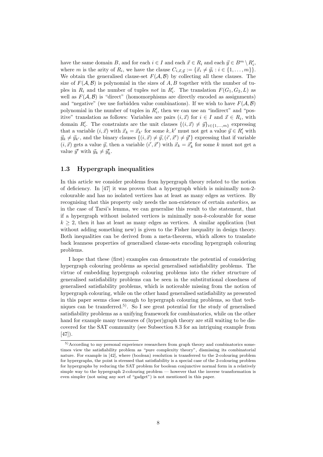have the same domain B, and for each  $i \in I$  and each  $\vec{x} \in R_i$  and each  $\vec{y} \in B^m \setminus R'_i$ , where m is the arity of  $R_i$ , we have the clause  $C_{i,\vec{x},\vec{y}} := \{\vec{x}_i \neq \vec{y}_i : i \in \{1, \ldots, m\}\}.$ We obtain the generalised clause-set  $F(A, B)$  by collecting all these clauses. The size of  $F(\mathcal{A}, \mathcal{B})$  is polynomial in the sizes of A, B together with the number of tuples in  $R_i$  and the number of tuples not in  $R'_i$ . The translation  $F(G_1, G_2, L)$  as well as  $F(A, B)$  is "direct" (homomorphisms are directly encoded as assignments) and "negative" (we use forbidden value combinations). If we wish to have  $F(A, \mathcal{B})$ polynomial in the number of tuples in  $R_i'$ , then we can use an "indirect" and "positive" translation as follows: Variables are pairs  $(i, \vec{x})$  for  $i \in I$  and  $\vec{x} \in R_i$ , with domain  $R'_i$ . The constraints are the unit clauses  $\{(i, \vec{x}) \neq \vec{y}\}_{i \in \{1, ..., m\}}$  expressing that a variable  $(i, \vec{x})$  with  $\vec{x}_k = \vec{x}_{k'}$  for some k, k' must not get a value  $\vec{y} \in R'_i$  with  $\vec{y}_k \neq \vec{y}_{k'}$ , and the binary clauses  $\{(i, \vec{x}) \neq \vec{y}, (i', \vec{x}') \neq \vec{y}'\}$  expressing that if variable  $(i, \vec{x})$  gets a value  $\vec{y}$ , then a variable  $(i', \vec{x}')$  with  $\vec{x}_k = \vec{x}'_k$  for some k must not get a value  $\vec{y}'$  with  $\vec{y}_k \neq \vec{y}'_k$ .

#### 1.3 Hypergraph inequalities

In this article we consider problems from hypergraph theory related to the notion of deficiency. In [47] it was proven that a hypergraph which is minimally non-2 colourable and has no isolated vertices has at least as many edges as vertices. By recognising that this property only needs the non-existence of certain autarkies, as in the case of Tarsi's lemma, we can generalise this result to the statement, that if a hypergraph without isolated vertices is minimally non-k-colourable for some  $k \geq 2$ , then it has at least as many edges as vertices. A similar application (but without adding something new) is given to the Fisher inequality in design theory. Both inequalities can be derived from a meta-theorem, which allows to translate back leanness properties of generalised clause-sets encoding hypergraph colouring problems.

I hope that these (first) examples can demonstrate the potential of considering hypergraph colouring problems as special generalised satisfiability problems. The virtue of embedding hypergraph colouring problems into the richer structure of generalised satisfiability problems can be seen in the substitutional closedness of generalised satisfiability problems, which is noticeable missing from the notion of hypergraph colouring, while on the other hand generalised satisfiability as presented in this paper seems close enough to hypergraph colouring problems, so that techniques can be transferred.<sup>5)</sup>. So I see great potential for the study of generalised satisfiability problems as a unifying framework for combinatorics, while on the other hand for example many treasures of (hyper)graph theory are still waiting to be discovered for the SAT community (see Subsection 8.3 for an intriguing example from  $[47]$ .

<sup>&</sup>lt;sup>5)</sup>According to my personal experience researchers from graph theory and combinatorics sometimes view the satisfiability problem as "pure complexity theory", dismissing its combinatorial nature. For example in [42], where (boolean) resolution is transferred to the 2-colouring problem for hypergraphs, the point is stressed that satisfiability is a special case of the 2-colouring problem for hypergraphs by reducing the SAT problem for boolean conjunctive normal form in a relatively simple way to the hypergraph 2-colouring problem — however that the inverse transformation is even simpler (not using any sort of "gadget") is not mentioned in this paper.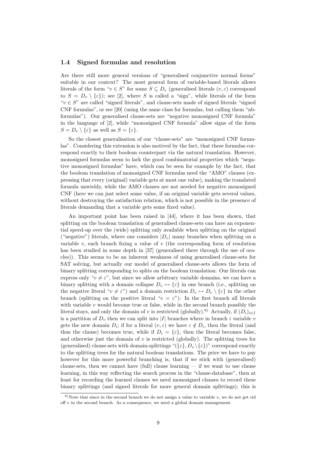#### 1.4 Signed formulas and resolution

Are there still more general versions of "generalised conjunctive normal forms" suitable in our context? The most general form of variable-based literals allows literals of the form " $v \in S$ " for some  $S \subseteq D_v$  (generalised literals  $(v, \varepsilon)$  correspond to  $S = D<sub>v</sub> \setminus {\varepsilon}$ ; see [2], where S is called a "sign", while literals of the form " $v \in S$ " are called "signed literals", and clause-sets made of signed literals "signed" CNF formulas", or see [20] (using the same class for formulas, but calling them "nbformulas"). Our generalised clause-sets are "negative monosigned CNF formula" in the language of [2], while "monosigned CNF formula" allow signs of the form  $S = D_v \setminus {\varepsilon}$  as well as  $S = {\varepsilon}.$ 

So the closest generalisation of our "clause-sets" are "monosigned CNF formulas". Considering this extension is also motived by the fact, that these formulas correspond exactly to their boolean counterpart via the natural translation. However, monosigned formulas seem to lack the good combinatorial properties which "negative monosigned formulas" have, which can be seen for example by the fact, that the boolean translation of monosigned CNF formulas need the "AMO" clauses (expressing that every (original) variable gets at most one value), making the translated formula unwieldy, while the AMO clauses are not needed for negative monosigned CNF (here we can just select some value, if an original variable gets several values, without destroying the satisfaction relation, which is not possible in the presence of literals demanding that a variable gets some fixed value).

An important point has been raised in [44], where it has been shown, that splitting on the boolean translation of generalised clause-sets can have an exponential speed-up over the (wide) splitting only available when splitting on the original ("negative") literals, where one considers  $|D_v|$  many branches when splitting on a variable v, each branch fixing a value of  $v$  (the corresponding form of resolution has been studied in some depth in [37] (generalised there through the use of oracles)). This seems to be an inherent weakness of using generalised clause-sets for SAT solving, but actually our model of generalised clause-sets allows the form of binary splitting corresponding to splits on the boolean translation: Our literals can express only " $v \neq \varepsilon$ ", but since we allow arbitrary variable domains, we can have a binary splitting with a domain collapse  $D_v \mapsto {\varepsilon}$  in one branch (i.e., splitting on the negative literal " $v \neq \varepsilon$ ") and a domain restriction  $D_v \mapsto D_v \setminus {\varepsilon}$  in the other branch (splitting on the positive literal " $v = \varepsilon$ "): In the first branch all literals with variable  $v$  would become true or false, while in the second branch possibly the literal stays, and only the domain of v is restricted (globally).<sup>6)</sup> Actually, if  $(D_i)_{i\in I}$ is a partition of  $D_v$  then we can split into |I| branches where in branch i variable v gets the new domain  $D_i$ ; if for a literal  $(v, \varepsilon)$  we have  $\varepsilon \notin D_i$ , then the literal (and thus the clause) becomes true, while if  $D_i = {\varepsilon}$ , then the literal becomes false, and otherwise just the domain of  $v$  is restricted (globally). The splitting trees for (generalised) clause-sets with domain-splittings " $({\{\varepsilon\}}, D_v \setminus {\{\varepsilon\}})$ " correspond exactly to the splitting trees for the natural boolean translations. The price we have to pay however for this more powerful branching is, that if we stick with (generalised) clause-sets, then we cannot have  $\text{(full)}$  clause learning — if we want to use clause learning, in this way reflecting the search process in the "clause-database", then at least for recording the learned clauses we need monosigned clauses to record these binary splittings (and signed literals for more general domain splittings); this is

 $6)$ Note that since in the second branch we do not assign a value to variable v, we do not get rid off v in the second branch. As a consequence, we need a global domain management.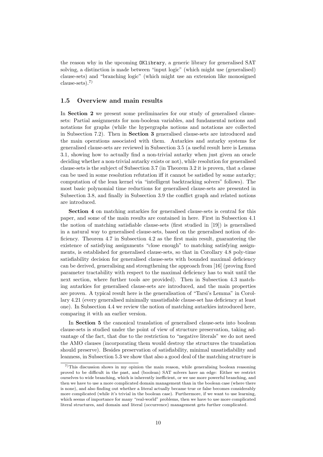the reason why in the upcoming OKlibrary, a generic library for generalised SAT solving, a distinction is made between "input logic" (which might use (generalised) clause-sets) and "branching logic" (which might use an extension like monosigned clause-sets).7)

#### 1.5 Overview and main results

In Section 2 we present some preliminaries for our study of generalised clausesets: Partial assignments for non-boolean variables, and fundamental notions and notations for graphs (while the hypergraphs notions and notations are collected in Subsection 7.2). Then in Section 3 generalised clause-sets are introduced and the main operations associated with them. Autarkies and autarky systems for generalised clause-sets are reviewed in Subsection 3.5 (a useful result here is Lemma 3.1, showing how to actually find a non-trivial autarky when just given an oracle deciding whether a non-trivial autarky exists or not), while resolution for generalised clause-sets is the subject of Subsection 3.7 (in Theorem 3.2 it is proven, that a clause can be used in some resolution refutation iff it cannot be satisfied by some autarky; computation of the lean kernel via "intelligent backtracking solvers" follows). The most basic polynomial time reductions for generalised clause-sets are presented in Subsection 3.8, and finally in Subsection 3.9 the conflict graph and related notions are introduced.

Section 4 on matching autarkies for generalised clause-sets is central for this paper, and some of the main results are contained in here. First in Subsection 4.1 the notion of matching satisfiable clause-sets (first studied in [19]) is generalised in a natural way to generalised clause-sets, based on the generalised notion of deficiency. Theorem 4.7 in Subsection 4.2 as the first main result, guaranteeing the existence of satisfying assignments "close enough" to matching satisfying assignments, is established for generalised clause-sets, so that in Corollary 4.8 poly-time satisfiability decision for generalised clause-sets with bounded maximal deficiency can be derived, generalising and strengthening the approach from [16] (proving fixed parameter tractability with respect to the maximal deficiency has to wait until the next section, where further tools are provided). Then in Subsection 4.3 matching autarkies for generalised clause-sets are introduced, and the main properties are proven. A typical result here is the generalisation of "Tarsi's Lemma" in Corollary 4.21 (every generalised minimally unsatisfiable clause-set has deficiency at least one). In Subsection 4.4 we review the notion of matching autarkies introduced here, comparing it with an earlier version.

In Section 5 the canonical translation of generalised clause-sets into boolean clause-sets is studied under the point of view of structure preservation, taking advantage of the fact, that due to the restriction to "negative literals" we do not need the AMO clauses (incorporating them would destroy the structures the translation should preserve). Besides preservation of satisfiability, minimal unsatisfiability and leanness, in Subsection 5.3 we show that also a good deal of the matching structure is

 $7$ This discussion shows in my opinion the main reason, while generalising boolean reasoning proved to be difficult in the past, and (boolean) SAT solvers have an edge: Either we restrict ourselves to wide branching, which is inherently inefficient, or we use more powerful branching, and then we have to use a more complicated domain management than in the boolean case (where there is none), and also finding out whether a literal actually became true or false becomes considerably more complicated (while it's trivial in the boolean case). Furthermore, if we want to use learning, which seems of importance for many "real-world" problems, then we have to use more complicated literal structures, and domain and literal (occurrence) management gets further complicated.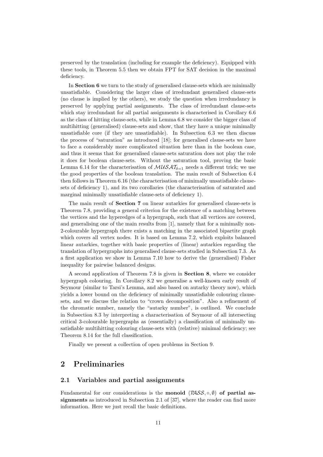preserved by the translation (including for example the deficiency). Equipped with these tools, in Theorem 5.5 then we obtain FPT for SAT decision in the maximal deficiency.

In Section 6 we turn to the study of generalised clause-sets which are minimally unsatisfiable. Considering the larger class of irredundant generalised clause-sets (no clause is implied by the others), we study the question when irredundancy is preserved by applying partial assignments. The class of irredundant clause-sets which stay irredundant for all partial assignments is characterised in Corollary 6.6 as the class of hitting clause-sets, while in Lemma 6.8 we consider the bigger class of multihitting (generalised) clause-sets and show, that they have a unique minimally unsatisfiable core (if they are unsatisfiable). In Subsection 6.3 we then discuss the process of "saturation" as introduced [18]; for generalised clause-sets we have to face a considerably more complicated situation here than in the boolean case, and thus it seems that for generalised clause-sets saturation does not play the role it does for boolean clause-sets. Without the saturation tool, proving the basic Lemma 6.14 for the characterisation of  $\mathcal{M} \mathcal{U} \mathcal{S} \mathcal{A} \mathcal{I}_{\delta=1}$  needs a different trick; we use the good properties of the boolean translation. The main result of Subsection 6.4 then follows in Theorem 6.16 (the characterisation of minimally unsatisfiable clausesets of deficiency 1), and its two corollaries (the characterisation of saturated and marginal minimally unsatisfiable clause-sets of deficiency 1).

The main result of Section 7 on linear autarkies for generalised clause-sets is Theorem 7.8, providing a general criterion for the existence of a matching between the vertices and the hyperedges of a hypergraph, such that all vertices are covered, and generalising one of the main results from [1], namely that for a minimally non-2-colourable hypergraph there exists a matching in the associated bipartite graph which covers all vertex nodes. It is based on Lemma 7.2, which exploits balanced linear autarkies, together with basic properties of (linear) autarkies regarding the translation of hypergraphs into generalised clause-sets studied in Subsection 7.3. As a first application we show in Lemma 7.10 how to derive the (generalised) Fisher inequality for pairwise balanced designs.

A second application of Theorem 7.8 is given in Section 8, where we consider hypergraph colouring. In Corollary 8.2 we generalise a well-known early result of Seymour (similar to Tarsi's Lemma, and also based on autarky theory now), which yields a lower bound on the deficiency of minimally unsatisfiable colouring clausesets, and we discuss the relation to "crown decomposition". Also a refinement of the chromatic number, namely the "autarky number", is outlined. We conclude in Subsection 8.3 by interpreting a characterisation of Seymour of all intersecting critical 3-colourable hypergraphs as (essentially) a classification of minimally unsatisfiable multihitting colouring clause-sets with (relative) minimal deficiency; see Theorem 8.14 for the full classification.

Finally we present a collection of open problems in Section 9.

## 2 Preliminaries

#### 2.1 Variables and partial assignments

Fundamental for our considerations is the **monoid**  $(PASS, \circ, \emptyset)$  of partial assignments as introduced in Subsection 2.1 of [37], where the reader can find more information. Here we just recall the basic definitions.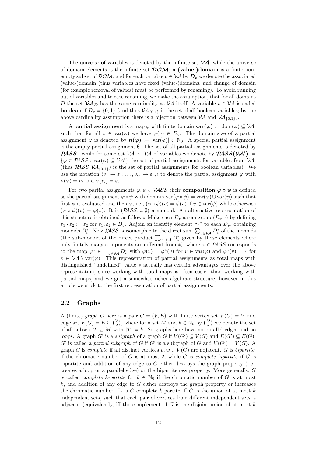The universe of variables is denoted by the infinite set  $\mathcal{VA}$ , while the universe of domain elements is the infinite set  $\mathcal{DOM}$ ; a (value-)domain is a finite nonempty subset of  $DOM$ , and for each variable  $v \in VA$  by  $D_v$  we denote the associated (value-)domain (thus variables have fixed (value-)domains, and change of domain (for example removal of values) must be performed by renaming). To avoid running out of variables and to ease renaming, we make the assumption, that for all domains D the set  $V\mathcal{A}_D$  has the same cardinality as V $\mathcal A$  itself. A variable  $v \in V\mathcal{A}$  is called **boolean** if  $D_v = \{0, 1\}$  (and thus  $VA_{\{0,1\}}$  is the set of all boolean variables; by the above cardinality assumption there is a bijection between  $\mathcal{VA}$  and  $\mathcal{VA}$ <sub>{0,1}</sub>).

A partial assignment is a map  $\varphi$  with finite domain  $\text{var}(\varphi) := \text{dom}(\varphi) \subseteq \mathcal{VA}$ , such that for all  $v \in \text{var}(\varphi)$  we have  $\varphi(v) \in D_v$ . The domain size of a partial assignment  $\varphi$  is denoted by  $n(\varphi) := |\text{var}(\varphi)| \in \mathbb{N}_0$ . A special partial assignment is the empty partial assignment  $\emptyset$ . The set of all partial assignments is denoted by **PASS**. while for some set  $V A' \subseteq V A$  of variables we denote by  $PASS(VA') :=$  $\{\varphi \in \mathcal{P}\mathcal{A}\mathcal{S}\mathcal{S} : \text{var}(\varphi) \subseteq \mathcal{V}\mathcal{A}'\}\$  the set of partial assignments for variables from  $\mathcal{V}\mathcal{A}'$ (thus  $PASS(VA_{\{0,1\}})$  is the set of partial assignments for boolean variables). We use the notation  $\langle v_1 \to \varepsilon_1, \ldots, v_m \to \varepsilon_m \rangle$  to denote the partial assignment  $\varphi$  with  $n(\varphi) = m$  and  $\varphi(v_i) = \varepsilon_i$ .

For two partial assignments  $\varphi, \psi \in \mathcal{PASS}$  their composition  $\varphi \circ \psi$  is defined as the partial assignment  $\varphi \circ \psi$  with domain  $var(\varphi \circ \psi) = var(\varphi) \cup var(\psi)$  such that first  $\psi$  is evaluated and then  $\varphi$ , i.e.,  $(\varphi \circ \psi)(v) = \psi(v)$  if  $v \in \text{var}(\psi)$  while otherwise  $(\varphi \circ \psi)(v) = \varphi(v)$ . It is  $(\mathcal{PASS}, \circ, \emptyset)$  a monoid. An alternative representation of this structure is obtained as follows: Make each  $D_n$  a semigroup  $(D_n, \cdot)$  by defining  $\varepsilon_1 \cdot \varepsilon_2 := \varepsilon_2$  for  $\varepsilon_1, \varepsilon_2 \in D_v$ . Adjoin an identity element "\*" to each  $D_v$ , obtaining monoids  $D_v^*$ . Now PASS is isomorphic to the direct sum  $\sum_{v \in V\mathcal{A}} D_v^*$  of the monoids (the sub-monoid of the direct product  $\prod_{v\in V\mathcal{A}} D_v^*$  given by those elements where only finitely many components are different from  $\ast$ ), where  $\varphi \in PASS$  corresponds to the map  $\varphi^* \in \prod_{v \in \mathcal{VA}} D_v^*$  with  $\varphi(v) = \varphi^*(v)$  for  $v \in \text{var}(\varphi)$  and  $\varphi^*(v) = *$  for  $v \in V\mathcal{A} \setminus \text{var}(\varphi)$ . This representation of partial assignments as total maps with distinguished "undefined" value ∗ actually has certain advantages over the above representation, since working with total maps is often easier than working with partial maps, and we get a somewhat richer algebraic structure; however in this article we stick to the first representation of partial assignments.

#### 2.2 Graphs

A (finite) graph G here is a pair  $G = (V, E)$  with finite vertex set  $V(G) = V$  and edge set  $E(G) = E \subseteq {V \choose 2}$ , where for a set M and  $k \in \mathbb{N}_0$  by  ${M \choose k}$  we denote the set of all subsets  $T \subseteq M$  with  $|T| = k$ . So graphs here have no parallel edges and no loops. A graph G' is a subgraph of a graph G if  $V(G') \subseteq V(G)$  and  $E(G') \subseteq E(G)$ ; G' is called a partial subgraph of G if G' is a subgraph of G and  $V(G') = V(G)$ . A graph G is complete if all distinct vertices  $v, w \in V(G)$  are adjacent. G is bipartite, if the chromatic number of  $G$  is at most 2, while  $G$  is *complete bipartite* if  $G$  is bipartite and addition of any edge to  $G$  either destroys the graph property (i.e., creates a loop or a parallel edge) or the bipartiteness property. More generally, G is called *complete k-partite* for  $k \in \mathbb{N}_0$  if the chromatic number of G is at most  $k$ , and addition of any edge to  $G$  either destroys the graph property or increases the chromatic number. It is G complete k-partite iff G is the union of at most  $k$ independent sets, such that each pair of vertices from different independent sets is adjacent (equivalently, iff the complement of  $G$  is the disjoint union of at most  $k$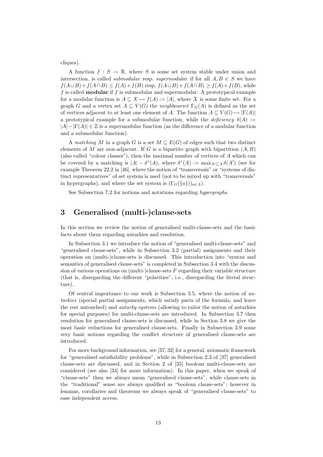cliques).

A function  $f : S \to \mathbb{R}$ , where S is some set system stable under union and intersection, is called *submodular* resp. *supermodular* if for all  $A, B \in S$  we have  $f(A\cup B)+f(A\cap B)\leq f(A)+f(B)$  resp.  $f(A\cup B)+f(A\cap B)\geq f(A)+f(B)$ , while f is called **modular** if f is submodular and supermodular. A prototypical example for a modular function is  $A \subseteq X \mapsto f(A) := |A|$ , where X is some finite set. For a graph G and a vertex set  $A \subseteq V(G)$  the neighbourset  $\Gamma_G(A)$  is defined as the set of vertices adjacent to at least one element of A. The function  $A \subseteq V(G) \mapsto |\Gamma(A)|$ a prototypical example for a submodular function, while the deficiency  $\delta(A) :=$  $|A| - |\Gamma(A)| \in \mathbb{Z}$  is a supermodular function (as the difference of a modular function and a submodular function).

A matching M in a graph G is a set  $M \subseteq E(G)$  of edges such that two distinct elements of M are non-adjacent. If G is a bipartite graph with bipartition  $(A, B)$ (also called "colour classes"), then the maximal number of vertices of A which can be covered by a matching is  $|A| - \delta^*(A)$ , where  $\delta^*(A) := \max_{A' \subseteq A} \delta(A')$  (see for example Theorem 22.2 in [46], where the notion of "transversals" or "systems of distinct representatives" of set system is used (not to be mixed up with "transversals" in hypergraphs), and where the set system is  $(\Gamma_G({a}))_{a\in A}$ .

See Subsection 7.2 for notions and notations regarding hypergraphs.

## 3 Generalised (multi-)clause-sets

In this section we review the notion of generalised multi-clause-sets and the basic facts about them regarding autarkies and resolution.

In Subsection 3.1 we introduce the notion of "generalised multi-clause-sets" and "generalised clause-sets", while in Subsection 3.2 (partial) assignments and their operation on (multi-)clause-sets is discussed. This introduction into "syntax and semantics of generalised clause-sets" is completed in Subsection 3.4 with the discussion of various operations on (multi-)clause-sets  $F$  regarding their variable structure (that is, disregarding the different "polarities", i.e., disregarding the literal structure).

Of central importance to our work is Subsection 3.5, where the notion of autarkies (special partial assignments, which satisfy parts of the formula, and leave the rest untouched) and autarky systems (allowing to tailor the notion of autarkies for special purposes) for multi-clause-sets are introduced. In Subsection 3.7 then resolution for generalised clause-sets is discussed, while in Section 3.8 we give the most basic reductions for generalised clause-sets. Finally in Subsection 3.9 some very basic notions regarding the conflict structure of generalised clause-sets are introduced.

For more background information, see [37, 32] for a general, axiomatic framework for "generalised satisfiability problems", while in Subsection 2.3 of [37] generalised clause-sets are discussed, and in Section 2 of [35] boolean multi-clause-sets are considered (see also [34] for more information). In this paper, when we speak of "clause-sets" then we always mean "generalised clause-sets", while clause-sets in the "traditional" sense are always qualified as "boolean clause-sets"; however in lemmas, corollaries and theorems we always speak of "generalised clause-sets" to ease independent access.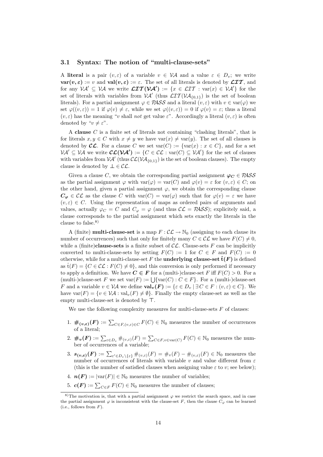#### 3.1 Syntax: The notion of "multi-clause-sets"

A literal is a pair  $(v, \varepsilon)$  of a variable  $v \in V\mathcal{A}$  and a value  $\varepsilon \in D_v$ ; we write  $var(v, \varepsilon) := v$  and  $val(v, \varepsilon) := \varepsilon$ . The set of all literals is denoted by  $\mathcal{LIT}$ , and for any  $\mathcal{V} \mathcal{A}' \subseteq \mathcal{V} \mathcal{A}$  we write  $\mathcal{LIT}(\mathcal{V} \mathcal{A}') := \{x \in \mathcal{LIT} : \text{var}(x) \in \mathcal{V} \mathcal{A}'\}\)$  for the set of literals with variables from  $V A'$  (thus  $LTT(V A_{0,1})$ ) is the set of boolean literals). For a partial assignment  $\varphi \in PASS$  and a literal  $(v, \varepsilon)$  with  $v \in \text{var}(\varphi)$  we set  $\varphi((v,\varepsilon)) = 1$  if  $\varphi(v) \neq \varepsilon$ , while we set  $\varphi((v,\varepsilon)) = 0$  if  $\varphi(v) = \varepsilon$ ; thus a literal  $(v, \varepsilon)$  has the meaning "v shall not get value  $\varepsilon$ ". Accordingly a literal  $(v, \varepsilon)$  is often denoted by " $v \neq \varepsilon$ ".

A clause C is a finite set of literals not containing "clashing literals", that is for literals  $x, y \in C$  with  $x \neq y$  we have  $var(x) \neq var(y)$ . The set of all clauses is denoted by  $\mathcal{CL}$ . For a clause C we set  $var(C) := \{var(x) : x \in C\}$ , and for a set  $\mathcal{V} \mathcal{A}' \subseteq \mathcal{V} \mathcal{A}$  we write  $\mathcal{CL}(\mathcal{V} \mathcal{A}') := \{ C \in \mathcal{CL} : \text{var}(C) \subseteq \mathcal{V} \mathcal{A}' \}$  for the set of clauses with variables from  $V A'$  (thus  $\mathcal{CL}(V A_{\{0,1\}})$  is the set of boolean clauses). The empty clause is denoted by  $\bot \in \mathcal{CL}$ .

Given a clause C, we obtain the corresponding partial assignment  $\varphi_C \in PASS$ as the partial assignment  $\varphi$  with  $var(\varphi) = var(C)$  and  $\varphi(v) = \varepsilon$  for  $(v, \varepsilon) \in C$ ; on the other hand, given a partial assignment  $\varphi$ , we obtain the corresponding clause  $C_{\varphi} \in \mathcal{CL}$  as the clause C with  $var(C) = var(\varphi)$  such that for  $\varphi(v) = \varepsilon$  we have  $(v, \varepsilon) \in C$ . Using the representation of maps as ordered pairs of arguments and values, actually  $\varphi_C = C$  and  $C_{\varphi} = \varphi$  (and thus  $\mathcal{CL} = \mathcal{PASS}$ ); explicitely said, a clause corresponds to the partial assignment which sets exactly the literals in the clause to false.8)

A (finite) **multi-clause-set** is a map  $F : \mathcal{CL} \to \mathbb{N}_0$  (assigning to each clause its number of occurrences) such that only for finitely many  $C \in \mathcal{CL}$  we have  $F(C) \neq 0$ , while a (finite)clause-sets is a finite subset of  $CL$ . Clause-sets F can be implicitly converted to multi-clause-sets by setting  $F(C) := 1$  for  $C \in F$  and  $F(C) := 0$ otherwise, while for a multi-clause-set F the **underlying clause-set**  $\hat{\mathbf{t}}(F)$  is defined as  $\hat{\mathrm{t}}(F) = \{C \in \mathcal{CL} : F(C) \neq 0\}$ , and this conversion is only performed if necessary to apply a definition. We have  $C \in F$  for a (multi-)clause-set F iff  $F(C) > 0$ . For a (multi-)clause-set F we set  $var(F) := \bigcup \{ var(C) : C \in F \}$ . For a (multi-)clause-set F and a variable  $v \in V\mathcal{A}$  we define  $\text{val}_v(F) := \{ \varepsilon \in D_v \mid \exists C \in F : (v, \varepsilon) \in C \}$ . We have  $var(F) = \{v \in V\mathcal{A} : val_v(F) \neq \emptyset\}$ . Finally the empty clause-set as well as the empty multi-clause-set is denoted by  $\top$ .

We use the following complexity measures for multi-clause-sets  $F$  of clauses:

- 1.  $\#_{(\nu,\varepsilon)}(F) := \sum_{C \in F, (\nu,\varepsilon) \in C} F(C) \in \mathbb{N}_0$  measures the number of occurrences of a literal;
- 2.  $\#_v(F) := \sum_{\varepsilon \in D_v} \#_{(v,\varepsilon)}(F) = \sum_{C \in F, v \in \text{var}(C)} F(C) \in \mathbb{N}_0$  measures the number of occurrences of a variable;
- 3.  $s_{(\nu,\varepsilon)}(F) := \sum_{\varepsilon' \in D_{\nu} \setminus \{\varepsilon\}} \#_{(\nu,\varepsilon)}(F) = \#_{\nu}(F) \#_{(\nu,\varepsilon)}(F) \in \mathbb{N}_0$  measures the number of occurrences of literals with variable v and value different from  $\varepsilon$ (this is the number of satisfied clauses when assigning value  $\varepsilon$  to v; see below);
- 4.  $n(F) := |var(F)| \in \mathbb{N}_0$  measures the number of variables;
- 5.  $\mathbf{c}(\mathbf{F}) := \sum_{C \in F} F(C) \in \mathbb{N}_0$  measures the number of clauses;

<sup>8)</sup>The motivation is, that with a partial assignment  $\varphi$  we restrict the search space, and in case the partial assignment  $\varphi$  is inconsistent with the clause-set F, then the clause  $C_{\varphi}$  can be learned (i.e., follows from  $F$ ).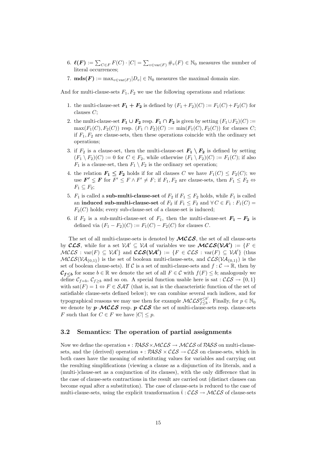- 6.  $\ell(F) := \sum_{C \in F} F(C) \cdot |C| = \sum_{v \in \text{var}(F)} \#_v(F) \in \mathbb{N}_0$  measures the number of literal occurrences;
- 7. **mds** $(F) := \max_{v \in \text{var}(F)} |v_v| \in \mathbb{N}_0$  measures the maximal domain size.

And for multi-clause-sets  $F_1, F_2$  we use the following operations and relations:

- 1. the multi-clause-set  $\mathbf{F}_1 + \mathbf{F}_2$  is defined by  $(F_1 + F_2)(C) := F_1(C) + F_2(C)$  for clauses C;
- 2. the multi-clause-set  $F_1 \cup F_2$  resp.  $F_1 \cap F_2$  is given by setting  $(F_1 \cup F_2)(C) :=$  $\max(F_1(C), F_2(C))$  resp.  $(F_1 \cap F_2)(C) := \min(F_1(C), F_2(C))$  for clauses C; if  $F_1, F_2$  are clause-sets, then these operations coincide with the ordinary set operations;
- 3. if  $F_2$  is a clause-set, then the multi-clause-set  $F_1 \setminus F_2$  is defined by setting  $(F_1 \setminus F_2)(C) := 0$  for  $C \in F_2$ , while otherwise  $(F_1 \setminus F_2)(C) := F_1(C)$ ; if also  $F_1$  is a clause-set, then  $F_1 \setminus F_2$  is the ordinary set operation;
- 4. the relation  $F_1 \n\t\leq F_2$  holds if for all clauses C we have  $F_1(C) \n\t\leq F_2(C)$ ; we use  $\mathbf{F'} \leq \mathbf{F}$  for  $F' \leq F \wedge F' \neq F$ ; if  $F_1, F_2$  are clause-sets, then  $F_1 \leq F_2 \Leftrightarrow$  $F_1 \subseteq F_2$ ;
- 5.  $F_1$  is called a **sub-multi-clause-set** of  $F_2$  if  $F_1 \leq F_2$  holds, while  $F_1$  is called an induced sub-multi-clause-set of  $F_2$  if  $F_1 \leq F_2$  and  $\forall C \in F_1 : F_1(C) =$  $F_2(C)$  holds; every sub-clause-set of a clause-set is induced;
- 6. if  $F_2$  is a sub-multi-clause-set of  $F_1$ , then the multi-clause-set  $\mathbf{F_1} \mathbf{F_2}$  is defined via  $(F_1 - F_2)(C) := F_1(C) - F_2(C)$  for clauses C.

The set of all multi-clause-sets is denoted by  $MCCS$ , the set of all clause-sets by  $\mathcal{CLS}$ , while for a set  $\mathcal{VA}' \subseteq \mathcal{VA}$  of variables we use  $\mathcal{MLSS}(\mathcal{VA}') := \{F \in$  $MCLS$ : var $(F) \subseteq V\mathcal{A}'$ } and  $CLS(V\mathcal{A}') := \{F \in CLS : \text{var}(F) \subseteq V\mathcal{A}'\}$  (thus  $MCLS(VA_{\{0,1\}})$  is the set of boolean multi-clause-sets, and  $CLS(VA_{\{0,1\}})$  is the set of boolean clause-sets). If C is a set of multi-clause-sets and  $f: \mathcal{C} \to \mathbb{R}$ , then by  $\mathcal{C}_{f\leq b}$  for some  $b \in \mathbb{R}$  we denote the set of all  $F \in \mathcal{C}$  with  $f(F) \leq b$ ; analogously we define  $\mathcal{C}_{f=b}$ ,  $\mathcal{C}_{f\geq b}$  and so on. A special function usable here is sat :  $\mathcal{CLS} \rightarrow \{0,1\}$ with sat $(F) = 1 \Leftrightarrow F \in \mathcal{SAT}$  (that is, sat is the characteristic function of the set of satisfiable clause-sets defined below); we can combine several such indices, and for typographical reasons we may use then for example  $\mathcal{MCLS}_{f \leq h}^{g \leq b'}$  $\frac{g \leq b'}{f \leq b}$ . Finally, for  $p \in \mathbb{N}_0$ we denote by  $p-\mathcal{MCLS}$  resp.  $p-\mathcal{CLS}$  the set of multi-clause-sets resp. clause-sets F such that for  $C \in F$  we have  $|C| \leq p$ .

#### 3.2 Semantics: The operation of partial assignments

Now we define the operation  $* : PASS \times MCES \rightarrow MCLS$  of  $PASS$  on multi-clausesets, and the (derived) operation  $* : PASS \times \mathcal{CLS} \rightarrow \mathcal{CLS}$  on clause-sets, which in both cases have the meaning of substituting values for variables and carrying out the resulting simplifications (viewing a clause as a disjunction of its literals, and a (multi-)clause-set as a conjunction of its clauses), with the only difference that in the case of clause-sets contractions in the result are carried out (distinct clauses can become equal after a substitution). The case of clause-sets is reduced to the case of multi-clause-sets, using the explicit transformation  $\check{t}$  :  $\mathcal{CLS} \rightarrow \mathcal{MLLS}$  of clause-sets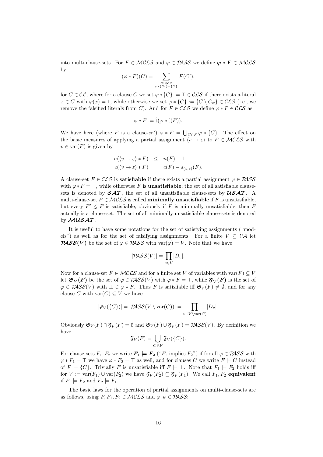into multi-clause-sets. For  $F \in \mathcal{MCLS}$  and  $\varphi \in \mathcal{PASS}$  we define  $\varphi * F \in \mathcal{MCLS}$ by

$$
(\varphi * F)(C) = \sum_{\substack{C' \in \mathcal{CL} \\ \varphi * \{C'\} = \{C\}}} F(C'),
$$

for  $C \in \mathcal{CL}$ , where for a clause C we set  $\varphi * \{C\} := \top \in \mathcal{CLS}$  if there exists a literal  $x \in C$  with  $\varphi(x) = 1$ , while otherwise we set  $\varphi * \{C\} := \{C \setminus C_{\varphi}\} \in \mathcal{CLS}$  (i.e., we remove the falsified literals from C). And for  $F \in \mathcal{CLS}$  we define  $\varphi * F \in \mathcal{CLS}$  as

$$
\varphi * F := \hat{\mathrm{t}}(\varphi * \check{\mathrm{t}}(F)).
$$

We have here (where F is a clause-set)  $\varphi * F = \bigcup_{C \in F} \varphi * \{C\}$ . The effect on the basic measures of applying a partial assignment  $\langle v \rightarrow \varepsilon \rangle$  to  $F \in \mathcal{MCLS}$  with  $v \in \text{var}(F)$  is given by

$$
n(\langle v \to \varepsilon \rangle * F) \leq n(F) - 1
$$
  

$$
c(\langle v \to \varepsilon \rangle * F) = c(F) - s_{(v,\varepsilon)}(F).
$$

A clause-set  $F \in \mathcal{CLS}$  is **satisfiable** if there exists a partial assignment  $\varphi \in \mathcal{PASS}$ with  $\varphi * F = \top$ , while otherwise F is **unsatisfiable**; the set of all satisfiable clausesets is denoted by  $\mathcal{SAT}$ , the set of all unsatisfiable clause-sets by  $\mathcal{USA}$ . A multi-clause-set  $F \in \mathcal{MCLS}$  is called **minimally unsatisfiable** if F is unsatisfiable, but every  $F' \leq F$  is satisfiable; obviously if F is minimally unsatisfiable, then F actually is a clause-set. The set of all minimally unsatisfiable clause-sets is denoted by  $MUSAT$ .

It is useful to have some notations for the set of satisfying assignments ("models") as well as for the set of falsifying assignments. For a finite  $V \subseteq \mathcal{VA}$  let **PASS(V)** be the set of  $\varphi \in PASS$  with  $var(\varphi) = V$ . Note that we have

$$
|\mathcal{P\!ASS}(V)| = \prod_{v \in V} |D_v|.
$$

Now for a clause-set  $F \in \mathcal{MCLS}$  and for a finite set V of variables with  $var(F) \subseteq V$ let  $\mathfrak{S}_V(F)$  be the set of  $\varphi \in \mathcal{PASS}(V)$  with  $\varphi * F = \top$ , while  $\mathfrak{F}_V(F)$  is the set of  $\varphi \in PASS(V)$  with  $\bot \in \varphi * F$ . Thus F is satisfiable iff  $\mathfrak{S}_V(F) \neq \emptyset$ ; and for any clause C with  $var(C) \subseteq V$  we have

$$
|\mathfrak{F}_V(\{C\})| = |\mathcal{P\!ASS}(V \setminus \text{var}(C))| = \prod_{v \in V \setminus \text{var}(C)} |D_v|.
$$

Obviously  $\mathfrak{S}_V(F) \cap \mathfrak{F}_V(F) = \emptyset$  and  $\mathfrak{S}_V(F) \cup \mathfrak{F}_V(F) = \mathcal{P}AS\mathcal{S}(V)$ . By definition we have

$$
\mathfrak{F}_V(F) = \bigcup_{C \in F} \mathfrak{F}_V(\{C\}).
$$

For clause-sets  $F_1, F_2$  we write  $F_1 \models F_2$  (" $F_1$  implies  $F_2$ ") if for all  $\varphi \in PASS$  with  $\varphi * F_1 = \top$  we have  $\varphi * F_2 = \top$  as well, and for clauses C we write  $F \models C$  instead of  $F \models \{C\}$ . Trivially F is unsatisfiable iff  $F \models \bot$ . Note that  $F_1 \models F_2$  holds iff for  $V := \text{var}(F_1) \cup \text{var}(F_2)$  we have  $\mathfrak{F}_V(F_2) \subseteq \mathfrak{F}_V(F_1)$ . We call  $F_1, F_2$  equivalent if  $F_1 \models F_2$  and  $F_2 \models F_1$ .

The basic laws for the operation of partial assignments on multi-clause-sets are as follows, using  $F, F_1, F_2 \in \mathcal{MCLS}$  and  $\varphi, \psi \in \mathcal{PASS}$ :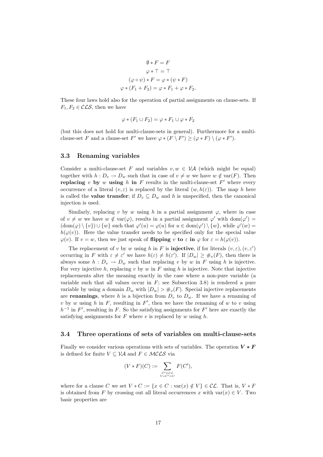$$
\emptyset * F = F
$$
  
\n
$$
\varphi * T = T
$$
  
\n
$$
(\varphi \circ \psi) * F = \varphi * (\psi * F)
$$
  
\n
$$
\varphi * (F_1 + F_2) = \varphi * F_1 + \varphi * F_2.
$$

These four laws hold also for the operation of partial assignments on clause-sets. If  $F_1, F_2 \in \mathcal{CLS}$ , then we have

$$
\varphi * (F_1 \cup F_2) = \varphi * F_1 \cup \varphi * F_2
$$

(but this does not hold for multi-clause-sets in general). Furthermore for a multiclause-set F and a clause-set F' we have  $\varphi * (F \setminus F') \geq (\varphi * F) \setminus (\varphi * F')$ .

#### 3.3 Renaming variables

Consider a multi-clause-set F and variables  $v, w \in V\mathcal{A}$  (which might be equal) together with  $h : D_v \to D_w$  such that in case of  $v \neq w$  we have  $w \notin \text{var}(F)$ . Then replacing v by w using h in F results in the multi-clause-set  $F'$  where every occurrence of a literal  $(v, \varepsilon)$  is replaced by the literal  $(w, h(\varepsilon))$ . The map h here is called the **value transfer**; if  $D_v \subseteq D_w$  and h is unspecified, then the canonical injection is used.

Similarly, replacing v by w using h in a partial assignment  $\varphi$ , where in case of  $v \neq w$  we have  $w \notin \text{var}(\varphi)$ , results in a partial assignment  $\varphi'$  with  $\text{dom}(\varphi') =$  $(\text{dom}(\varphi) \setminus \{v\}) \cup \{w\}$  such that  $\varphi'(u) = \varphi(u)$  for  $u \in \text{dom}(\varphi') \setminus \{w\}$ , while  $\varphi'(w) =$  $h(\varphi(v))$ . Here the value transfer needs to be specified only for the special value  $\varphi(v)$ . If  $v = w$ , then we just speak of **flipping** v to  $\varepsilon$  in  $\varphi$  for  $\varepsilon = h(\varphi(v))$ .

The replacement of v by w using h in F is **injective**, if for literals  $(v, \varepsilon), (v, \varepsilon')$ occurring in F with  $\varepsilon \neq \varepsilon'$  we have  $h(\varepsilon) \neq h(\varepsilon')$ . If  $|D_w| \geq \#_v(F)$ , then there is always some  $h: D_v \to D_w$  such that replacing v by w in F using h is injective. For very injective  $h$ , replacing  $v$  by  $w$  in  $F$  using  $h$  is injective. Note that injective replacements alter the meaning exactly in the case where a non-pure variable (a variable such that all values occur in  $F$ ; see Subsection 3.8) is rendered a pure variable by using a domain  $D_w$  with  $|D_w| > #_v(F)$ . Special injective replacements are **renamings**, where h is a bijection from  $D_v$  to  $D_w$ . If we have a renaming of v by w using h in F, resulting in  $F'$ , then we have the renaming of w to v using  $h^{-1}$  in F', resulting in F. So the satisfying assignments for F' here are exactly the satisfying assignments for  $F$  where  $v$  is replaced by  $w$  using  $h$ .

#### 3.4 Three operations of sets of variables on multi-clause-sets

Finally we consider various operations with sets of variables. The operation  $V * F$ is defined for finite  $V \subseteq V\mathcal{A}$  and  $F \in \mathcal{MCLS}$  via

$$
(V * F)(C) := \sum_{\substack{C' \in \mathcal{CL} \\ V * C' = C}} F(C'),
$$

where for a clause C we set  $V * C := \{x \in C : \text{var}(x) \notin V\} \in \mathcal{CL}$ . That is,  $V * F$ is obtained from F by crossing out all literal occurrences x with  $var(x) \in V$ . Two basic properties are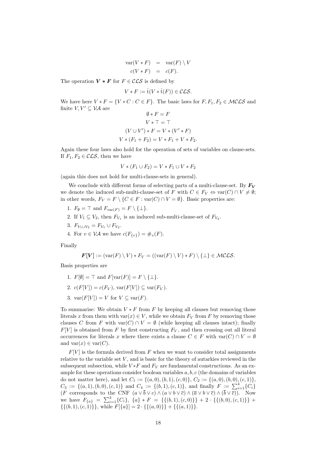$$
\operatorname{var}(V * F) = \operatorname{var}(F) \setminus V
$$
  

$$
c(V * F) = c(F).
$$

The operation  $V * F$  for  $F \in \mathcal{CLS}$  is defined by

$$
V * F := \hat{\mathbf{t}}(V * \check{\mathbf{t}}(F)) \in \mathcal{CLS}.
$$

We have here  $V * F = \{V * C : C \in F\}$ . The basic laws for  $F, F_1, F_2 \in \mathcal{MCLS}$  and finite  $V, V' \subseteq \mathcal{VA}$  are

$$
\emptyset * F = F
$$
  
\n
$$
V * T = T
$$
  
\n
$$
(V \cup V') * F = V * (V' * F)
$$
  
\n
$$
V * (F_1 + F_2) = V * F_1 + V * F_2.
$$

Again these four laws also hold for the operation of sets of variables on clause-sets. If  $F_1, F_2 \in \mathcal{CLS}$ , then we have

$$
V * (F_1 \cup F_2) = V * F_1 \cup V * F_2
$$

(again this does not hold for multi-clause-sets in general).

We conclude with different forms of selecting parts of a multi-clause-set. By  $F_V$ we denote the induced sub-multi-clause-set of F with  $C \in F_V \Leftrightarrow \text{var}(C) \cap V \neq \emptyset$ ; in other words,  $F_V = F \setminus \{C \in F : \text{var}(C) \cap V = \emptyset\}$ . Basic properties are:

- 1.  $F_{\emptyset} = \top$  and  $F_{var(F)} = F \setminus \{\bot\}.$
- 2. If  $V_1 \subseteq V_2$ , then  $F_{V_1}$  is an induced sub-multi-clause-set of  $F_{V_2}$ .
- 3.  $F_{V_1 \cup V_2} = F_{V_1} \cup F_{V_2}$ .
- 4. For  $v \in \mathcal{VA}$  we have  $c(F_{\{v\}}) = \#_v(F)$ .

Finally

$$
\boldsymbol{F}[V] := (\text{var}(F) \setminus V) * F_V = ((\text{var}(F) \setminus V) * F) \setminus \{\perp\} \in \mathcal{MCLS}.
$$

Basis properties are

- 1.  $F[\emptyset] = \top$  and  $F[\text{var}(F)] = F \setminus {\bot}.$
- 2.  $c(F[V]) = c(F_V)$ ,  $var(F[V]) \subseteq var(F_V)$ .
- 3.  $var(F[V]) = V$  for  $V \subseteq var(F)$ .

To summarise: We obtain  $V * F$  from F by keeping all clauses but removing those literals x from them with var $(x) \in V$ , while we obtain  $F_V$  from F by removing those clauses C from F with  $var(C) \cap V = \emptyset$  (while keeping all clauses intact); finally  $F[V]$  is obtained from F by first constructing  $F_V$ , and then crossing out all literal occurrences for literals x where there exists a clause  $C \in F$  with  $var(C) \cap V = \emptyset$ and  $var(x) \in var(C)$ .

 $F[V]$  is the formula derived from F when we want to consider total assignments relative to the variable set  $V$ , and is basic for the theory of autarkies reviewed in the subsequent subsection, while  $V * F$  and  $F_V$  are fundamental constructions. As an example for these operations consider boolean variables  $a, b, c$  (the domains of variables do not matter here), and let  $C_1 := \{(a, 0), (b, 1), (c, 0)\}, C_2 := \{(a, 0), (b, 0), (c, 1)\},$  $C_3 := \{(a, 1), (b, 0), (c, 1)\}\$ and  $C_4 := \{(b, 1), (c, 1)\}\$ , and finally  $F := \sum_{i=1}^{4} \{C_i\}$ (F corresponds to the CNF  $(a \vee b \vee c) \wedge (a \vee b \vee \overline{c}) \wedge (\overline{a} \vee b \vee \overline{c}) \wedge (b \vee \overline{c})$ ). Now we have  $F_{\{a\}} = \sum_{i=1}^{3} \{C_i\}, \{a\} * F = \{\{(b, 1), (c, 0)\}\} + 2 \cdot \{\{(b, 0), (c, 1)\}\} +$  $\{\{(b, 1), (c, 1)\}\}\$ , while  $F[\{a\}] = 2 \cdot \{\{(a, 0)\}\} + \{\{(a, 1)\}\}\$ .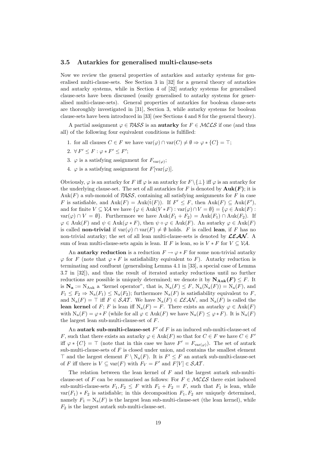#### 3.5 Autarkies for generalised multi-clause-sets

Now we review the general properties of autarkies and autarky systems for generalised multi-clause-sets. See Section 3 in [32] for a general theory of autarkies and autarky systems, while in Section 4 of [32] autarky systems for generalised clause-sets have been discussed (easily generalised to autarky systems for generalised multi-clause-sets). General properties of autarkies for boolean clause-sets are thoroughly investigated in [31], Section 3, while autarky systems for boolean clause-sets have been introduced in [33] (see Sections 4 and 8 for the general theory).

A partial assignment  $\varphi \in PASS$  is an **autarky** for  $F \in MCLS$  if one (and thus all) of the following four equivalent conditions is fulfilled:

- 1. for all clauses  $C \in F$  we have  $\text{var}(\varphi) \cap \text{var}(C) \neq \emptyset \Rightarrow \varphi * \{C\} = \top;$
- 2.  $\forall F' \leq F : \varphi * F' \leq F'$ ;
- 3.  $\varphi$  is a satisfying assignment for  $F_{var(\varphi)}$ ;
- 4.  $\varphi$  is a satisfying assignment for  $F[\text{var}(\varphi)]$ .

Obviously,  $\varphi$  is an autarky for F iff  $\varphi$  is an autarky for  $F \setminus \{\perp\}$  iff  $\varphi$  is an autarky for the underlying clause-set. The set of all autarkies for F is denoted by  $\text{Auk}(F)$ ; it is Auk(F) a sub-monoid of  $PASS$ , containing all satisfying assignments for F in case F is satisfiable, and  $\text{Aut}(F) = \text{Aut}(\hat{t}(F))$ . If  $F' \leq F$ , then  $\text{Aut}(F) \subseteq \text{Aut}(F')$ , and for finite  $V \subseteq V\mathcal{A}$  we have  $\{\varphi \in \text{Aut}(V * F) : \text{var}(\varphi) \cap V = \emptyset\} = \{\varphi \in \text{Aut}(F) :$  $var(\varphi) \cap V = \emptyset$ . Furthermore we have  ${\rm Auk}(F_1 + F_2) = {\rm Auk}(F_1) \cap {\rm Auk}(F_2)$ . If  $\varphi \in \text{Aut}(F)$  and  $\psi \in \text{Aut}(\varphi * F)$ , then  $\psi \circ \varphi \in \text{Aut}(F)$ . An autarky  $\varphi \in \text{Aut}(F)$ is called **non-trivial** if  $\text{var}(\varphi) \cap \text{var}(F) \neq \emptyset$  holds. F is called lean, if F has no non-trivial autarky; the set of all lean multi-clause-sets is denoted by  $\mathcal{LEAN}$ . A sum of lean multi-clause-sets again is lean. If F is lean, so is  $V * F$  for  $V \subseteq V\mathcal{A}$ .

An autarky reduction is a reduction  $F \to \varphi * F$  for some non-trivial autarky  $\varphi$  for F (note that  $\varphi * F$  is satisfiability equivalent to F). Autarky reduction is terminating and confluent (generalising Lemma 4.1 in [33], a special case of Lemma 3.7 in [32]), and thus the result of iterated autarky reductions until no further reductions are possible is uniquely determined; we denote it by  $N_{\text{Auk}}(F) \leq F$ . It is  $\mathbf{N}_a := N_{Auk}$  a "kernel operator", that is,  $N_a(F) \leq F$ ,  $N_a(N_a(F)) = N_a(F)$ , and  $F_1 \leq F_2 \Rightarrow N_a(F_1) \leq N_a(F_2)$ ; furthermore  $N_a(F)$  is satisfiability equivalent to F, and  $N_a(F) = \top$  iff  $F \in \mathcal{SAT}$ . We have  $N_a(F) \in \mathcal{LEAN}$ , and  $N_a(F)$  is called the lean kernel of F; F is lean iff  $N_a(F) = F$ . There exists an autarky  $\varphi \in \text{Aut}(F)$ with  $N_a(F) = \varphi * F$  (while for all  $\varphi \in \text{Aut}(F)$  we have  $N_a(F) \leq \varphi * F$ ). It is  $N_a(F)$ the largest lean sub-multi-clause-set of F.

An autark sub-multi-clause-set  $F'$  of  $F$  is an induced sub-multi-clause-set of F, such that there exists an autarky  $\varphi \in \text{Aut}(F)$  so that for  $C \in F$  we have  $C \in F'$ iff  $\varphi * \{C\} = \top$  (note that in this case we have  $F' = F_{var(\varphi)}$ ). The set of autark sub-multi-clause-sets of  $F$  is closed under union, and contains the smallest element  $\top$  and the largest element  $F \setminus N_a(F)$ . It is  $F' \leq F$  an autark sub-multi-clause-set of F iff there is  $V \subseteq \text{var}(F)$  with  $F_V = F'$  and  $F[V] \in \mathcal{SAT}$ .

The relation between the lean kernel of  $F$  and the largest autark sub-multiclause-set of F can be summarised as follows: For  $F \in \mathcal{MCLS}$  there exist induced sub-multi-clause-sets  $F_1, F_2 \leq F$  with  $F_1 + F_2 = F$ , such that  $F_1$  is lean, while  $var(F_1) * F_2$  is satisfiable; in this decomposition  $F_1, F_2$  are uniquely determined, namely  $F_1 = N_a(F)$  is the largest lean sub-multi-clause-set (the lean kernel), while  $F_2$  is the largest autark sub-multi-clause-set.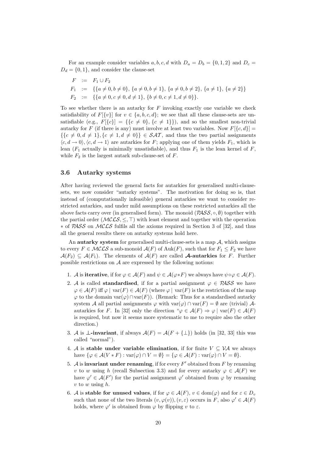For an example consider variables a, b, c, d with  $D_a = D_b = \{0, 1, 2\}$  and  $D_c =$  $D_d = \{0, 1\}$ , and consider the clause-set

$$
F := F_1 \cup F_2
$$
  
\n
$$
F_1 := \{ \{a \neq 0, b \neq 0 \}, \{a \neq 0, b \neq 1 \}, \{a \neq 0, b \neq 2 \}, \{a \neq 1 \}, \{a \neq 2 \} \}
$$
  
\n
$$
F_2 := \{ \{a \neq 0, c \neq 0, d \neq 1 \}, \{b \neq 0, c \neq 1, d \neq 0 \} \}.
$$

To see whether there is an autarky for  $F$  invoking exactly one variable we check satisfiability of  $F[\{v\}]$  for  $v \in \{a, b, c, d\}$ ; we see that all these clause-sets are unsatisfiable (e.g.,  $F[\{c\}] = {\{c \neq 0\}, \{c \neq 1\}}$ ), and so the smallest non-trivial autarky for F (if there is any) must involve at least two variables. Now  $F[\{c, d\}] =$  $\{c \neq 0, d \neq 1\}, \{c \neq 1, d \neq 0\}\}\in \mathcal{SAT}$ , and thus the two partial assignments  $\langle c, d \to 0 \rangle, \langle c, d \to 1 \rangle$  are autarkies for F; applying one of them yields  $F_1$ , which is lean  $(F_1$  actually is minimally unsatisfiable), and thus  $F_1$  is the lean kernel of  $F$ , while  $F_2$  is the largest autark sub-clause-set of  $F$ .

#### 3.6 Autarky systems

After having reviewed the general facts for autarkies for generalised multi-clausesets, we now consider "autarky systems". The motivation for doing so is, that instead of (computationally infeasible) general autarkies we want to consider restricted autarkies, and under mild assumptions on these restricted autarkies all the above facts carry over (in generalised form). The monoid  $(PASS, \circ, \emptyset)$  together with the partial order ( $MCLS, \leq, \top$ ) with least element and together with the operation ∗ of PASS on MCLS fulfils all the axioms required in Section 3 of [32], and thus all the general results there on autarky systems hold here.

An autarky system for generalised multi-clause-sets is a map  $A$ , which assigns to every  $F \in \mathcal{MCLS}$  a sub-monoid  $\mathcal{A}(F)$  of  $\text{Aut}(F)$ , such that for  $F_1 \leq F_2$  we have  $\mathcal{A}(F_2) \subseteq \mathcal{A}(F_1)$ . The elements of  $\mathcal{A}(F)$  are called **A-autarkies** for F. Further possible restrictions on  $A$  are expressed by the following notions:

- 1. A is iterative, if for  $\varphi \in \mathcal{A}(F)$  and  $\psi \in \mathcal{A}(\varphi * F)$  we always have  $\psi \circ \varphi \in \mathcal{A}(F)$ .
- 2. A is called **standardised**, if for a partial assignment  $\varphi \in PASS$  we have  $\varphi \in \mathcal{A}(F)$  iff  $\varphi \mid \text{var}(F) \in \mathcal{A}(F)$  (where  $\varphi \mid \text{var}(F)$  is the restriction of the map  $\varphi$  to the domain var $(\varphi) \cap \text{var}(F)$ ). (Remark: Thus for a standardised autarky system A all partial assignments  $\varphi$  with  $var(\varphi) \cap var(F) = \emptyset$  are (trivial) Aautarkies for F. In [32] only the direction " $\varphi \in \mathcal{A}(F) \Rightarrow \varphi \mid \text{var}(F) \in \mathcal{A}(F)$ is required, but now it seems more systematic to me to require also the other direction.)
- 3. A is  $\bot$ -invariant, if always  $\mathcal{A}(F) = \mathcal{A}(F + {\bot})$  holds (in [32, 33] this was called "normal").
- 4. A is stable under variable elimination, if for finite  $V \subseteq V\mathcal{A}$  we always have  $\{\varphi \in \mathcal{A}(V * F) : \text{var}(\varphi) \cap V = \emptyset\} = \{\varphi \in \mathcal{A}(F) : \text{var}(\varphi) \cap V = \emptyset\}.$
- 5. A is invariant under renaming, if for every  $F'$  obtained from  $F$  by renaming v to w using h (recall Subsection 3.3) and for every autarky  $\varphi \in \mathcal{A}(F)$  we have  $\varphi' \in \mathcal{A}(F')$  for the partial assignment  $\varphi'$  obtained from  $\varphi$  by renaming  $v$  to  $w$  using  $h$ .
- 6. A is stable for unused values, if for  $\varphi \in \mathcal{A}(F)$ ,  $v \in \text{dom}(\varphi)$  and for  $\varepsilon \in D_v$ such that none of the two literals  $(v, \varphi(v)), (v, \varepsilon)$  occurs in F, also  $\varphi' \in \mathcal{A}(F)$ holds, where  $\varphi'$  is obtained from  $\varphi$  by flipping v to  $\varepsilon$ .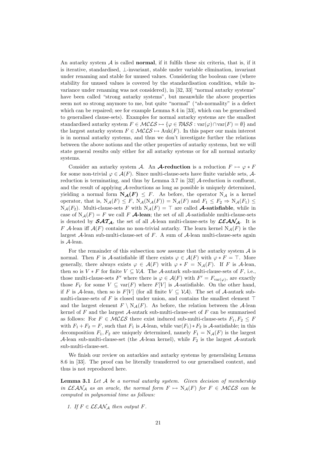An autarky system  $A$  is called **normal**, if it fulfils these six criteria, that is, if it is iterative, standardised, ⊥-invariant, stable under variable elimination, invariant under renaming and stable for unused values. Considering the boolean case (where stability for unused values is covered by the standardisation condition, while invariance under renaming was not considered), in [32, 33] "normal autarky systems" have been called "strong autarky systems", but meanwhile the above properties seem not so strong anymore to me, but quite "normal" ("ab-normality" is a defect which can be repaired; see for example Lemma 8.4 in [33], which can be generalised to generalised clause-sets). Examples for normal autarky systems are the smallest standardised autarky system  $F \in \mathcal{MCLS} \mapsto {\varphi \in \mathcal{PASS}} : \text{var}(\varphi) \cap \text{var}(F) = \emptyset$  and the largest autarky system  $F \in MCLS \mapsto \text{Auk}(F)$ . In this paper our main interest is in normal autarky systems, and thus we don't investigate further the relations between the above notions and the other properties of autarky systems, but we will state general results only either for all autarky systems or for all normal autarky systems.

Consider an autarky system A. An **A-reduction** is a reduction  $F \mapsto \varphi * F$ for some non-trivial  $\varphi \in \mathcal{A}(F)$ . Since multi-clause-sets have finite variable sets,  $\mathcal{A}$ reduction is terminating, and thus by Lemma 3.7 in [32] A-reduction is confluent, and the result of applying A-reductions as long as possible is uniquely determined, yielding a normal form  $N_{\mathcal{A}}(F) \leq F$ . As before, the operator  $N_{\mathcal{A}}$  is a kernel operator, that is,  $N_{\mathcal{A}}(F) \leq F$ ,  $N_{\mathcal{A}}(N_{\mathcal{A}}(F)) = N_{\mathcal{A}}(F)$  and  $F_1 \leq F_2 \Rightarrow N_{\mathcal{A}}(F_1) \leq$  $N_{\mathcal{A}}(F_2)$ . Multi-clause-sets F with  $N_{\mathcal{A}}(F) = \top$  are called **A-satisfiable**, while in case of  $N_{\mathcal{A}}(F) = F$  we call F  $\mathcal{A}$ -lean; the set of all  $\mathcal{A}$ -satisfiable multi-clause-sets is denoted by  $\mathcal{SAT}_{\mathcal{A}}$ , the set of all A-lean multi-clause-sets by  $\mathcal{LEAN}_{\mathcal{A}}$ . It is F A-lean iff  $A(F)$  contains no non-trivial autarky. The learn kernel  $N_A(F)$  is the largest  $A$ -lean sub-multi-clause-set of  $F$ . A sum of  $A$ -lean multi-clause-sets again is A-lean.

For the remainder of this subsection now assume that the autarky system  $A$  is normal. Then F is A-satisfiable iff there exists  $\varphi \in \mathcal{A}(F)$  with  $\varphi * F = \top$ . More generally, there always exists  $\varphi \in \mathcal{A}(F)$  with  $\varphi * F = N_{\mathcal{A}}(F)$ . If F is A-lean, then so is  $V * F$  for finite  $V \subseteq V\mathcal{A}$ . The A-autark sub-multi-clause-sets of F, i.e., those multi-clause-sets F' where there is  $\varphi \in \mathcal{A}(F)$  with  $F' = F_{var(\varphi)}$ , are exactly those  $F_V$  for some  $V \subseteq \text{var}(F)$  where  $F[V]$  is A-satisfiable. On the other hand, if F is A-lean, then so is  $F[V]$  (for all finite  $V \subseteq V\mathcal{A}$ ). The set of A-autark submulti-clause-sets of  $F$  is closed under union, and contains the smallest element  $\top$ and the largest element  $F \setminus N_{\mathcal{A}}(F)$ . As before, the relation between the A-lean kernel of  $F$  and the largest  $A$ -autark sub-multi-clause-set of  $F$  can be summarised as follows: For  $F \in \mathcal{MCLS}$  there exist induced sub-multi-clause-sets  $F_1, F_2 \leq F$ with  $F_1 + F_2 = F$ , such that  $F_1$  is A-lean, while var $(F_1) * F_2$  is A-satisfiable; in this decomposition  $F_1, F_2$  are uniquely determined, namely  $F_1 = N_{\mathcal{A}}(F)$  is the largest A-lean sub-multi-clause-set (the A-lean kernel), while  $F_2$  is the largest A-autark sub-multi-clause-set.

We finish our review on autarkies and autarky systems by generalising Lemma 8.6 in [33]. The proof can be literally transferred to our generalised context, and thus is not reproduced here.

Lemma 3.1 Let A be a normal autarky system. Given decision of membership in  $LEAN_A$  as an oracle, the normal form  $F \mapsto N_A(F)$  for  $F \in MCLS$  can be computed in polynomial time as follows:

1. If  $F \in \mathcal{LEAN}_\mathcal{A}$  then output F.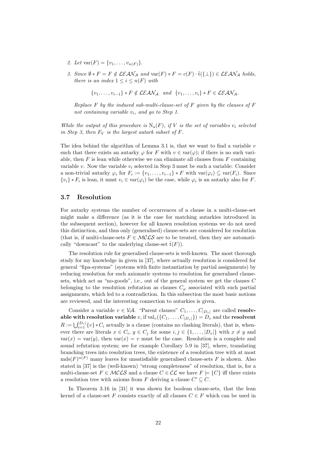- 2. Let  $\text{var}(F) = \{v_1, \ldots, v_{n(F)}\}.$
- 3. Since  $\emptyset * F = F \notin \mathcal{LEAN}_{\mathcal{A}}$  and  $\text{var}(F) * F = c(F) \cdot \check{t}(\{\bot\}) \in \mathcal{LEAN}_{\mathcal{A}}$  holds, there is an index  $1 \leq i \leq n(F)$  with

 $\{v_1, \ldots, v_{i-1}\} * F \notin \mathcal{LEAN}_{\mathcal{A}}$  and  $\{v_1, \ldots, v_i\} * F \in \mathcal{LEAN}_{\mathcal{A}}$ .

Replace  $F$  by the induced sub-multi-clause-set of  $F$  given by the clauses of  $F$ not containing variable  $v_i$ , and go to Step 1.

While the output of this procedure is  $N_a(F)$ , if V is the set of variables  $v_i$  selected in Step 3, then  $F_V$  is the largest autark subset of F.

The idea behind the algorithm of Lemma 3.1 is, that we want to find a variable  $v$ such that there exists an autarky  $\varphi$  for F with  $v \in \text{var}(\varphi)$ ; if there is no such variable, then  $F$  is lean while otherwise we can eliminate all clauses from  $F$  containing variable v. Now the variable  $v_i$  selected in Step 3 must be such a variable: Consider a non-trivial autarky  $\varphi_i$  for  $F_i := \{v_1, \ldots, v_{i-1}\} * F$  with  $var(\varphi_i) \subseteq var(F_i)$ . Since  $\{v_i\} * F_i$  is lean, it must  $v_i \in \text{var}(\varphi_i)$  be the case, while  $\varphi_i$  is an autarky also for F.

#### 3.7 Resolution

For autarky systems the number of occurrences of a clause in a multi-clause-set might make a difference (as it is the case for matching autarkies introduced in the subsequent section), however for all known resolution systems we do not need this distinction, and thus only (generalised) clause-sets are considered for resolution (that is, if multi-clause-sets  $F \in \mathcal{MCLS}$  are to be treated, then they are automatically "downcast" to the underlying clause-set  $\hat{t}(F)$ ).

The resolution rule for generalised clause-sets is well-known. The most thorough study for my knowledge in given in [37], where actually resolution is considered for general "fipa-systems" (systems with finite instantiation by partial assignments) by reducing resolution for such axiomatic systems to resolution for generalised clausesets, which act as "no-goods", i.e., out of the general system we get the clauses C belonging to the resolution refutation as clauses  $C_{\varphi}$  associated with such partial assignments, which led to a contradiction. In this subsection the most basic notions are reviewed, and the interesting connection to autarkies is given.

Consider a variable  $v \in V\mathcal{A}$ . "Parent clauses"  $C_1, \ldots, C_{|D_v|}$  are called **resolv**able with resolution variable v, if  $val_v({C_1, ..., C_{|D_v|}}) = D_v$  and the resolvent  $R := \bigcup_{i=1}^{|D_v|} \{v\} * C_i$  actually is a clause (contains no clashing literals), that is, whenever there are literals  $x \in C_i$ ,  $y \in C_j$  for some  $i, j \in \{1, \ldots, |D_v|\}$  with  $x \neq y$  and  $var(x) = var(y)$ , then  $var(x) = v$  must be the case. Resolution is a complete and sound refutation system; see for example Corollary 5.9 in [37], where, translating branching trees into resolution trees, the existence of a resolution tree with at most  $mds(F)^{n(F)}$  many leaves for unsatisfiable generalised clause-sets F is shown. Also stated in [37] is the (well-known) "strong completeness" of resolution, that is, for a multi-clause-set  $F \in \mathcal{MCLS}$  and a clause  $C \in \mathcal{CL}$  we have  $F \models \{C\}$  iff there exists a resolution tree with axioms from F deriving a clause  $C' \subseteq C$ .

In Theorem 3.16 in [31] it was shown for boolean clause-sets, that the lean kernel of a clause-set F consists exactly of all clauses  $C \in F$  which can be used in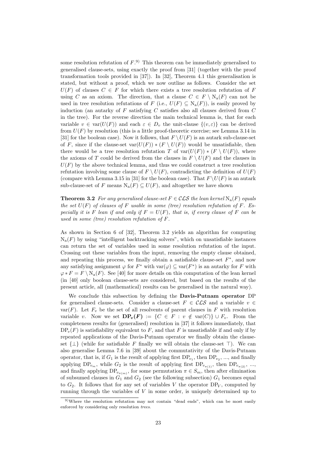some resolution refutation of  $F^{(9)}$ . This theorem can be immediately generalised to generalised clause-sets, using exactly the proof from [31] (together with the proof transformation tools provided in [37]). In [32], Theorem 4.1 this generalisation is stated, but without a proof, which we now outline as follows. Consider the set  $U(F)$  of clauses  $C \in F$  for which there exists a tree resolution refutation of F using C as an axiom. The direction, that a clause  $C \in F \setminus N_a(F)$  can not be used in tree resolution refutations of F (i.e.,  $U(F) \subseteq N_a(F)$ ), is easily proved by induction (an autarky of  $F$  satisfying  $C$  satisfies also all clauses derived from  $C$ in the tree). For the reverse direction the main technical lemma is, that for each variable  $v \in \text{var}(U(F))$  and each  $\varepsilon \in D_v$  the unit-clause  $\{(v, \varepsilon)\}\)$  can be derived from  $U(F)$  by resolution (this is a little proof-theoretic exercise; see Lemma 3.14 in [31] for the boolean case). Now it follows, that  $F \setminus U(F)$  is an autark sub-clause-set of F, since if the clause-set  $var(U(F)) * (F \setminus U(F))$  would be unsatisfiable, then there would be a tree resolution refutation T of  $var(U(F)) * (F \setminus U(F))$ , where the axioms of T could be derived from the clauses in  $F \setminus U(F)$  and the clauses in  $U(F)$  by the above technical lemma, and thus we could construct a tree resolution refutation involving some clause of  $F \setminus U(F)$ , contradicting the definition of  $U(F)$ (compare with Lemma 3.15 in [31] for the boolean case). That  $F \setminus U(F)$  is an autark sub-clause-set of F means  $N_a(F) \subseteq U(F)$ , and altogether we have shown

**Theorem 3.2** For any generalised clause-set  $F \in \mathcal{CLS}$  the lean kernel  $N_a(F)$  equals the set  $U(F)$  of clauses of F usable in some (tree) resolution refutation of F. Especially it is F lean if and only if  $F = U(F)$ , that is, if every clause of F can be used in some (tree) resolution refutation of F.

As shown in Section 6 of [32], Theorem 3.2 yields an algorithm for computing  $N_a(F)$  by using "intelligent backtracking solvers", which on unsatisfiable instances can return the set of variables used in some resolution refutation of the input. Crossing out these variables from the input, removing the empty clause obtained, and repeating this process, we finally obtain a satisfiable clause-set  $F^*$ , and now any satisfying assignment  $\varphi$  for  $F^*$  with  $\text{var}(\varphi) \subseteq \text{var}(F^*)$  is an autarky for F with  $\varphi * F = F \setminus N_a(F)$ . See [40] for more details on this computation of the lean kernel (in [40] only boolean clause-sets are considered, but based on the results of the present article, all (mathematical) results can be generalised in the natural way).

We conclude this subsection by defining the Davis-Putnam operator DP for generalised clause-sets. Consider a clause-set  $F \in \mathcal{CLS}$  and a variable  $v \in$ var(F). Let  $F_v$  be the set of all resolvents of parent clauses in F with resolution variable v. Now we set  $DP_v(F) := \{ C \in F : v \notin \text{var}(C) \} \cup F_v$ . From the completeness results for (generalised) resolution in [37] it follows immediately, that  $DP<sub>v</sub>(F)$  is satisfiability equivalent to F, and that F is unsatisfiable if and only if by repeated applications of the Davis-Putnam operator we finally obtain the clauseset  $\{\perp\}$  (while for satisfiable F finally we will obtain the clause-set  $\top$ ). We can also generalise Lemma 7.6 in [39] about the commutativity of the Davis-Putnam operator, that is, if  $G_1$  is the result of applying first  $DP_{v_1}$ , then  $DP_{v_2}$ , ..., and finally applying  $DP_{v_m}$ , while  $G_2$  is the result of applying first  $DP_{v_{\pi(1)}}$ , then  $DP_{v_{\pi(2)}}$ , ..., and finally applying  $DP_{v_{\pi(m)}}$ , for some permutation  $\pi \in S_m$ , then after elimination of subsumed clauses in  $G_1$  and  $G_2$  (see the following subsection)  $G_1$  becomes equal to  $G_2$ . It follows that for any set of variables V the operator  $DP_V$ , computed by running through the variables of V in some order, is uniquely determined up to

<sup>9)</sup>Where the resolution refutation may not contain "dead ends", which can be most easily enforced by considering only resolution trees.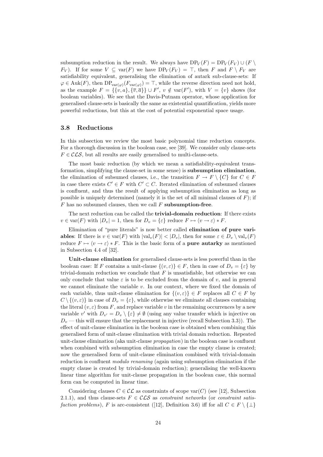subsumption reduction in the result. We always have  $DP_V(F) = DP_V(F_V) \cup (F \setminus$  $F_V$ ). If for some  $V \subseteq \text{var}(F)$  we have  $DP_V(F_V) = \top$ , then F and  $F \setminus F_V$  are satisfiability equivalent, generalising the elimination of autark sub-clause-sets: If  $\varphi \in \text{Auk}(F)$ , then  $DP_{\text{var}(\varphi)}(F_{\text{var}(\varphi)}) = \top$ , while the reverse direction need not hold, as the example  $F = \{\{v, a\}, \{\overline{v}, \overline{a}\}\} \cup F'$ ,  $v \notin \text{var}(F')$ , with  $V = \{v\}$  shows (for boolean variables). We see that the Davis-Putnam operator, whose application for generalised clause-sets is basically the same as existential quantification, yields more powerful reductions, but this at the cost of potential exponential space usage.

#### 3.8 Reductions

In this subsection we review the most basic polynomial time reduction concepts. For a thorough discussion in the boolean case, see [39]. We consider only clause-sets  $F \in \mathcal{CLS}$ , but all results are easily generalised to multi-clause-sets.

The most basic reduction (by which we mean a satisfiability-equivalent transformation, simplifying the clause-set in some sense) is subsumption elimination, the elimination of subsumed clauses, i.e., the transition  $F \to F \setminus \{C\}$  for  $C \in F$ in case there exists  $C' \in F$  with  $C' \subset C$ . Iterated elimination of subsumed clauses is confluent, and thus the result of applying subsumption elimination as long as possible is uniquely determined (namely it is the set of all minimal clauses of  $F$ ); if  $F$  has no subsumed clauses, then we call  $F$  subsumption-free.

The next reduction can be called the trivial-domain reduction: If there exists  $v \in \text{var}(F)$  with  $|D_v| = 1$ , then for  $D_v = {\varepsilon}$  reduce  $F \mapsto \langle v \to \varepsilon \rangle * F$ .

Elimination of "pure literals" is now better called elimination of pure variables: If there is  $v \in \text{var}(F)$  with  $|\text{val}_v(F)| < |D_v|$ , then for some  $\varepsilon \in D_v \setminus \text{val}_v(F)$ reduce  $F \mapsto \langle v \to \varepsilon \rangle * F$ . This is the basic form of a **pure autarky** as mentioned in Subsection 4.4 of [32].

Unit-clause elimination for generalised clause-sets is less powerful than in the boolean case: If F contains a unit-clause  $\{(v, \varepsilon)\}\in F$ , then in case of  $D_v = {\varepsilon}$  by trivial-domain reduction we conclude that  $F$  is unsatisfiable, but otherwise we can only conclude that value  $\varepsilon$  is to be excluded from the domain of v, and in general we cannot eliminate the variable  $v$ . In our context, where we fixed the domain of each variable, thus unit-clause elimination for  $\{(v, \varepsilon)\}\in F$  replaces all  $C\in F$  by  $C \setminus \{ (v, \varepsilon) \}$  in case of  $D_v = \{ \varepsilon \}$ , while otherwise we eliminate all clauses containing the literal  $(v, \varepsilon)$  from F, and replace variable v in the remaining occurrences by a new variable v' with  $D_{v'} = D_v \setminus \{\varepsilon\} \neq \emptyset$  (using any value transfer which is injective on  $D_v$  — this will ensure that the replacement in injective (recall Subsection 3.3)). The effect of unit-clause elimination in the boolean case is obtained when combining this generalised form of unit-clause elimination with trivial domain reduction. Repeated unit-clause elimination (aka unit-clause propagation) in the boolean case is confluent when combined with subsumption elimination in case the empty clause is created; now the generalised form of unit-clause elimination combined with trivial-domain reduction is confluent *modulo renaming* (again using subsumption elimination if the empty clause is created by trivial-domain reduction); generalising the well-known linear time algorithm for unit-clause propagation in the boolean case, this normal form can be computed in linear time.

Considering clauses  $C \in \mathcal{CL}$  as constraints of scope var(C) (see [12], Subsection 2.1.1), and thus clause-sets  $F \in \mathcal{CLS}$  as constraint networks (or constraint satisfaction problems), F is arc-consistent ([12], Definition 3.6) iff for all  $C \in F \setminus \{\perp\}$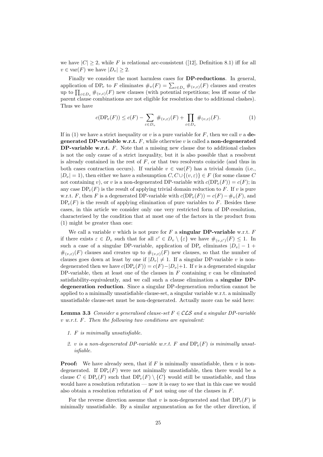we have  $|C| \geq 2$ , while F is relational arc-consistent ([12], Definition 8.1) iff for all  $v \in \text{var}(F)$  we have  $|D_v| \geq 2$ .

Finally we consider the most harmless cases for DP-reductions. In general, application of DP<sub>v</sub> to F eliminates  $\#_v(F) = \sum_{\varepsilon \in D_v} \#_{(v,\varepsilon)}(F)$  clauses and creates up to  $\prod_{\varepsilon \in D_v} \#_{(v,\varepsilon)}(F)$  new clauses (with potential repetitions; less iff some of the parent clause combinations are not eligible for resolution due to additional clashes). Thus we have

$$
c(\text{DP}_v(F)) \le c(F) - \sum_{\varepsilon \in D_v} \#_{(v,\varepsilon)}(F) + \prod_{\varepsilon \in D_v} \#_{(v,\varepsilon)}(F). \tag{1}
$$

If in (1) we have a strict inequality or v is a pure variable for  $F$ , then we call v a degenerated DP-variable w.r.t.  $F$ , while otherwise v is called a non-degenerated DP-variable w.r.t.  $F$ . Note that a missing new clause due to additional clashes is not the only cause of a strict inequality, but it is also possible that a resolvent is already contained in the rest of  $F$ , or that two resolvents coincide (and thus in both cases contraction occurs). If variable  $v \in \text{var}(F)$  has a trivial domain (i.e.,  $|D_v| = 1$ , then either we have a subsumption  $C, C \cup \{v, \varepsilon\} \in F$  (for some clause C not containing v), or v is a non-degenerated DP-variable with  $c(DP_v(F)) = c(F)$ ; in any case  $DP<sub>v</sub>(F)$  is the result of applying trivial domain reduction to F. If v is pure w.r.t. F, then F is a degenerated DP-variable with  $c(DP_v(F)) = c(F) - \#_v(F)$ , and  $DP<sub>v</sub>(F)$  is the result of applying elimination of pure variables to F. Besides these cases, in this article we consider only one very restricted form of DP-resolution, characterised by the condition that at most one of the factors in the product from (1) might be greater than one:

We call a variable v which is not pure for  $F$  a **singular DP-variable** w.r.t.  $F$ if there exists  $\varepsilon \in D_v$  such that for all  $\varepsilon' \in D_v \setminus {\varepsilon}$  we have  $\#_{(v,\varepsilon')}(F) \leq 1$ . In such a case of a singular DP-variable, application of DP<sub>v</sub> eliminates  $|D_v| - 1 +$  $\#_{(v,\varepsilon)}(F)$  clauses and creates up to  $\#_{(v,\varepsilon)}(F)$  new clauses, so that the number of clauses goes down at least by one if  $|D_v| \neq 1$ . If a singular DP-variable v is nondegenerated then we have  $c(DP_v(F)) = c(F) - |D_v| + 1$ . If v is a degenerated singular DP-variable, then at least one of the clauses in  $F$  containing  $v$  can be eliminated satisfiability-equivalently, and we call such a clause elimination a singular DPdegeneration reduction. Since a singular DP-degeneration reduction cannot be applied to a minimally unsatisfiable clause-set, a singular variable w.r.t. a minimally unsatisfiable clause-set must be non-degenerated. Actually more can be said here:

**Lemma 3.3** Consider a generalised clause-set  $F \in \mathcal{CLS}$  and a singular DP-variable v w.r.t. F. Then the following two conditions are equivalent:

- 1. F is minimally unsatisfiable.
- 2. v is a non-degenerated DP-variable w.r.t. F and  $DP_v(F)$  is minimally unsatisfiable.

**Proof:** We have already seen, that if F is minimally unsatisfiable, then v is nondegenerated. If  $DP<sub>v</sub>(F)$  were not minimally unsatisfiable, then there would be a clause  $C \in \text{DP}_v(F)$  such that  $\text{DP}_v(F) \setminus \{C\}$  would still be unsatisfiable, and thus would have a resolution refutation — now it is easy to see that in this case we would also obtain a resolution refutation of  $F$  not using one of the clauses in  $F$ .

For the reverse direction assume that v is non-degenerated and that  $DP<sub>v</sub>(F)$  is minimally unsatisfiable. By a similar argumentation as for the other direction, if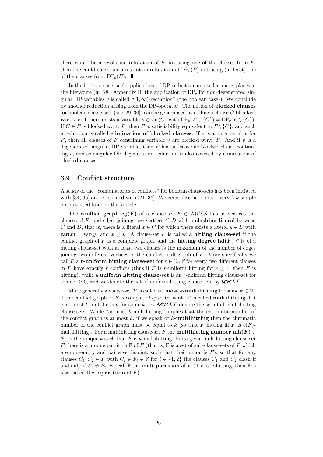there would be a resolution refutation of  $F$  not using one of the clauses from  $F$ , then one could construct a resolution refutation of  $DP<sub>v</sub>(F)$  not using (at least) one of the clauses from  $DP_v(F)$ .

In the boolean case, such applications of DP-reduction are used at many places in the literature (in [28], Appendix B, the application of  $DP<sub>v</sub>$  for non-degenerated singular DP-variables v is called " $(1, \infty)$ -reduction" (the boolean case)). We conclude by another reduction arising from the DP-operator. The notion of blocked clauses for boolean clause-sets (see [29, 30]) can be generalised by calling a clause C **blocked w.r.t.** F if there exists a variable  $v \in \text{var}(C)$  with  $DP_v(F \cup \{C\}) = DP_v(F \setminus \{C\}).$ If  $C \in F$  is blocked w.r.t. F, then F is satisfiability equivalent to  $F \setminus \{C\}$ , and such a reduction is called **elimination of blocked clauses**. If  $v$  is a pure variable for F, then all clauses of F containing variable v are blocked w.r.t. F. And if v is a degenerated singular DP-variable, then  $F$  has at least one blocked clause containing  $v$ , and so singular DP-degeneration reduction is also covered by elimination of blocked clauses.

#### 3.9 Conflict structure

A study of the "combinatorics of conflicts" for boolean clause-sets has been initiated with [34, 35] and continued with [21, 36]. We generalise here only a very few simple notions used later in this article.

The conflict graph cg(F) of a clause-set  $F \in \mathcal{MCLS}$  has as vertices the clauses of F, and edges joining two vertices  $C, D$  with a **clashing literal** between C and D, that is, there is a literal  $x \in C$  for which there exists a literal  $y \in D$  with  $var(x) = var(y)$  and  $x \neq y$ . A clause-set F is called a **hitting clause-set** if the conflict graph of F is a complete graph, and the **hitting degree hd**( $F$ )  $\in \mathbb{N}$  of a hitting clause-set with at least two clauses is the maximum of the number of edges joining two different vertices in the conflict multigraph of F. More specifically we call F a r-uniform hitting clause-set for  $r \in \mathbb{N}_0$  if for every two different clauses in F have exactly r conflicts (thus if F is r-uniform hitting for  $r \geq 1$ , then F is hitting), while a **uniform hitting clause-set** is an  $r$ -uniform hitting clause-set for some  $r \geq 0$ , and we denote the set of uniform hitting clause-sets by  $\mathcal{UHT}$ .

More generally a clause-set F is called at most k-multihitting for some  $k \in \mathbb{N}_0$ if the conflict graph of  $F$  is complete  $k$ -partite, while  $F$  is called **multihitting** if it is at most k-multihitting for some k; let  $\mathcal{MHIT}$  denote the set of all multihitting clause-sets. While "at most k-multihitting" implies that the chromatic number of the conflict graph is at most k, if we speak of  $k$ -multihitting then the chromatic number of the conflict graph must be equal to k (so that F hitting iff F is  $c(F)$ multihitting). For a multihitting clause-set F the **multihitting number mh(F)**  $\in$  $\mathbb{N}_0$  is the unique k such that F is k-multihitting. For a given multihitting clause-set F there is a unique partition  $\mathbb F$  of F (that is,  $\mathbb F$  is a set of sub-clause-sets of F which are non-empty and pairwise disjoint, such that their union is  $F$ ), so that for any clauses  $C_1, C_2 \in F$  with  $C_i \in F_i \in \mathbb{F}$  for  $i \in \{1, 2\}$  the clauses  $C_1$  and  $C_2$  clash if and only if  $F_1 \neq F_2$ ; we call F the **multipartition** of F (if F is bihitting, then F is also called the **bipartition** of  $F$ ).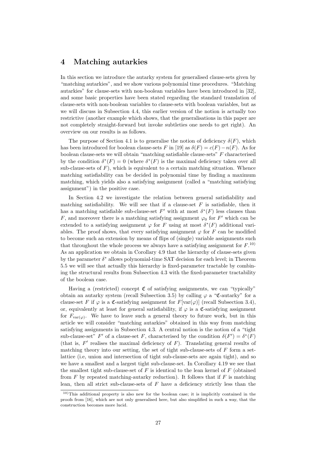## 4 Matching autarkies

In this section we introduce the autarky system for generalised clause-sets given by "matching autarkies", and we show various polynomial time procedures. "Matching autarkies" for clause-sets with non-boolean variables have been introduced in [32], and some basic properties have been stated regarding the standard translation of clause-sets with non-boolean variables to clause-sets with boolean variables, but as we will discuss in Subsection 4.4, this earlier version of the notion is actually too restrictive (another example which shows, that the generalisations in this paper are not completely straight-forward but invoke subtleties one needs to get right). An overview on our results is as follows.

The purpose of Section 4.1 is to generalise the notion of deficiency  $\delta(F)$ , which has been introduced for boolean clause-sets F in [19] as  $\delta(F) = c(F) - n(F)$ . As for boolean clause-sets we will obtain "matching satisfiable clause-sets" F characterised by the condition  $\delta^*(F) = 0$  (where  $\delta^*(F)$  is the maximal deficiency taken over all sub-clause-sets of  $F$ ), which is equivalent to a certain matching situation. Whence matching satisfiability can be decided in polynomial time by finding a maximum matching, which yields also a satisfying assignment (called a "matching satisfying assignment") in the positive case.

In Section 4.2 we investigate the relation between general satisfiability and matching satisfiability. We will see that if a clause-set  $F$  is satisfiable, then it has a matching satisfiable sub-clause-set  $F'$  with at most  $\delta^*(F)$  less clauses than F, and moreover there is a matching satisfying assignment  $\varphi_0$  for F' which can be extended to a satisfying assignment  $\varphi$  for F using at most  $\delta^*(F)$  additional variables. The proof shows, that every satisfying assignment  $\varphi$  for F can be modified to become such an extension by means of flips of (single) variable assignments such that throughout the whole process we always have a satisfying assignment for  $F^{(10)}$ . As an application we obtain in Corollary 4.9 that the hierarchy of clause-sets given by the parameter  $\delta^*$  allows polynomial-time SAT decision for each level; in Theorem 5.5 we will see that actually this hierarchy is fixed-parameter tractable by combining the structural results from Subsection 4.3 with the fixed-parameter tractability of the boolean case.

Having a (restricted) concept  $\mathfrak C$  of satisfying assignments, we can "typically" obtain an autarky system (recall Subsection 3.5) by calling  $\varphi$  a "C-autarky" for a clause-set F if  $\varphi$  is a C-satisfying assignment for  $F[\text{var}(\varphi)]$  (recall Subsection 3.4), or, equivalently at least for general satisfiability, if  $\varphi$  is a C-satisfying assignment for  $F_{\text{var}(\varphi)}$ . We have to leave such a general theory to future work, but in this article we will consider "matching autarkies" obtained in this way from matching satisfying assignments in Subsection 4.3. A central notion is the notion of a "tight sub-clause-set"  $F'$  of a clause-set F, characterised by the condition  $\delta(F') = \delta^*(F)$ (that is,  $F'$  realises the maximal deficiency of  $F$ ). Translating general results of matching theory into our setting, the set of tight sub-clause-sets of  $F$  form a setlattice (i.e, union and intersection of tight sub-clause-sets are again tight), and so we have a smallest and a largest tight sub-clause-set. In Corollary 4.19 we see that the smallest tight sub-clause-set of  $F$  is identical to the lean kernel of  $F$  (obtained from  $F$  by repeated matching-autarky reduction). It follows that if  $F$  is matching lean, then all strict sub-clause-sets of  $F$  have a deficiency strictly less than the

<sup>10)</sup>This additional property is also new for the boolean case; it is implicitly contained in the proofs from [16], which are not only generalised here, but also simplified in such a way, that the construction becomes more lucid.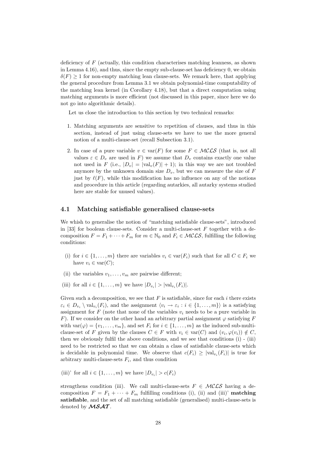deficiency of F (actually, this condition characterises matching leanness, as shown in Lemma 4.16), and thus, since the empty sub-clause-set has deficiency 0, we obtain  $\delta(F) \geq 1$  for non-empty matching lean clause-sets. We remark here, that applying the general procedure from Lemma 3.1 we obtain polynomial-time computability of the matching lean kernel (in Corollary 4.18), but that a direct computation using matching arguments is more efficient (not discussed in this paper, since here we do not go into algorithmic details).

Let us close the introduction to this section by two technical remarks:

- 1. Matching arguments are sensitive to repetition of clauses, and thus in this section, instead of just using clause-sets we have to use the more general notion of a multi-clause-set (recall Subsection 3.1).
- 2. In case of a pure variable  $v \in \text{var}(F)$  for some  $F \in \mathcal{MCLS}$  (that is, not all values  $\varepsilon \in D_v$  are used in F) we assume that  $D_v$  contains exactly one value not used in F (i.e.,  $|D_v| = |val_v(F)| + 1$ ); in this way we are not troubled anymore by the unknown domain size  $D_v$ , but we can measure the size of F just by  $\ell(F)$ , while this modification has no influence on any of the notions and procedure in this article (regarding autarkies, all autarky systems studied here are stable for unused values).

#### 4.1 Matching satisfiable generalised clause-sets

We whish to generalise the notion of "matching satisfiable clause-sets", introduced in [33] for boolean clause-sets. Consider a multi-clause-set  $F$  together with a decomposition  $F = F_1 + \cdots + F_m$  for  $m \in \mathbb{N}_0$  and  $F_i \in \mathcal{MCLS}$ , fulfilling the following conditions:

- (i) for  $i \in \{1, \ldots, m\}$  there are variables  $v_i \in \text{var}(F_i)$  such that for all  $C \in F_i$  we have  $v_i \in \text{var}(C)$ ;
- (ii) the variables  $v_1, \ldots, v_m$  are pairwise different;
- (iii) for all  $i \in \{1, \ldots, m\}$  we have  $|D_{v_i}| > |val_{v_i}(F_i)|$ .

Given such a decomposition, we see that  $F$  is satisfiable, since for each i there exists  $\varepsilon_i \in D_{v_i} \setminus \text{val}_{v_i}(F_i)$ , and the assignment  $\langle v_i \to \varepsilon_i : i \in \{1, \ldots, m\} \rangle$  is a satisfying assignment for F (note that none of the variables  $v_i$  needs to be a pure variable in F). If we consider on the other hand an arbitrary partial assignment  $\varphi$  satisfying F with  $var(\varphi) = \{v_1, \ldots, v_m\}$ , and set  $F_i$  for  $i \in \{1, \ldots, m\}$  as the induced sub-multiclause-set of F given by the clauses  $C \in F$  with  $v_i \in \text{var}(C)$  and  $(v_i, \varphi(v_i)) \notin C$ , then we obviously fulfil the above conditions, and we see that conditions (i) - (iii) need to be restricted so that we can obtain a class of satisfiable clause-sets which is decidable in polynomial time. We observe that  $c(F_i) \geq |\text{val}_{v_i}(F_i)|$  is true for arbitrary multi-clause-sets  $F_i$ , and thus condition

(iii)' for all  $i \in \{1, \ldots, m\}$  we have  $|D_{v_i}| > c(F_i)$ 

strengthens condition (iii). We call multi-clause-sets  $F \in \mathcal{MCLS}$  having a decomposition  $F = F_1 + \cdots + F_m$  fulfilling conditions (i), (ii) and (iii)' matching satisfiable, and the set of all matching satisfiable (generalised) multi-clause-sets is denoted by  $MSAT$ .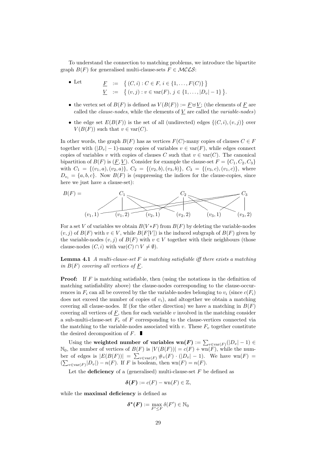To understand the connection to matching problems, we introduce the bipartite graph  $B(F)$  for generalised multi-clause-sets  $F \in \mathcal{MCLS}$ :

- Let  $\underline{F} := \{ (C, i) : C \in F, i \in \{1, ..., F(C)\} \}$  $\underline{V} := \{ (v, j) : v \in \text{var}(F), j \in \{1, ..., |D_v| - 1\} \}.$
- the vertex set of  $B(F)$  is defined as  $V(B(F)) := F \oplus V$ ; (the elements of F are called the *clause-nodes*, while the elements of  $V$  are called the *variable-nodes*)
- the edge set  $E(B(F))$  is the set of all (undirected) edges  $\{(C, i), (v, j)\}\$ over  $V(B(F))$  such that  $v \in \text{var}(C)$ .

In other words, the graph  $B(F)$  has as vertices  $F(C)$ -many copies of clauses  $C \in F$ together with  $(|D_v| - 1)$ -many copies of variables  $v \in \text{var}(F)$ , while edges connect copies of variables v with copies of clauses C such that  $v \in \text{var}(C)$ . The canonical bipartition of  $B(F)$  is  $(\underline{F}, \underline{V})$ . Consider for example the clause-set  $F = \{C_1, C_2, C_3\}$ with  $C_1 = \{(v_1, a), (v_2, a)\}, C_2 = \{(v_2, b), (v_3, b)\}, C_3 = \{(v_3, c), (v_1, c)\},$  where  $D_{v_i} = \{a, b, c\}$ . Now  $B(F)$  is (suppressing the indices for the clause-copies, since here we just have a clause-set):

$$
B(F) = C_1 C_2 C_3
$$
  
(v<sub>1</sub>, 1) (v<sub>1</sub>, 2) (v<sub>2</sub>, 1) (v<sub>2</sub>, 2) (v<sub>3</sub>, 1) (v<sub>3</sub>, 2)

For a set V of variables we obtain  $B(V*F)$  from  $B(F)$  by deleting the variable-nodes  $(v, j)$  of  $B(F)$  with  $v \in V$ , while  $B(F[V])$  is the induced subgraph of  $B(F)$  given by the variable-nodes  $(v, j)$  of  $B(F)$  with  $v \in V$  together with their neighbours (those clause-nodes  $(C, i)$  with  $var(C) \cap V \neq \emptyset$ .

**Lemma 4.1** A multi-clause-set  $F$  is matching satisfiable iff there exists a matching in  $B(F)$  covering all vertices of F.

**Proof:** If F is matching satisfiable, then (using the notations in the definition of matching satisfiability above) the clause-nodes corresponding to the clause-occurrences in  $F_i$  can all be covered by the the variable-nodes belonging to  $v_i$  (since  $c(F_i)$ ) does not exceed the number of copies of  $v_i$ ), and altogether we obtain a matching covering all clause-nodes. If (for the other direction) we have a matching in  $B(F)$ covering all vertices of  $\underline{F}$ , then for each variable v involved in the matching consider a sub-multi-clause-set  $F_v$  of  $F$  corresponding to the clause-vertices connected via the matching to the variable-nodes associated with v. These  $F_v$  together constitute the desired decomposition of  $F$ .

Using the weighted number of variables wn $(F) := \sum_{v \in \text{var}(F)}(|D_v| - 1) \in$  $\mathbb{N}_0$ , the number of vertices of  $B(F)$  is  $|V(B(F))| = c(F) + \text{wn}(F)$ , while the number of edges is  $|E(B(F))| = \sum_{v \in \text{var}(F)} \#_v(F) \cdot (|D_v| - 1)$ . We have wn $(F)$  =  $(\sum_{v \in \text{var}(F)} |D_v|) - n(F)$ . If F is boolean, then wn $(F) = n(F)$ .

Let the **deficiency** of a (generalised) multi-clause-set  $F$  be defined as

$$
\delta(\mathbf{F}) := c(\mathbf{F}) - \text{wn}(\mathbf{F}) \in \mathbb{Z},
$$

while the **maximal deficiency** is defined as

$$
\boldsymbol{\delta^* (F)} := \max_{F' \leq F} \delta(F') \in \mathbb{N}_0
$$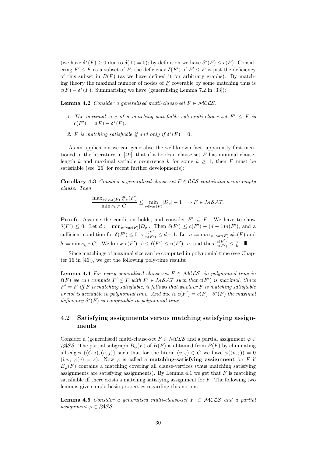(we have  $\delta^*(F) \ge 0$  due to  $\delta(\top) = 0$ ); by definition we have  $\delta^*(F) \le c(F)$ . Considering  $F' \leq F$  as a subset of  $\underline{F}$ , the deficiency  $\delta(F')$  of  $F' \leq F$  is just the deficiency of this subset in  $B(F)$  (as we have defined it for arbitrary graphs). By matching theory the maximal number of nodes of  $F$  coverable by some matching thus is  $c(F) - \delta^*(F)$ . Summarising we have (generalising Lemma 7.2 in [33]):

**Lemma 4.2** Consider a generalised multi-clause-set  $F \in MCLS$ .

- 1. The maximal size of a matching satisfiable sub-multi-clause-set  $F' \leq F$  is  $c(F') = c(F) - \delta^*(F).$
- 2. F is matching satisfiable if and only if  $\delta^*(F) = 0$ .

As an application we can generalise the well-known fact, apparently first mentioned in the literature in [49], that if a boolean clause-set  $F$  has minimal clauselength k and maximal variable occurrence k for some  $k \geq 1$ , then F must be satisfiable (see [26] for recent further developments):

Corollary 4.3 Consider a generalised clause-set  $F \in \mathcal{CLS}$  containing a non-empty clause. Then

$$
\frac{\max_{v \in \text{var}(F)} \#_v(F)}{\min_{C \in F} |C|} \le \min_{v \in \text{var}(F)} |D_v| - 1 \Longrightarrow F \in \mathcal{MSAT}.
$$

**Proof:** Assume the condition holds, and consider  $F' \subseteq F$ . We have to show  $\delta(F') \leq 0$ . Let  $d := \min_{v \in \text{var}(F)} |D_v|$ . Then  $\delta(F') \leq c(F') - (d-1)n(F')$ , and a sufficient condition for  $\delta(F') \leq 0$  is  $\frac{c(F')}{n(F')} \leq d-1$ . Let  $a := \max_{v \in \text{var}(F)} \#_v(F)$  and  $b := \min_{C \in F} |C|$ . We know  $c(F') \cdot b \leq \ell(F') \leq n(F') \cdot a$ , and thus  $\frac{c(F')}{n(F')} \leq \frac{a}{b}$ .

Since matchings of maximal size can be computed in polynomial time (see Chapter 16 in [46]), we get the following poly-time results:

**Lemma 4.4** For every generalised clause-set  $F \in \mathcal{MCLS}$ , in polynomial time in  $\ell(F)$  we can compute  $F' \leq F$  with  $F' \in \mathcal{MSAT}$  such that  $c(F')$  is maximal. Since  $F' = F$  iff F is matching satisfiable, it follows that whether F is matching satisfiable or not is decidable in polynomial time. And due to  $c(F') = c(F) - \delta^*(F)$  the maximal deficiency  $\delta^*(F)$  is computable in polynomial time.

#### 4.2 Satisfying assignments versus matching satisfying assignments

Consider a (generalised) multi-clause-set  $F \in \mathcal{MCLS}$  and a partial assignment  $\varphi \in$ **PASS.** The partial subgraph  $B_{\varphi}(F)$  of  $B(F)$  is obtained from  $B(F)$  by eliminating all edges  $\{(C, i), (v, j)\}\$  such that for the literal  $(v, \varepsilon) \in C$  we have  $\varphi((v, \varepsilon)) = 0$ (i.e.,  $\varphi(v) = \varepsilon$ ). Now  $\varphi$  is called a **matching-satisfying assignment** for F if  $B_{\varphi}(F)$  contains a matching covering all clause-vertices (thus matching satisfying assignments are satisfying assignments). By Lemma 4.1 we get that  $F$  is matching satisfiable iff there exists a matching satisfying assignment for  $F$ . The following two lemmas give simple basic properties regarding this notion.

**Lemma 4.5** Consider a generalised multi-clause-set  $F \in \mathcal{MCLS}$  and a partial assignment  $\varphi \in PASS$ .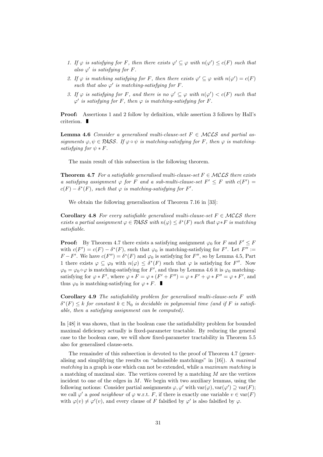- 1. If  $\varphi$  is satisfying for F, then there exists  $\varphi' \subseteq \varphi$  with  $n(\varphi') \leq c(F)$  such that also  $\varphi'$  is satisfying for F.
- 2. If  $\varphi$  is matching satisfying for F, then there exists  $\varphi' \subseteq \varphi$  with  $n(\varphi') = c(F)$ such that also  $\varphi'$  is matching-satisfying for F.
- 3. If  $\varphi$  is satisfying for F, and there is no  $\varphi' \subseteq \varphi$  with  $n(\varphi') < c(F)$  such that  $\varphi'$  is satisfying for F, then  $\varphi$  is matching-satisfying for F.

Proof: Assertions 1 and 2 follow by definition, while assertion 3 follows by Hall's criterion.

**Lemma 4.6** Consider a generalised multi-clause-set  $F \in MCLS$  and partial assignments  $\varphi, \psi \in PASS$ . If  $\varphi \circ \psi$  is matching-satisfying for F, then  $\varphi$  is matchingsatisfying for  $\psi * F$ .

The main result of this subsection is the following theorem.

**Theorem 4.7** For a satisfiable generalised multi-clause-set  $F \in \mathcal{MCLS}$  there exists a satisfying assignment  $\varphi$  for F and a sub-multi-clause-set  $F' \leq F$  with  $c(F') =$  $c(F) - \delta^*(F)$ , such that  $\varphi$  is matching-satisfying for F'.

We obtain the following generalisation of Theorem 7.16 in [33]:

**Corollary 4.8** For every satisfiable generalised multi-clause-set  $F \in \mathcal{MCLS}$  there exists a partial assignment  $\varphi \in PASS$  with  $n(\varphi) \leq \delta^*(F)$  such that  $\varphi * F$  is matching satisfiable.

**Proof:** By Theorem 4.7 there exists a satisfying assignment  $\varphi_0$  for F and  $F' \leq F$ with  $c(F') = c(F) - \delta^*(F)$ , such that  $\varphi_0$  is matching-satisfying for F'. Let  $F'' :=$  $F - F'$ . We have  $c(F'') = \delta^*(F)$  and  $\varphi_0$  is satisfying for  $F''$ , so by Lemma 4.5, Part 1 there exists  $\varphi \subseteq \varphi_0$  with  $n(\varphi) \leq \delta^*(F)$  such that  $\varphi$  is satisfying for F''. Now  $\varphi_0 = \varphi_0 \circ \varphi$  is matching-satisfying for F', and thus by Lemma 4.6 it is  $\varphi_0$  matchingsatisfying for  $\varphi * F'$ , where  $\varphi * F = \varphi * (F' + F'') = \varphi * F' + \varphi * F'' = \varphi * F'$ , and thus  $\varphi_0$  is matching-satisfying for  $\varphi * F$ .

Corollary 4.9 The satisfiability problem for generalised multi-clause-sets F with  $\delta^*(F) \leq k$  for constant  $k \in \mathbb{N}_0$  is decidable in polynomial time (and if F is satisfiable, then a satisfying assignment can be computed).

In [48] it was shown, that in the boolean case the satisfiability problem for bounded maximal deficiency actually is fixed-parameter tractable. By reducing the general case to the boolean case, we will show fixed-parameter tractability in Theorem 5.5 also for generalised clause-sets.

The remainder of this subsection is devoted to the proof of Theorem 4.7 (generalising and simplifying the results on "admissible matchings" in  $[16]$ ). A maximal matching in a graph is one which can not be extended, while a maximum matching is a matching of maximal size. The vertices covered by a matching  $M$  are the vertices incident to one of the edges in  $M$ . We begin with two auxiliary lemmas, using the following notions: Consider partial assignments  $\varphi, \varphi'$  with  $var(\varphi), var(\varphi') \supseteq var(F)$ ; we call  $\varphi'$  a good neighbour of  $\varphi$  w.r.t. F, if there is exactly one variable  $v \in \text{var}(F)$ with  $\varphi(v) \neq \varphi'(v)$ , and every clause of F falsified by  $\varphi'$  is also falsified by  $\varphi$ .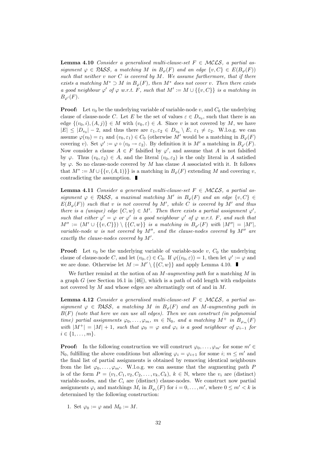**Lemma 4.10** Consider a generalised multi-clause-set  $F \in \mathcal{MCLS}$ , a partial assignment  $\varphi \in \mathcal{P\!ASS}$ , a matching M in  $B_{\varphi}(F)$  and an edge  $\{v, C\} \in E(B_{\varphi}(F))$ such that neither  $v$  nor  $C$  is covered by  $M$ . We assume furthermore, that if there exists a matching  $M^* \supset M$  in  $B_{\varphi}(F)$ , then  $M^*$  does not cover v. Then there exists a good neighbour  $\varphi'$  of  $\varphi$  w.r.t. F, such that  $M' := M \cup \{\{v, C\}\}\$ is a matching in  $B_{\varphi}(F)$ .

**Proof:** Let  $v_0$  be the underlying variable of variable-node v, and  $C_0$  the underlying clause of clause-node C. Let E be the set of values  $\varepsilon \in D_{v_0}$ , such that there is an edge  $\{(v_0, i), (A, j)\}\in M$  with  $(v_0, \varepsilon) \in A$ . Since v is not covered by M, we have  $|E| \leq |D_{v_0}|-2$ , and thus there are  $\varepsilon_1, \varepsilon_2 \in D_{v_0} \setminus E$ ,  $\varepsilon_1 \neq \varepsilon_2$ . W.l.o.g. we can assume  $\varphi(v_0) = \varepsilon_1$  and  $(v_0, \varepsilon_1) \in C_0$  (otherwise M' would be a matching in  $B_{\varphi}(F)$ covering v). Set  $\varphi' := \varphi \circ \langle v_0 \to \varepsilon_2 \rangle$ . By definition it is M' a matching in  $B_{\varphi'}(F)$ . Now consider a clause  $A \in F$  falsified by  $\varphi'$ , and assume that A is not falsified by  $\varphi$ . Thus  $(v_0, \varepsilon_2) \in A$ , and the literal  $(v_0, \varepsilon_2)$  is the only literal in A satisfied by  $\varphi$ . So no clause-node covered by M has clause A associated with it. It follows that  $M^* := M \cup \{\{v, (A, 1)\}\}\$ is a matching in  $B_{\varphi}(F)$  extending M and covering v, contradicting the assumption.

**Lemma 4.11** Consider a generalised multi-clause-set  $F \in MCLS$ , a partial assignment  $\varphi \in PASS$ , a maximal matching M' in  $B_{\varphi}(F)$  and an edge  $\{v, C\} \in$  $E(B_{\varphi}(F))$  such that v is not covered by M', while C is covered by M' and thus there is a (unique) edge  $\{C, w\} \in M'$ . Then there exists a partial assignment  $\varphi'$ , such that either  $\varphi' = \varphi$  or  $\varphi'$  is a good neighbour  $\varphi'$  of  $\varphi$  w.r.t. F, and such that  $M'' := (M' \cup \{\{v, C\}\}) \setminus \{\{C, w\}\}\$ is a matching in  $B_{\varphi'}(F)$  with  $|M''| = |M'|$ , variable-node w is not covered by  $M''$ , and the clause-nodes covered by  $M''$  are exactly the clause-nodes covered by  $M'$ .

**Proof:** Let  $v_0$  be the underlying variable of variable-node v,  $C_0$  the underlying clause of clause-node C, and let  $(v_0, \varepsilon) \in C_0$ . If  $\varphi((v_0, \varepsilon)) = 1$ , then let  $\varphi' := \varphi$  and we are done. Otherwise let  $M := M' \setminus {\{C, w\}}$  and apply Lemma 4.10.

We further remind at the notion of an  $M$ -augmenting path for a matching  $M$  in a graph  $G$  (see Section 16.1 in [46]), which is a path of odd length with endpoints not covered by M and whose edges are alternatingly out of and in M.

**Lemma 4.12** Consider a generalised multi-clause-set  $F \in MCLS$ , a partial assignment  $\varphi \in PASS$ , a matching M in  $B_{\varphi}(F)$  and an M-augmenting path in  $B(F)$  (note that here we can use all edges). Then we can construct (in polynomial time) partial assignments  $\varphi_0, \ldots, \varphi_m, m \in \mathbb{N}_0$ , and a matching  $M^+$  in  $B_{\varphi_m}(F)$ with  $|M^+| = |M| + 1$ , such that  $\varphi_0 = \varphi$  and  $\varphi_i$  is a good neighbour of  $\varphi_{i-1}$  for  $i \in \{1, \ldots, m\}.$ 

**Proof:** In the following construction we will construct  $\varphi_0, \ldots, \varphi_{m'}$  for some  $m' \in$  $\mathbb{N}_0$ , fulfilling the above conditions but allowing  $\varphi_i = \varphi_{i+1}$  for some  $i; m \leq m'$  and the final list of partial assignments is obtained by removing identical neighbours from the list  $\varphi_0, \ldots, \varphi_{m'}$ . W.l.o.g. we can assume that the augmenting path P is of the form  $P = (v_1, C_1, v_2, C_2, \ldots, v_k, C_k)$ ,  $k \in \mathbb{N}$ , where the  $v_i$  are (distinct) variable-nodes, and the  $C_i$  are (distinct) clause-nodes. We construct now partial assignments  $\varphi_i$  and matchings  $M_i$  in  $B_{\varphi_i}(F)$  for  $i = 0, \ldots, m'$ , where  $0 \le m' < k$  is determined by the following construction:

1. Set  $\varphi_0 := \varphi$  and  $M_0 := M$ .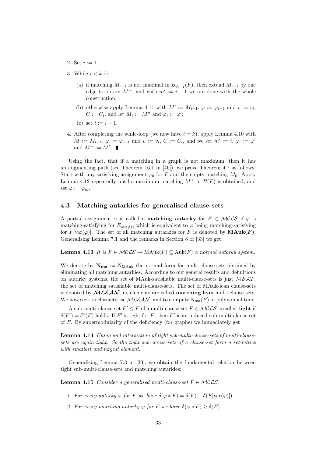- 2. Set  $i := 1$ .
- 3. While  $i < k$  do
	- (a) if matching  $M_{i-1}$  is not maximal in  $B_{\varphi_{i-1}}(F)$ , then extend  $M_{i-1}$  by one edge to obtain  $M^+$ , and with  $m' := i - 1$  we are done with the whole construction;
	- (b) otherwise apply Lemma 4.11 with  $M' := M_{i-1}$ ,  $\varphi := \varphi_{i-1}$  and  $v := v_i$ ,  $C := C_i$ , and let  $M_i := M''$  and  $\varphi_i := \varphi'$ ;
	- (c) set  $i := i + 1$ .
- 4. After completing the while-loop (we now have  $i = k$ ), apply Lemma 4.10 with  $M := M_{i-1}, \varphi := \varphi_{i-1}$  and  $v := v_i, C := C_i$ , and we set  $m' := i, \varphi_i := \varphi'$ and  $M^+ := M'.$

Using the fact, that if a matching in a graph is not maximum, then it has an augmenting path (see Theorem 16.1 in [46]), we prove Theorem 4.7 as follows: Start with any satisfying assignment  $\varphi_0$  for F and the empty matching  $M_0$ . Apply Lemma 4.12 repeatedly until a maximum matching  $M^+$  in  $B(F)$  is obtained, and set  $\varphi := \varphi_m$ .

#### 4.3 Matching autarkies for generalised clause-sets

A partial assignment  $\varphi$  is called a **matching autarky** for  $F \in \mathcal{MCLS}$  if  $\varphi$  is matching-satisfying for  $F_{var(\varphi)}$ , which is equivalent to  $\varphi$  being matching-satisfying for  $F[\text{var}(\varphi)]$ . The set of all matching autarkies for F is denoted by  $\text{MAuk}(F)$ . Generalising Lemma 7.1 and the remarks in Section 8 of [33] we get

**Lemma 4.13** It is  $F \in \mathcal{MCLS} \mapsto \mathrm{MAuk}(F) \subseteq \mathrm{Auk}(F)$  a normal autarky system.

We denote by  $\mathbf{N}_{\text{ma}} := N_{\text{MAuk}}$  the normal form for multi-clause-sets obtained by eliminating all matching autarkies. According to our general results and definitions on autarky systems, the set of MAuk-satisfiable multi-clause-sets is just  $MSAT$ , the set of matching satisfiable multi-clause-sets. The set of MAuk-lean clause-sets is denoted by  $MLEAN$ , its elements are called **matching lean** multi-clause-sets. We now seek to characterise  $MLEAN$ , and to compute  $N_{ma}(F)$  in polynomial time.

A sub-multi-clause-set  $F' \leq F$  of a multi-clause-set  $F \in \mathcal{MCLS}$  is called **tight** if  $\delta(F') = \delta^*(F)$  holds. If F' is tight for F, then F' is an induced sub-multi-clause-set of F. By supermodularity of the deficiency (for graphs) we immediately get

Lemma 4.14 Union and intersection of tight sub-multi-clause-sets of multi-clausesets are again tight. So the tight sub-clause-sets of a clause-set form a set-lattice with smallest and largest element.

Generalising Lemma 7.3 in [33], we obtain the fundamental relation between tight sub-multi-clause-sets and matching autarkies:

**Lemma 4.15** Consider a generalised multi-clause-set  $F \in MCLS$ .

- 1. For every autarky  $\varphi$  for F we have  $\delta(\varphi * F) = \delta(F) \delta(F[\text{var}(\varphi)])$ .
- 2. For every matching autarky  $\varphi$  for F we have  $\delta(\varphi * F) \geq \delta(F)$ .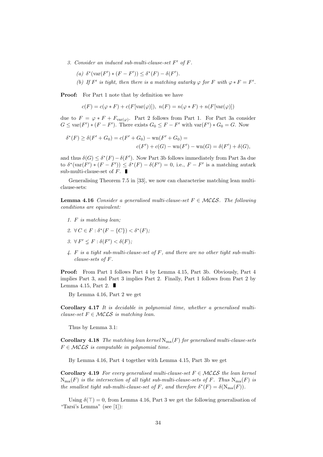- 3. Consider an induced sub-multi-clause-set  $F'$  of  $F$ .
	- (a)  $\delta^*(\text{var}(F') * (F F')) \leq \delta^*(F) \delta(F')$ .
	- (b) If F' is tight, then there is a matching autarky  $\varphi$  for F with  $\varphi * F = F'$ .

Proof: For Part 1 note that by definition we have

$$
c(F) = c(\varphi * F) + c(F[\text{var}(\varphi)]), \ n(F) = n(\varphi * F) + n(F[\text{var}(\varphi)])
$$

due to  $F = \varphi * F + F_{var(\varphi)}$ . Part 2 follows from Part 1. For Part 3a consider  $G \leq \text{var}(F') * (F - F')$ . There exists  $G_0 \leq F - F'$  with  $\text{var}(F') * G_0 = G$ . Now

$$
\delta^*(F) \ge \delta(F' + G_0) = c(F' + G_0) - \text{wn}(F' + G_0) =
$$
  

$$
c(F') + c(G) - \text{wn}(F') - \text{wn}(G) = \delta(F') + \delta(G),
$$

and thus  $\delta(G) \leq \delta^*(F) - \delta(F')$ . Now Part 3b follows immediately from Part 3a due to  $\delta^*(\text{var}(F') * (F - F')) \leq \delta^*(F) - \delta(F') = 0$ , i.e.,  $F - F'$  is a matching autark sub-multi-clause-set of  $F$ .

Generalising Theorem 7.5 in [33], we now can characterise matching lean multiclause-sets:

**Lemma 4.16** Consider a generalised multi-clause-set  $F \in \mathcal{MCLS}$ . The following conditions are equivalent:

- 1. F is matching lean;
- 2.  $\forall C \in F : \delta^*(F \{C\}) < \delta^*(F);$
- 3.  $\forall F' \leq F : \delta(F') < \delta(F)$ ;
- 4. F is a tight sub-multi-clause-set of F, and there are no other tight sub-multiclause-sets of F.

Proof: From Part 1 follows Part 4 by Lemma 4.15, Part 3b. Obviously, Part 4 implies Part 3, and Part 3 implies Part 2. Finally, Part 1 follows from Part 2 by Lemma 4.15, Part 2.  $\blacksquare$ 

By Lemma 4.16, Part 2 we get

Corollary 4.17 It is decidable in polynomial time, whether a generalised multiclause-set  $F \in \mathcal{MCLS}$  is matching lean.

Thus by Lemma 3.1:

**Corollary 4.18** The matching lean kernel  $N_{ma}(F)$  for generalised multi-clause-sets  $F \in \mathcal{MCLS}$  is computable in polynomial time.

By Lemma 4.16, Part 4 together with Lemma 4.15, Part 3b we get

**Corollary 4.19** For every generalised multi-clause-set  $F \in \mathcal{MCLS}$  the lean kernel  $N_{\text{ma}}(F)$  is the intersection of all tight sub-multi-clause-sets of F. Thus  $N_{\text{ma}}(F)$  is the smallest tight sub-multi-clause-set of F, and therefore  $\delta^*(F) = \delta(N_{\text{ma}}(F)).$ 

Using  $\delta(\top) = 0$ , from Lemma 4.16, Part 3 we get the following generalisation of "Tarsi's Lemma" (see [1]):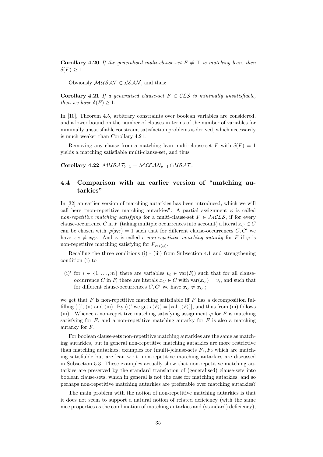**Corollary 4.20** If the generalised multi-clause-set  $F \neq \top$  is matching lean, then  $\delta(F) \geq 1$ .

Obviously  $\mathcal{M} \mathcal{U} \mathcal{S} \mathcal{A} \mathcal{T} \subset \mathcal{LEAN}$ , and thus:

**Corollary 4.21** If a generalised clause-set  $F \in \mathcal{CLS}$  is minimally unsatisfiable, then we have  $\delta(F) \geq 1$ .

In [10], Theorem 4.5, arbitrary constraints over boolean variables are considered, and a lower bound on the number of clauses in terms of the number of variables for minimally unsatisfiable constraint satisfaction problems is derived, which necessarily is much weaker than Corollary 4.21.

Removing any clause from a matching lean multi-clause-set F with  $\delta(F) = 1$ yields a matching satisfiable multi-clause-set, and thus

Corollary 4.22  $MUSAT_{\delta=1} = MLEAN_{\delta=1} \cap USAT$ .

### 4.4 Comparison with an earlier version of "matching autarkies"

In [32] an earlier version of matching autarkies has been introduced, which we will call here "non-repetitive matching autarkies": A partial assignment  $\varphi$  is called non-repetitive matching satisfying for a multi-clause-set  $F \in \mathcal{MCLS}$ , if for every clause-occurrence C in F (taking multiple occurrences into account) a literal  $x_C \in C$ can be chosen with  $\varphi(x_C) = 1$  such that for different clause-occurrences C, C' we have  $x_C \neq x_{C}$ . And  $\varphi$  is called a non-repetitive matching autarky for F if  $\varphi$  is non-repetitive matching satisfying for  $F_{var(\varphi)}$ .

Recalling the three conditions (i) - (iii) from Subsection 4.1 and strengthening condition (i) to

(i)' for  $i \in \{1, \ldots, m\}$  there are variables  $v_i \in \text{var}(F_i)$  such that for all clauseoccurrence C in  $F_i$  there are literals  $x_C \in C$  with  $var(x_C) = v_i$ , and such that for different clause-occurrences  $C, C'$  we have  $x_C \neq x_{C'}$ ;

we get that  $F$  is non-repetitive matching satisfiable iff  $F$  has a decomposition fulfilling (i)', (ii) and (iii). By (i)' we get  $c(F_i) = |\text{val}_{v_i}(F_i)|$ , and thus from (iii) follows (iii)'. Whence a non-repetitive matching satisfying assignment  $\varphi$  for F is matching satisfying for  $F$ , and a non-repetitive matching autarky for  $F$  is also a matching autarky for F.

For boolean clause-sets non-repetitive matching autarkies are the same as matching autarkies, but in general non-repetitive matching autarkies are more restrictive than matching autarkies; examples for (multi-)clause-sets  $F_1, F_2$  which are matching satisfiable but are lean w.r.t. non-repetitive matching autarkies are discussed in Subsection 5.3. These examples actually show that non-repetitive matching autarkies are preserved by the standard translation of (generalised) clause-sets into boolean clause-sets, which in general is not the case for matching autarkies, and so perhaps non-repetitive matching autarkies are preferable over matching autarkies?

The main problem with the notion of non-repetitive matching autarkies is that it does not seem to support a natural notion of related deficiency (with the same nice properties as the combination of matching autarkies and (standard) deficiency),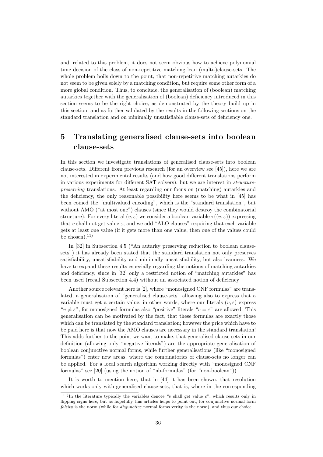and, related to this problem, it does not seem obvious how to achieve polynomial time decision of the class of non-repetitive matching lean (multi-)clause-sets. The whole problem boils down to the point, that non-repetitive matching autarkies do not seem to be given solely by a matching condition, but require some other form of a more global condition. Thus, to conclude, the generalisation of (boolean) matching autarkies together with the generalisation of (boolean) deficiency introduced in this section seems to be the right choice, as demonstrated by the theory build up in this section, and as further validated by the results in the following sections on the standard translation and on minimally unsatisfiable clause-sets of deficiency one.

## 5 Translating generalised clause-sets into boolean clause-sets

In this section we investigate translations of generalised clause-sets into boolean clause-sets. Different from previous research (for an overview see [45]), here we are not interested in experimental results (and how good different translations perform in various experiments for different SAT solvers), but we are interest in structurepreserving translations. At least regarding our focus on (matching) autarkies and the deficiency, the only reasonable possibility here seems to be what in [45] has been coined the "multivalued encoding", which is the "standard translation", but without AMO ("at most one") clauses (since they would destroy the combinatorial structure): For every literal  $(v, \varepsilon)$  we consider a boolean variable  $\tau((v, \varepsilon))$  expressing that v shall not get value  $\varepsilon$ , and we add "ALO clauses" requiring that each variable gets at least one value (if it gets more than one value, then one of the values could be chosen). $^{11)}$ 

In [32] in Subsection 4.5 ("An autarky preserving reduction to boolean clausesets") it has already been stated that the standard translation not only preserves satisfiability, unsatisfiability and minimally unsatisfiability, but also leanness. We have to expand these results especially regarding the notions of matching autarkies and deficiency, since in [32] only a restricted notion of "matching autarkies" has been used (recall Subsection 4.4) without an associated notion of deficiency

Another source relevant here is [2], where "monosigned CNF formulas" are translated, a generalisation of "generalised clause-sets" allowing also to express that a variable must get a certain value; in other words, where our literals  $(v, \varepsilon)$  express " $v \neq \varepsilon$ ", for monosigned formulas also "positive" literals " $v = \varepsilon$ " are allowed. This generalisation can be motivated by the fact, that these formulas are exactly those which can be translated by the standard translation; however the price which have to be paid here is that now the AMO clauses are necessary in the standard translation! This adds further to the point we want to make, that generalised clause-sets in our definition (allowing only "negative literals") are the appropriate generalisation of boolean conjunctive normal forms, while further generalisations (like "monosigned formulas") enter new areas, where the combinatorics of clause-sets no longer can be applied. For a local search algorithm working directly with "monosigned CNF formulas" see [20] (using the notion of "nb-formulas" (for "non-boolean")).

It is worth to mention here, that in [44] it has been shown, that resolution which works only with generalised clause-sets, that is, where in the corresponding

<sup>&</sup>lt;sup>11)</sup>In the literature typically the variables denote "v shall get value  $\varepsilon$ ", which results only in flipping signs here, but as hopefully this articles helps to point out, for conjunctive normal form falsity is the norm (while for *disjunctive* normal forms verity is the norm), and thus our choice.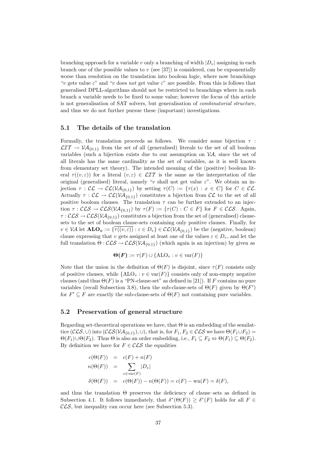branching approach for a variable v only a branching of width  $|D_v|$  assigning in each branch one of the possible values to  $v$  (see [37]) is considered, can be exponentially worse than resolution on the translation into boolean logic, where now branchings "v gets value  $\varepsilon$ " and "v does not get value  $\varepsilon$ " are possible. From this is follows that generalised DPLL-algorithms should not be restricted to branchings where in each branch a variable needs to be fixed to some value; however the focus of this article is not generalisation of SAT solvers, but generalisation of combinatorial structure, and thus we do not further pursue these (important) investigations.

#### 5.1 The details of the translation

Formally, the translation proceeds as follows. We consider some bijection  $\tau$ :  $\mathcal{LIT} \to \mathcal{VA}_{0,1}$  from the set of all (generalised) literals to the set of all boolean variables (such a bijection exists due to our assumption on  $\mathcal{V}A$ , since the set of all literals has the same cardinality as the set of variables, as it is well known from elementary set theory). The intended meaning of the (positive) boolean literal  $\tau((v,\varepsilon))$  for a literal  $(v,\varepsilon) \in \mathcal{LIT}$  is the same as the interpretation of the original (generalised) literal, namely "v shall not get value  $\varepsilon$ ". We obtain an injection  $\tau : \mathcal{CL} \to \mathcal{CL}(\mathcal{VA}_{\{0,1\}})$  by setting  $\tau(C) := {\{\tau(x) : x \in C\}}$  for  $C \in \mathcal{CL}$ . Actually  $\tau : \mathcal{CL} \to \mathcal{CL}(\mathcal{VA}_{\{0,1\}})$  constitutes a bijection from  $\mathcal{CL}$  to the set of all positive boolean clauses. The translation  $\tau$  can be further extended to an injection  $\tau : \mathcal{CLS} \to \mathcal{CLS}(\mathcal{VA}_{\{0,1\}})$  by  $\tau(F) := {\tau(C) : C \in F}$  for  $F \in \mathcal{CLS}$ . Again,  $\tau : \mathcal{CLS} \to \mathcal{CLS}(\mathcal{VA}_{\{0,1\}})$  constitutes a bijection from the set of (generalised) clausesets to the set of boolean clause-sets containing only positive clauses. Finally, for  $v \in V\mathcal{A}$  let  $\mathbf{ALO}_v := \{ \overline{\tau((v,\varepsilon))} : \varepsilon \in D_v \} \in \mathcal{CL}(\mathcal{VA}_{\{0,1\}})$  be the (negative, boolean) clause expressing that v gets assigned at least one of the values  $\varepsilon \in D_v$ , and let the full translation  $\Theta$ :  $\mathcal{CLS} \rightarrow \mathcal{CLS}(\mathcal{VA}_{\{0,1\}})$  (which again is an injection) by given as

$$
\Theta(F) := \tau(F) \cup \{\text{ALO}_v : v \in \text{var}(F)\}
$$

Note that the union in the definition of  $\Theta(F)$  is disjoint, since  $\tau(F)$  consists only of positive clauses, while  $\{ALO_v : v \in \text{var}(F)\}\)$  consists only of non-empty negative clauses (and thus  $\Theta(F)$  is a "PN-clause-set" as defined in [21]). If F contains no pure variables (recall Subsection 3.8), then the sub-clause-sets of  $\Theta(F)$  given by  $\Theta(F')$ for  $F' \subseteq F$  are exactly the sub-clause-sets of  $\Theta(F)$  not containing pure variables.

#### 5.2 Preservation of general structure

Regarding set-theoretical operations we have, that  $\Theta$  is an embedding of the semilattice ( $\mathcal{CLS}, \cup$ ) into ( $\mathcal{CLS}(VA_{\{0,1\}}), \cup$ ), that is, for  $F_1, F_2 \in \mathcal{CLS}$  we have  $\Theta(F_1 \cup F_2)$  =  $\Theta(F_1)\cup\Theta(F_2)$ . Thus  $\Theta$  is also an order embedding, i.e.,  $F_1\subseteq F_2 \Leftrightarrow \Theta(F_1)\subseteq \Theta(F_2)$ . By definition we have for  $F \in \mathcal{CLS}$  the equalities

$$
c(\Theta(F)) = c(F) + n(F)
$$
  
\n
$$
n(\Theta(F)) = \sum_{v \in \text{var}(F)} |D_v|
$$
  
\n
$$
\delta(\Theta(F)) = c(\Theta(F)) - n(\Theta(F)) = c(F) - \text{var}(F) = \delta(F),
$$

and thus the translation Θ preserves the deficiency of clause–sets as defined in Subsection 4.1. It follows immediately, that  $\delta^*(\Theta(F)) \geq \delta^*(F)$  holds for all  $F \in$  $\mathcal{CLS}$ , but inequality can occur here (see Subsection 5.3).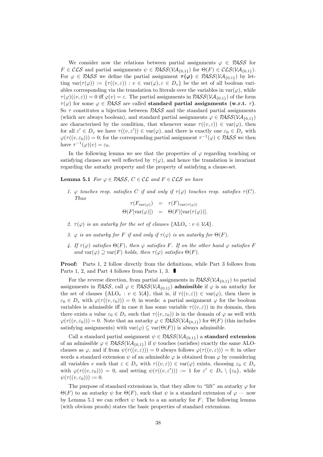We consider now the relations between partial assignments  $\varphi \in PASS$  for  $F \in \mathcal{CLS}$  and partial assignments  $\psi \in \mathcal{PASS}(\mathcal{VA}_{\{0,1\}})$  for  $\Theta(F) \in \mathcal{CLS}(\mathcal{VA}_{\{0,1\}}).$ For  $\varphi \in PASS$  we define the partial assignment  $\tau(\varphi) \in PASS(VA_{\{0,1\}})$  by letting  $var(\tau(\varphi)) := \{ \tau((v,\varepsilon)) : v \in var(\varphi), \varepsilon \in D_v \}$  be the set of all boolean variables corresponding via the translation to literals over the variables in  $var(\varphi)$ , while  $\tau(\varphi)((v,\varepsilon)) = 0$  iff  $\varphi(v) = \varepsilon$ . The partial assignments in  $PASS(VA_{\{0,1\}})$  of the form  $\tau(\varphi)$  for some  $\varphi \in PASS$  are called standard partial assignments (w.r.t.  $\tau$ ). So  $\tau$  constitutes a bijection between  $PASS$  and the standard partial assignments (which are always boolean), and standard partial assignments  $\varphi \in PASS(VA_{(0,1)})$ are characterised by the condition, that whenever some  $\tau((v,\varepsilon)) \in \text{var}(\varphi)$ , then for all  $\varepsilon' \in D_v$  we have  $\tau((v, \varepsilon')) \in \text{var}(\varphi)$ , and there is exactly one  $\varepsilon_0 \in D_v$  with  $\varphi(\tau((v, \varepsilon_0))) = 0$ ; for the corresponding partial assignment  $\tau^{-1}(\varphi) \in \mathcal{P\!ASS}$  we then have  $\tau^{-1}(\varphi)(v) = \varepsilon_0$ .

In the following lemma we see that the properties of  $\varphi$  regarding touching or satisfying clauses are well reflected by  $\tau(\varphi)$ , and hence the translation is invariant regarding the autarky property and the property of satisfying a clause-set.

**Lemma 5.1** For  $\varphi \in PASS$ ,  $C \in CL$  and  $F \in CLS$  we have

1.  $\varphi$  touches resp. satisfies C if and only if  $\tau(\varphi)$  touches resp. satisfies  $\tau(C)$ . Thus

$$
\tau(F_{\text{var}(\varphi)}) = \tau(F)_{\text{var}(\tau(\varphi))}
$$
  

$$
\Theta(F[\text{var}(\varphi)]) = \Theta(F)[\text{var}(\tau(\varphi))].
$$

- 2.  $\tau(\varphi)$  is an autarky for the set of clauses  $\{ALO_v : v \in VA\}$ .
- 3.  $\varphi$  is an autarky for F if and only if  $\tau(\varphi)$  is an autarky for  $\Theta(F)$ .
- 4. If  $\tau(\varphi)$  satisfies  $\Theta(F)$ , then  $\varphi$  satisfies F. If on the other hand  $\varphi$  satisfies F and var $(\varphi) \supseteq \text{var}(F)$  holds, then  $\tau(\varphi)$  satisfies  $\Theta(F)$ .

Proof: Parts 1, 2 follow directly from the definitions, while Part 3 follows from Parts 1, 2, and Part 4 follows from Parts 1, 3.

For the reverse direction, from partial assignments in  $PASS(VA_{\{0,1\}})$  to partial assignments in PASS, call  $\varphi \in PASS(V{\cal A}_{\{0,1\}})$  admissible if  $\varphi$  is an autarky for the set of clauses  $\{ALO_v : v \in \mathcal{VA}\}\$ , that is, if  $\tau((v,\varepsilon)) \in \text{var}(\varphi)$ , then there is  $\varepsilon_0 \in D_v$  with  $\varphi(\tau((v, \varepsilon_0))) = 0$ ; in words: a partial assignment  $\varphi$  for the boolean variables is admissible iff in case it has some variable  $\tau((v,\varepsilon))$  in its domain, then there exists a value  $\varepsilon_0 \in D_v$  such that  $\tau((v, \varepsilon_0))$  is in the domain of  $\varphi$  as well with  $\varphi(\tau((v,\varepsilon_0))) = 0$ . Note that an autarky  $\varphi \in \mathcal{RASS}(V\mathcal{A}_{0,1})$  for  $\Theta(F)$  (this includes satisfying assignments) with  $var(\varphi) \subseteq var(\Theta(F))$  is always admissible.

Call a standard partial assignment  $\psi \in \mathcal{P\!A\!S\!S}(\mathcal{V\!A}_{\{0,1\}})$  a **standard extension** of an admissible  $\varphi \in PASS(VA_{\{0,1\}})$  if  $\psi$  touches (satisfies) exactly the same ALOclauses as  $\varphi$ , and if from  $\psi(\tau((v,\varepsilon))) = 0$  always follows  $\varphi(\tau((v,\varepsilon))) = 0$ ; in other words a standard extension  $\psi$  of an admissible  $\varphi$  is obtained from  $\varphi$  by considering all variables v such that  $\varepsilon \in D_v$  with  $\tau((v, \varepsilon)) \in \text{var}(\varphi)$  exists, choosing  $\varepsilon_0 \in D_v$ with  $\varphi(\tau((v, \varepsilon_0))) = 0$ , and setting  $\psi(\tau((v, \varepsilon')) := 1$  for  $\varepsilon' \in D_v \setminus {\varepsilon_0}$ , while  $\psi(\tau((v,\varepsilon_0))) := 0.$ 

The purpose of standard extensions is, that they allow to "lift" an autarky  $\varphi$  for  $\Theta(F)$  to an autarky  $\psi$  for  $\Theta(F)$ , such that  $\psi$  is a standard extension of  $\varphi$  — now by Lemma 5.1 we can reflect  $\psi$  back to a an autarky for F. The following lemma (with obvious proofs) states the basic properties of standard extensions.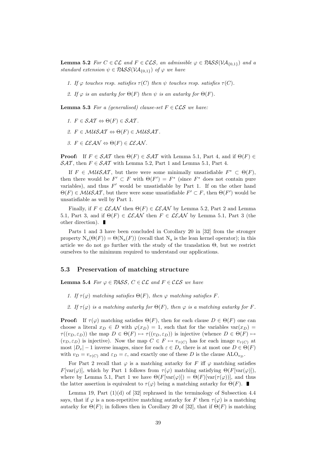**Lemma 5.2** For  $C \in \mathcal{CL}$  and  $F \in \mathcal{CLS}$ , an admissible  $\varphi \in \mathcal{PASS}(\mathcal{VA}_{\{0,1\}})$  and a standard extension  $\psi \in PASS(VA_{\{0,1\}})$  of  $\varphi$  we have

- 1. If  $\varphi$  touches resp. satisfies  $\tau(C)$  then  $\psi$  touches resp. satisfies  $\tau(C)$ .
- 2. If  $\varphi$  is an autarky for  $\Theta(F)$  then  $\psi$  is an autarky for  $\Theta(F)$ .

**Lemma 5.3** For a (generalised) clause-set  $F \in \mathcal{CLS}$  we have:

- 1.  $F \in \mathcal{SAT} \Leftrightarrow \Theta(F) \in \mathcal{SAT}$ .
- 2.  $F \in \mathcal{M} \mathcal{U} \mathcal{S} \mathcal{A} \mathcal{T} \Leftrightarrow \Theta(F) \in \mathcal{M} \mathcal{U} \mathcal{S} \mathcal{A} \mathcal{T}$ .
- 3.  $F \in \mathcal{LEAN} \Leftrightarrow \Theta(F) \in \mathcal{LEAN}$ .

**Proof:** If  $F \in \mathcal{SAT}$  then  $\Theta(F) \in \mathcal{SAT}$  with Lemma 5.1, Part 4, and if  $\Theta(F) \in$  $\mathcal{SAT}$ , then  $F \in \mathcal{SAT}$  with Lemma 5.2, Part 1 and Lemma 5.1, Part 4.

If  $F \in \mathcal{M} \mathcal{U} \mathcal{S} \mathcal{A} \mathcal{T}$ , but there were some minimally unsatisfiable  $F^* \subset \Theta(F)$ , then there would be  $F' \subset F$  with  $\Theta(F') = F^*$  (since  $F^*$  does not contain pure variables), and thus  $F'$  would be unsatisfiable by Part 1. If on the other hand  $\Theta(F) \in \mathcal{M} \mathcal{U} \mathcal{S} \mathcal{A} \mathcal{T}$ , but there were some unsatisfiable  $F' \subset F$ , then  $\Theta(F')$  would be unsatisfiable as well by Part 1.

Finally, if  $F \in \mathcal{LEAN}$  then  $\Theta(F) \in \mathcal{LEAN}$  by Lemma 5.2, Part 2 and Lemma 5.1, Part 3, and if  $\Theta(F) \in \mathcal{LEAN}$  then  $F \in \mathcal{LEAN}$  by Lemma 5.1, Part 3 (the other direction).

Parts 1 and 3 have been concluded in Corollary 20 in [32] from the stronger property  $N_a(\Theta(F)) = \Theta(N_a(F))$  (recall that  $N_a$  is the lean kernel operator); in this article we do not go further with the study of the translation Θ, but we restrict ourselves to the minimum required to understand our applications.

#### 5.3 Preservation of matching structure

**Lemma 5.4** For  $\varphi \in PASS, C \in CL$  and  $F \in CLS$  we have

- 1. If  $\tau(\varphi)$  matching satisfies  $\Theta(F)$ , then  $\varphi$  matching satisfies F.
- 2. If  $\tau(\varphi)$  is a matching autarky for  $\Theta(F)$ , then  $\varphi$  is a matching autarky for F.

**Proof:** If  $\tau(\varphi)$  matching satisfies  $\Theta(F)$ , then for each clause  $D \in \Theta(F)$  one can choose a literal  $x_D \in D$  with  $\varphi(x_D) = 1$ , such that for the variables var $(x_D) =$  $\tau((v_D, \varepsilon_D))$  the map  $D \in \Theta(F) \mapsto \tau((v_D, \varepsilon_D))$  is injective (whence  $D \in \Theta(F) \mapsto$  $(v_D, \varepsilon_D)$  is injective). Now the map  $C \in F \mapsto v_{\tau(C)}$  has for each image  $v_{\tau(C)}$  at most  $|D_v| - 1$  inverse images, since for each  $\varepsilon \in D_v$  there is at most one  $D \in \Theta(F)$ with  $v_D = v_{\tau(C)}$  and  $\varepsilon_D = \varepsilon$ , and exactly one of these D is the clause ALO<sub>v<sub>D</sub></sub>.

For Part 2 recall that  $\varphi$  is a matching autarky for F iff  $\varphi$  matching satisfies  $F[\text{var}(\varphi)]$ , which by Part 1 follows from  $\tau(\varphi)$  matching satisfying  $\Theta(F[\text{var}(\varphi)])$ , where by Lemma 5.1, Part 1 we have  $\Theta(F[\text{var}(\varphi)]) = \Theta(F)[\text{var}(\tau(\varphi))]$ , and thus the latter assertion is equivalent to  $\tau(\varphi)$  being a matching autarky for  $\Theta(F)$ .

Lemma 19, Part  $(1)(d)$  of  $[32]$  rephrased in the terminology of Subsection 4.4 says, that if  $\varphi$  is a non-repetitive matching autarky for F then  $\tau(\varphi)$  is a matching autarky for  $\Theta(F)$ ; in follows then in Corollary 20 of [32], that if  $\Theta(F)$  is matching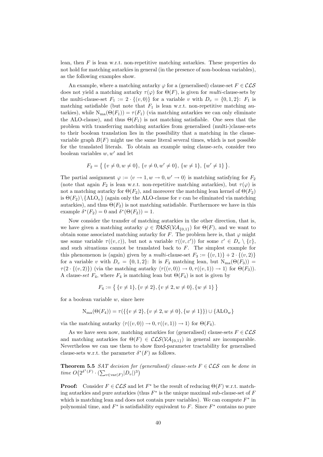lean, then F is lean w.r.t. non-repetitive matching autarkies. These properties do not hold for matching autarkies in general (in the presence of non-boolean variables), as the following examples show.

An example, where a matching autarky  $\varphi$  for a (generalised) clause-set  $F \in \mathcal{CLS}$ does not yield a matching autarky  $\tau(\varphi)$  for  $\Theta(F)$ , is given for *multi*-clause-sets by the multi-clause-set  $F_1 := 2 \cdot \{(v, 0)\}\)$  for a variable v with  $D_v = \{0, 1, 2\}$ :  $F_1$  is matching satisfiable (but note that  $F_1$  is lean w.r.t. non-repetitive matching autarkies), while  $N_{ma}(\Theta(F_1)) = \tau(F_1)$  (via matching autarkies we can only eliminate the ALO-clause), and thus  $\Theta(F_1)$  is not matching satisfiable. One sees that the problem with transferring matching autarkies from generalised (multi-)clause-sets to their boolean translation lies in the possibility that a matching in the clausevariable graph  $B(F)$  might use the same literal several times, which is not possible for the translated literals. To obtain an example using clause-sets, consider two boolean variables  $w, w'$  and let

$$
F_2 = \{ \{v \neq 0, w \neq 0\}, \{v \neq 0, w' \neq 0\}, \{w \neq 1\}, \{w' \neq 1\} \}.
$$

The partial assignment  $\varphi := \langle v \to 1, w \to 0, w' \to 0 \rangle$  is matching satisfying for  $F_2$ (note that again  $F_2$  is lean w.r.t. non-repetitive matching autarkies), but  $\tau(\varphi)$  is not a matching autarky for  $\Theta(F_2)$ , and moreover the matching lean kernel of  $\Theta(F_2)$ is  $\Theta(F_2) \setminus {\{\text{ALO}_v\}}$  (again only the ALO-clause for v can be eliminated via matching autarkies), and thus  $\Theta(F_2)$  is not matching satisfiable. Furthermore we have in this example  $\delta^*(F_2) = 0$  and  $\delta^*(\Theta(F_2)) = 1$ .

Now consider the transfer of matching autarkies in the other direction, that is, we have given a matching autarky  $\varphi \in \mathcal{PASS}(\mathcal{VA}_{\{0,1\}})$  for  $\Theta(F)$ , and we want to obtain some associated matching autarky for F. The problem here is, that  $\varphi$  might use some variable  $\tau((v,\varepsilon))$ , but not a variable  $\tau((v,\varepsilon'))$  for some  $\varepsilon' \in D_v \setminus {\varepsilon}$ , and such situations cannot be translated back to  $F$ . The simplest example for this phenomenon is (again) given by a *multi*-clause-set  $F_3 := \{(v, 1)\} + 2 \cdot \{(v, 2)\}$ for a variable v with  $D_v = \{0, 1, 2\}$ : It is  $F_3$  matching lean, but  $N_{ma}(\Theta(F_3))$  $\tau(2 \cdot \{(v, 2)\})$  (via the matching autarky  $\langle \tau((v, 0)) \to 0, \tau((v, 1)) \to 1 \rangle$  for  $\Theta(F_3)$ ). A clause-set  $F_4$ , where  $F_4$  is matching lean but  $\Theta(F_4)$  is not is given by

$$
F_4 := \{ \{v \neq 1\}, \{v \neq 2\}, \{v \neq 2, w \neq 0\}, \{w \neq 1\} \}
$$

for a boolean variable  $w$ , since here

$$
N_{ma}(\Theta(F_4)) = \tau(\{\{v \neq 2\}, \{v \neq 2, w \neq 0\}, \{w \neq 1\}\}) \cup \{ALO_w\}
$$

via the matching autarky  $\langle \tau((v, 0)) \to 0, \tau((v, 1)) \to 1 \rangle$  for  $\Theta(F_4)$ .

As we have seen now, matching autarkies for (generalised) clause-sets  $F \in \mathcal{CLS}$ and matching autarkies for  $\Theta(F) \in \mathcal{CLS}(\mathcal{VA}_{\{0,1\}})$  in general are incomparable. Nevertheless we can use them to show fixed-parameter tractability for generalised clause-sets w.r.t. the parameter  $\delta^*(F)$  as follows.

**Theorem 5.5** SAT decision for (generalised) clause-sets  $F \in \mathcal{CLS}$  can be done in time  $O(2^{\delta^*(F)} \cdot (\sum_{v \in \text{var}(F)} |D_v|)^3)$ 

**Proof:** Consider  $F \in \mathcal{CLS}$  and let  $F^*$  be the result of reducing  $\Theta(F)$  w.r.t. matching autarkies and pure autarkies (thus  $F^*$  is the unique maximal sub-clause-set of  $F$ which is matching lean and does not contain pure variables). We can compute  $F^*$  in polynomial time, and  $F^*$  is satisfiability equivalent to F. Since  $F^*$  contains no pure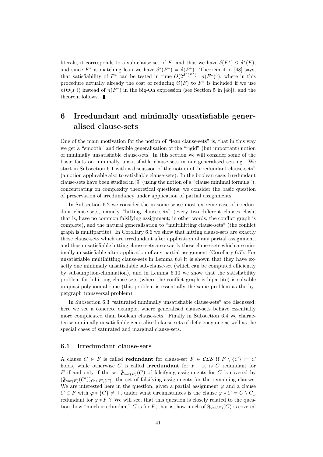literals, it corresponds to a sub-clause-set of F, and thus we have  $\delta(F^*) \leq \delta^*(F)$ , and since  $F^*$  is matching lean we have  $\delta^*(F^*) = \delta(F^*)$ . Theorem 4 in [48] says, that satisfiability of  $F^*$  can be tested in time  $O(2^{\delta^*(F^*)} \cdot n(F^*)^3)$ , where in this procedure actually already the cost of reducing  $\Theta(F)$  to  $F^*$  is included if we use  $n(\Theta(F))$  instead of  $n(F^*)$  in the big-Oh expression (see Section 5 in [48]), and the theorem follows.  $\blacksquare$ 

## 6 Irredundant and minimally unsatisfiable generalised clause-sets

One of the main motivation for the notion of "lean clause-sets" is, that in this way we get a "smooth" and flexible generalisation of the "rigid" (but important) notion of minimally unsatisfiable clause-sets. In this section we will consider some of the basic facts on minimally unsatisfiable clause-sets in our generalised setting. We start in Subsection 6.1 with a discussion of the notion of "irredundant clause-sets" (a notion applicable also to satisfiable clause-sets). In the boolean case, irredundant clause-sets have been studied in [9] (using the notion of a "clause minimal formula"), concentrating on complexity theoretical questions; we consider the basic question of preservation of irredundancy under application of partial assignments.

In Subsection 6.2 we consider the in some sense most extreme case of irredundant clause-sets, namely "hitting clause-sets" (every two different clauses clash, that is, have no common falsifying assignment; in other words, the conflict graph is complete), and the natural generalisation to "multihitting clause-sets" (the conflict graph is multipartite). In Corollary 6.6 we show that hitting clause-sets are exactly those clause-sets which are irredundant after application of any partial assignment, and thus unsatisfiable hitting clause-sets are exactly those clause-sets which are minimally unsatisfiable after application of any partial assignment (Corollary 6.7). For unsatisfiable multihitting clause-sets in Lemma 6.8 it is shown that they have exactly one minimally unsatisfiable sub-clause-set (which can be computed efficiently by subsumption-elimination), and in Lemma 6.10 we show that the satisfiability problem for bihitting clause-sets (where the conflict graph is bipartite) is solvable in quasi-polynomial time (this problem is essentially the same problem as the hypergraph transversal problem).

In Subsection 6.3 "saturated minimally unsatisfiable clause-sets" are discussed; here we see a concrete example, where generalised clause-sets behave essentially more complicated than boolean clause-sets. Finally in Subsection 6.4 we characterise minimally unsatisfiable generalised clause-sets of deficiency one as well as the special cases of saturated and marginal clause-sets.

#### 6.1 Irredundant clause-sets

A clause  $C \in F$  is called **redundant** for clause-set  $F \in \mathcal{CLS}$  if  $F \setminus \{C\} \models C$ holds, while otherwise  $C$  is called **irredundant** for  $F$ . It is  $C$  redundant for F if and only if the set  $\mathfrak{F}_{var(F)}(C)$  of falsifying assignments for C is covered by  $(\mathfrak{F}_{\text{var}(F)}(C'))_{C'\in F\backslash\{C\}}$ , the set of falsifying assignments for the remaining clauses. We are interested here in the question, given a partial assignment  $\varphi$  and a clause  $C \in F$  with  $\varphi * \{C\} \neq \top$ , under what circumstances is the clause  $\varphi * C = C \setminus C_{\varphi}$ redundant for  $\varphi * F$ ? We will see, that this question is closely related to the question, how "much irredundant" C is for F, that is, how much of  $\mathfrak{F}_{var(F)}(C)$  is covered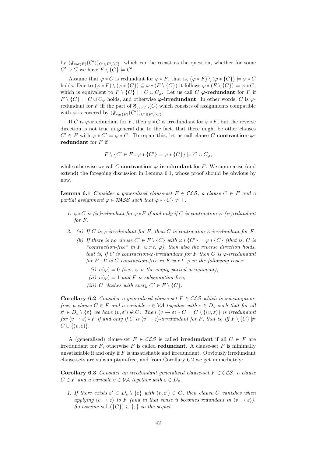by  $(\mathfrak{F}_{\text{var}(F)}(C'))_{C' \in F \setminus \{C\}}$ , which can be recast as the question, whether for some  $C' \supseteq C$  we have  $F \setminus \{C\} \models C'.$ 

Assume that  $\varphi * C$  is redundant for  $\varphi * F$ , that is,  $(\varphi * F) \setminus (\varphi * \{C\}) \models \varphi * C$ holds. Due to  $(\varphi * F) \setminus (\varphi * \{C\}) \subseteq \varphi * (F \setminus \{C\})$  it follows  $\varphi * (F \setminus \{C\}) \models \varphi * C$ , which is equivalent to  $F \setminus \{C\} \models C \cup C_{\varphi}$ . Let us call C  $\varphi$ -redundant for F if  $F \setminus \{C\} \models C \cup C_{\varphi}$  holds, and otherwise  $\varphi$ -irredundant. In other words, C is  $\varphi$ redundant for F iff the part of  $\mathfrak{F}_{var(F)}(C)$  which consists of assignments compatible with  $\varphi$  is covered by  $(\mathfrak{F}_{\text{var}(F)}(C'))_{C'\in F\setminus\{C\}}$ .

If C is  $\varphi$ -irredundant for F, then  $\varphi * C$  is irredundant for  $\varphi * F$ , but the reverse direction is not true in general due to the fact, that there might be other clauses  $C' \in F$  with  $\varphi * C' = \varphi * C$ . To repair this, let us call clause C contraction- $\varphi$ redundant for  $F$  if

$$
F \setminus \{C' \in F : \varphi * \{C'\} = \varphi * \{C\}\} \models C \cup C_{\varphi},
$$

while otherwise we call C **contraction-** $\varphi$ **-irredundant** for F. We summarise (and extend) the foregoing discussion in Lemma 6.1, whose proof should be obvious by now.

**Lemma 6.1** Consider a generalised clause-set  $F \in \mathcal{CLS}$ , a clause  $C \in F$  and a partial assignment  $\varphi \in PASS$  such that  $\varphi * \{C\} \neq \top$ .

- 1.  $\varphi * C$  is (ir)redundant for  $\varphi * F$  if and only if C is contraction- $\varphi$ -(ir)redundant for F.
- 2. (a) If C is  $\varphi$ -irredundant for F, then C is contraction- $\varphi$ -irredundant for F.
	- (b) If there is no clause  $C' \in F \setminus \{C\}$  with  $\varphi * \{C'\} = \varphi * \{C\}$  (that is, C is "contraction-free" in F w.r.t.  $\varphi$ ), then also the reverse direction holds, that is, if C is contraction- $\varphi$ -irredundant for F then C is  $\varphi$ -irredundant for F. It is C contraction-free in F w.r.t.  $\varphi$  in the following cases:
		- (i)  $n(\varphi) = 0$  (i.e.,  $\varphi$  is the empty partial assignment);
		- (ii)  $n(\varphi) = 1$  and F is subsumption-free:
		- (iii) C clashes with every  $C' \in F \setminus \{C\}.$

**Corollary 6.2** Consider a generalised clause-set  $F \in \mathcal{CLS}$  which is subsumptionfree, a clause  $C \in F$  and a variable  $v \in V\mathcal{A}$  together with  $\varepsilon \in D_v$  such that for all  $\varepsilon' \in D_v \setminus {\varepsilon}$  we have  $(v, \varepsilon') \notin C$ . Then  $\langle v \to \varepsilon \rangle * C = C \setminus {\{v, \varepsilon\}}$  is irredundant for  $\langle v \rightarrow \varepsilon \rangle * F$  if and only if C is  $\langle v \rightarrow \varepsilon \rangle$ -irredundant for F, that is, iff  $F \setminus \{C\} \not\models$  $C \cup \{(v, \varepsilon)\}.$ 

A (generalised) clause-set  $F \in \mathcal{CLS}$  is called **irredundant** if all  $C \in F$  are irredundant for  $F$ , otherwise  $F$  is called **redundant**. A clause-set  $F$  is minimally unsatisfiable if and only if  $F$  is unsatisfiable and irredundant. Obviously irredundant clause-sets are subsumption-free, and from Corollary 6.2 we get immediately:

**Corollary 6.3** Consider an irredundant generalised clause-set  $F \in \mathcal{CLS}$ , a clause  $C \in F$  and a variable  $v \in V$ A together with  $\varepsilon \in D_v$ .

1. If there exists  $\varepsilon' \in D_v \setminus \{\varepsilon\}$  with  $(v, \varepsilon') \in C$ , then clause C vanishes when applying  $\langle v \to \varepsilon \rangle$  to F (and in that sense it becomes redundant in  $\langle v \to \varepsilon \rangle$ ). So assume  $val_v({C}) \subseteq {\varepsilon}$  in the sequel.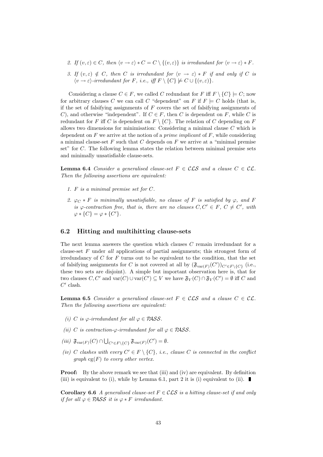- 2. If  $(v, \varepsilon) \in C$ , then  $\langle v \to \varepsilon \rangle * C = C \setminus \{(v, \varepsilon)\}\$ is irredundant for  $\langle v \to \varepsilon \rangle * F$ .
- 3. If  $(v, \varepsilon) \notin C$ , then C is irredundant for  $\langle v \to \varepsilon \rangle * F$  if and only if C is  $\langle v \rightarrow \varepsilon \rangle$ -irredundant for F, i.e., iff  $F \setminus \{C\} \not\models C \cup \{(v,\varepsilon)\}.$

Considering a clause  $C \in F$ , we called C redundant for F iff  $F \setminus \{C\} \models C$ ; now for arbitrary clauses C we can call C "dependent" on F if  $F \models C$  holds (that is, if the set of falsifying assignments of  $F$  covers the set of falsifying assignments of C), and otherwise "independent". If  $C \in F$ , then C is dependent on F, while C is redundant for F iff C is dependent on  $F \setminus \{C\}$ . The relation of C depending on F allows two dimensions for minimisation: Considering a minimal clause  $C$  which is dependent on  $F$  we arrive at the notion of a *prime implicant* of  $F$ , while considering a minimal clause-set  $F$  such that  $C$  depends on  $F$  we arrive at a "minimal premise set" for C. The following lemma states the relation between minimal premise sets and minimally unsatisfiable clause-sets.

**Lemma 6.4** Consider a generalised clause-set  $F \in \mathcal{CLS}$  and a clause  $C \in \mathcal{CL}$ . Then the following assertions are equivalent:

- 1. F is a minimal premise set for C.
- 2.  $\varphi_C * F$  is minimally unsatisfiable, no clause of F is satisfied by  $\varphi$ , and F is  $\varphi$ -contraction free, that is, there are no clauses  $C, C' \in F, C \neq C'$ , with  $\varphi * \{C\} = \varphi * \{C'\}.$

#### 6.2 Hitting and multihitting clause-sets

The next lemma answers the question which clauses C remain irredundant for a clause-set F under all applications of partial assignments; this strongest form of irredundancy of  $C$  for  $F$  turns out to be equivalent to the condition, that the set of falsifying assignments for C is not covered at all by  $(\mathfrak{F}_{\text{var}(F)}(C'))_{C'\in F\setminus\{C\}}$  (i.e., these two sets are disjoint). A simple but important observation here is, that for two clauses  $C, C'$  and  $\text{var}(C) \cup \text{var}(C') \subseteq V$  we have  $\mathfrak{F}_V(C) \cap \mathfrak{F}_V(C') = \emptyset$  iff C and  $C'$  clash.

**Lemma 6.5** Consider a generalised clause-set  $F \in \mathcal{CLS}$  and a clause  $C \in \mathcal{CL}$ . Then the following assertions are equivalent:

- (i) C is  $\varphi$ -irredundant for all  $\varphi \in PASS$ .
- (ii) C is contraction- $\varphi$ -irredundant for all  $\varphi \in PASS$ .
- (iii)  $\mathfrak{F}_{var(F)}(C) \cap \bigcup_{C' \in F \setminus \{C\}} \mathfrak{F}_{var(F)}(C') = \emptyset.$
- (iv) C clashes with every  $C' \in F \setminus \{C\}$ , i.e., clause C is connected in the conflict graph  $cg(F)$  to every other vertex.

**Proof:** By the above remark we see that (iii) and (iv) are equivalent. By definition (iii) is equivalent to (i), while by Lemma 6.1, part 2 it is (i) equivalent to (ii).

Corollary 6.6 A generalised clause-set  $F \in \mathcal{CLS}$  is a hitting clause-set if and only if for all  $\varphi \in PASS$  it is  $\varphi * F$  irredundant.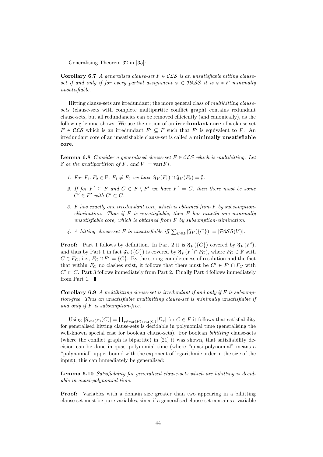Generalising Theorem 32 in [35]:

**Corollary 6.7** A generalised clause-set  $F \in \mathcal{CLS}$  is an unsatisfiable hitting clauseset if and only if for every partial assignment  $\varphi \in PASS$  it is  $\varphi * F$  minimally unsatisfiable.

Hitting clause-sets are irredundant; the more general class of multihitting clausesets (clause-sets with complete multipartite conflict graph) contains redundant clause-sets, but all redundancies can be removed efficiently (and canonically), as the following lemma shows. We use the notion of an irredundant core of a clause-set  $F \in \mathcal{CLS}$  which is an irredundant  $F' \subseteq F$  such that  $F'$  is equivalent to F. An irredundant core of an unsatisfiable clause-set is called a minimally unsatisfiable core.

**Lemma 6.8** Consider a generalised clause-set  $F \in \mathcal{CLS}$  which is multihitting. Let  $\mathbb F$  be the multipartition of F, and  $V := \text{var}(F)$ .

- 1. For  $F_1, F_2 \in \mathbb{F}$ ,  $F_1 \neq F_2$  we have  $\mathfrak{F}_V(F_1) \cap \mathfrak{F}_V(F_2) = \emptyset$ .
- 2. If for  $F' \subseteq F$  and  $C \in F \setminus F'$  we have  $F' \models C$ , then there must be some  $C' \in F'$  with  $C' \subset C$ .
- 3. F has exactly one irredundant core, which is obtained from F by subsumptionelimination. Thus if  $F$  is unsatisfiable, then  $F$  has exactly one minimally unsatisfiable core, which is obtained from  $F$  by subsumption-elimination.
- 4. A hitting clause-set F is unsatisfiable iff  $\sum_{C \in F} |\mathfrak{F}_V(\{C\})| = |\mathcal{P}\mathcal{A}\mathcal{S}\mathcal{S}(V)|$ .

**Proof:** Part 1 follows by definition. In Part 2 it is  $\mathfrak{F}_V(\{C\})$  covered by  $\mathfrak{F}_V(F')$ , and thus by Part 1 in fact  $\mathfrak{F}_V(\{C\})$  is covered by  $\mathfrak{F}_V(F' \cap F_C)$ , where  $F_C \in \mathbb{F}$  with  $C \in F_C$ ; i.e.,  $F_C \cap F' \models \{C\}$ . By the strong completeness of resolution and the fact that within  $F_C$  no clashes exist, it follows that there must be  $C' \in F' \cap F_C$  with  $C' \subset C$ . Part 3 follows immediately from Part 2. Finally Part 4 follows immediately from Part 1.  $\blacksquare$ 

**Corollary 6.9** A multihitting clause-set is irredundant if and only if  $F$  is subsumption-free. Thus an unsatisfiable multihitting clause-set is minimally unsatisfiable if and only if  $F$  is subsumption-free.

Using  $|\mathfrak{F}_{var(F)}(C)| = \prod_{v \in var(F) \setminus var(C)} |D_v|$  for  $C \in F$  it follows that satisfiability for generalised hitting clause-sets is decidable in polynomial time (generalising the well-known special case for boolean clause-sets). For boolean *bihitting* clause-sets (where the conflict graph is bipartite) in [21] it was shown, that satisfiability decision can be done in quasi-polynomial time (where "quasi-polynomial" means a "polynomial" upper bound with the exponent of logarithmic order in the size of the input); this can immediately be generalised:

Lemma 6.10 Satisfiability for generalised clause-sets which are bihitting is decidable in quasi-polynomial time.

Proof: Variables with a domain size greater than two appearing in a bihitting clause-set must be pure variables, since if a generalised clause-set contains a variable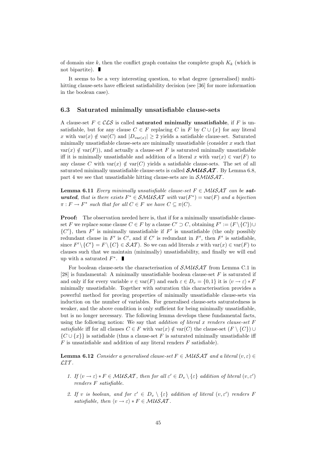of domain size k, then the conflict graph contains the complete graph  $K_k$  (which is not bipartite).

It seems to be a very interesting question, to what degree (generalised) multihitting clause-sets have efficient satisfiability decision (see [36] for more information in the boolean case).

#### 6.3 Saturated minimally unsatisfiable clause-sets

A clause-set  $F \in \mathcal{CLS}$  is called **saturated minimally unsatisfiable**, if F is unsatisfiable, but for any clause  $C \in F$  replacing C in F by  $C \cup \{x\}$  for any literal x with  $var(x) \notin var(C)$  and  $|D_{var(x)}| \ge 2$  yields a satisfiable clause-set. Saturated minimally unsatisfiable clause-sets are minimally unsatisfiable (consider  $x$  such that  $var(x) \notin var(F)$ , and actually a clause-set F is saturated minimally unsatisfiable iff it is minimally unsatisfiable and addition of a literal x with  $var(x) \in var(F)$  to any clause C with  $var(x) \notin var(C)$  yields a satisfiable clause-sets. The set of all saturated minimally unsatisfiable clause-sets is called  $\mathcal{SMUSAT}$ . By Lemma 6.8, part 4 we see that unsatisfiable hitting clause-sets are in  $\mathcal{SM} \mathcal{U} \mathcal{S} \mathcal{A} \mathcal{T}$ .

**Lemma 6.11** Every minimally unsatisfiable clause-set  $F \in \mathcal{M}$   $\mathcal{N}$   $\mathcal{A}$   $\mathcal{T}$  can be **saturated**, that is there exists  $F^* \in \mathcal{SMUSAT}$  with  $\text{var}(F^*) = \text{var}(F)$  and a bijection  $\pi : F \to F^*$  such that for all  $C \in F$  we have  $C \subseteq \pi(C)$ .

**Proof:** The observation needed here is, that if for a minimally unsatisfiable clauseset F we replace some clause  $C \in F$  by a clause  $C' \supset C$ , obtaining  $F' := (F \setminus \{C\}) \cup$  $\{C'\}$ , then F' is minimally unsatisfiable if F' is unsatisfiable (the only possibly redundant clause in  $F'$  is  $C'$ , and if  $C'$  is redundant in  $F'$ , then  $F'$  is satisfiable, since  $F' \setminus \{C'\} = F \setminus \{C\} \in \mathcal{SAT}$ ). So we can add literals x with var $(x) \in \text{var}(F)$  to clauses such that we maintain (minimally) unsatisfiability, and finally we will end up with a saturated  $F^*$ .

For boolean clause-sets the characterisation of  $\mathcal{SM} \mathcal{U} \mathcal{S} \mathcal{A} \mathcal{T}$  from Lemma C.1 in [28] is fundamental: A minimally unsatisfiable boolean clause-set  $F$  is saturated if and only if for every variable  $v \in \text{var}(F)$  and each  $\varepsilon \in D_v = \{0, 1\}$  it is  $\langle v \to \varepsilon \rangle * F$ minimally unsatisfiable. Together with saturation this characterisation provides a powerful method for proving properties of minimally unsatisfiable clause-sets via induction on the number of variables. For generalised clause-sets saturatedness is weaker, and the above condition is only sufficient for being minimally unsatisfiable, but is no longer necessary. The following lemma develops these fundamental facts, using the following notion: We say that *addition of literal x renders clause-set*  $F$ satisfiable iff for all clauses  $C \in F$  with  $var(x) \notin var(C)$  the clause-set  $(F \setminus \{C\}) \cup$  $\{C \cup \{x\}\}\$ is satisfiable (thus a clause-set F is saturated minimally unsatisfiable iff  $F$  is unsatisfiable and addition of any literal renders  $F$  satisfiable).

**Lemma 6.12** Consider a generalised clause-set  $F \in \mathcal{M}$  MSAT and a literal  $(v, \varepsilon) \in$  $LIT$ .

- 1. If  $\langle v \to \varepsilon \rangle * F \in \mathcal{M} \mathcal{U} \mathcal{S} \mathcal{A} \mathcal{T}$ , then for all  $\varepsilon' \in D_v \setminus \{\varepsilon\}$  addition of literal  $(v, \varepsilon')$ renders F satisfiable.
- 2. If v is boolean, and for  $\varepsilon' \in D_v \setminus {\varepsilon}$  addition of literal  $(v, \varepsilon')$  renders F satisfiable, then  $\langle v \rightarrow \varepsilon \rangle * F \in \mathcal{M} \mathcal{U} \mathcal{S} \mathcal{A} \mathcal{T}$ .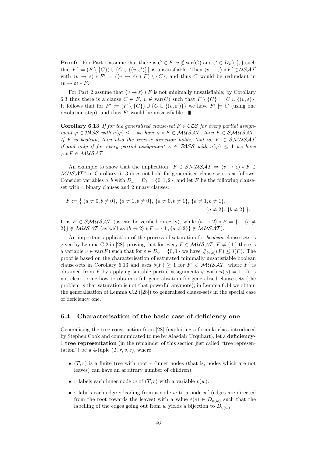**Proof:** For Part 1 assume that there is  $C \in F$ ,  $v \notin \text{var}(C)$  and  $\varepsilon' \in D_v \setminus \{\varepsilon\}$  such that  $F' := (F \setminus \{C\}) \cup \{C \cup \{(v, \varepsilon')\}\}\$ is unsatisfiable. Then  $\langle v \to \varepsilon \rangle * F' \in USAT$ with  $\langle v \to \varepsilon \rangle * F' = (\langle v \to \varepsilon \rangle * F) \setminus \{C\}$ , and thus C would be redundant in  $\langle v \rightarrow \varepsilon \rangle * F$ .

For Part 2 assume that  $\langle v \rightarrow \varepsilon \rangle * F$  is not minimally unsatisfiable; by Corollary 6.3 thus there is a clause  $C \in F$ ,  $v \notin \text{var}(C)$  such that  $F \setminus \{C\} \models C \cup \{(v, \varepsilon)\}.$ It follows that for  $F' := (F \setminus \{C\}) \cup \{C \cup \{(v, \varepsilon')\}\}\$ we have  $F' \models C$  (using one resolution step), and thus  $F'$  would be unsatisfiable.

**Corollary 6.13** If for the generalised clause-set  $F \in \mathcal{CLS}$  for every partial assignment  $\varphi \in PASS$  with  $n(\varphi) \leq 1$  we have  $\varphi * F \in MUSAT$ , then  $F \in SMUSAT$ . If F is boolean, then also the reverse direction holds, that is,  $F \in \mathcal{SMUSAT}$ if and only if for every partial assignment  $\varphi \in PASS$  with  $n(\varphi) \leq 1$  we have  $\varphi * F \in \mathcal{M} \mathcal{U} \mathcal{S} \mathcal{A} \mathcal{T}$ .

An example to show that the implication " $F \in \mathcal{SMUSAT} \Rightarrow \langle v \rightarrow \varepsilon \rangle * F \in$  $MUSAT'$  in Corollary 6.13 does not hold for generalised clause-sets is as follows: Consider variables a, b with  $D_a = D_b = \{0, 1, 2\}$ , and let F be the following clauseset with 4 binary clauses and 2 unary clauses:

$$
F := \{ \{a \neq 0, b \neq 0\}, \{a \neq 1, b \neq 0\}, \{a \neq 0, b \neq 1\}, \{a \neq 1, b \neq 1\}, \{a \neq 2\}, \{b \neq 2\} \}.
$$

It is  $F \in \mathcal{SMUSAT}$  (as can be verified directly), while  $\langle a \rightarrow 2 \rangle * F = {\perp, {\{b \neq b\}}}$ 2}}  $\notin \mathcal{M} \mathcal{U} \mathcal{S} \mathcal{A} \mathcal{T}$  (as well as  $\langle b \rightarrow 2 \rangle * F = {\perp, \{a \neq 2\}} \notin \mathcal{M} \mathcal{U} \mathcal{S} \mathcal{A} \mathcal{T}$ ).

An important application of the process of saturation for boolean clause-sets is given by Lemma C.2 in [28], proving that for every  $F \in \mathcal{M} \& \mathcal{S} \& \mathcal{A} \mathcal{T}, F \neq {\{\perp\}}$  there is a variable  $v \in \text{var}(F)$  such that for  $\varepsilon \in D_v = \{0,1\}$  we have  $\#_{(v,\varepsilon)}(F) \leq \delta(F)$ . The proof is based on the characterisation of saturated minimally unsatisfiable boolean clause-sets in Corollary 6.13 and uses  $\delta(F) \geq 1$  for  $F' \in \mathcal{M} \& \mathcal{A} \mathcal{T}$ , where  $F'$  is obtained from F by applying suitable partial assignments  $\varphi$  with  $n(\varphi) = 1$ . It is not clear to me how to obtain a full generalisation for generalised clause-sets (the problem is that saturation is not that powerful anymore); in Lemma 6.14 we obtain the generalisation of Lemma C.2 ([28]) to generalised clause-sets in the special case of deficiency one.

#### 6.4 Characterisation of the basic case of deficiency one

Generalising the tree construction from [28] (exploiting a formula class introduced by Stephen Cook and communicated to me by Alasdair Urquhart), let a deficiency-1 tree representation (in the remainder of this section just called "tree representation") be a 4-tuple  $(T, r, v, \varepsilon)$ , where

- $(T, r)$  is a finite tree with root r (inner nodes (that is, nodes which are not leaves) can have an arbitrary number of children).
- v labels each inner node w of  $(T, r)$  with a variable  $v(w)$ .
- $\varepsilon$  labels each edge  $e$  leading from a node w to a node w' (edges are directed from the root towards the leaves) with a value  $\varepsilon(e) \in D_{v(w)}$  such that the labelling of the edges going out from w yields a bijection to  $D_{v(w)}$ .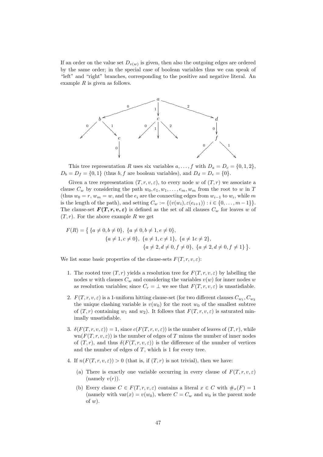If an order on the value set  $D_{v(w)}$  is given, then also the outgoing edges are ordered by the same order; in the special case of boolean variables thus we can speak of "left" and "right" branches, corresponding to the positive and negative literal. An example  $R$  is given as follows.



This tree representation R uses six variables  $a, \ldots, f$  with  $D_a = D_c = \{0, 1, 2\}$ ,  $D_b = D_f = \{0, 1\}$  (thus b, f are boolean variables), and  $D_d = D_e = \{0\}.$ 

Given a tree representation  $(T, r, v, \varepsilon)$ , to every node w of  $(T, r)$  we associate a clause  $C_w$  by considering the path  $w_0, e_1, w_1, \ldots, e_m, w_m$  from the root to w in T (thus  $w_0 = r$ ,  $w_m = w$ , and the  $e_i$  are the connecting edges from  $w_{i-1}$  to  $w_i$ , while m is the length of the path), and setting  $C_w := \{(v(w_i), \varepsilon(e_{i+1})) : i \in \{0, \ldots, m-1\}\}.$ The clause-set  $F(T, r, v, \varepsilon)$  is defined as the set of all clauses  $C_w$  for leaves w of  $(T, r)$ . For the above example R we get

$$
F(R) = \{ \{a \neq 0, b \neq 0\}, \{a \neq 0, b \neq 1, e \neq 0\}, \{a \neq 1, c \neq 0\}, \{a \neq 1, c \neq 1\}, \{a \neq 1c \neq 2\}, \{a \neq 2, d \neq 0, f \neq 0\}, \{a \neq 2, d \neq 0, f \neq 1\} \}.
$$

We list some basic properties of the clause-sets  $F(T, r, v, \varepsilon)$ :

- 1. The rooted tree  $(T, r)$  yields a resolution tree for  $F(T, r, v, \varepsilon)$  by labelling the nodes w with clauses  $C_w$  and considering the variables  $v(w)$  for inner nodes w as resolution variables; since  $C_r = \perp$  we see that  $F(T, r, v, \varepsilon)$  is unsatisfiable.
- 2.  $F(T, r, v, \varepsilon)$  is a 1-uniform hitting clause-set (for two different clauses  $C_{w_1}, C_{w_2}$ the unique clashing variable is  $v(w_0)$  for the root  $w_0$  of the smallest subtree of  $(T, r)$  containing  $w_1$  and  $w_2$ ). It follows that  $F(T, r, v, \varepsilon)$  is saturated minimally unsatisfiable.
- 3.  $\delta(F(T, r, v, \varepsilon)) = 1$ , since  $c(F(T, r, v, \varepsilon))$  is the number of leaves of  $(T, r)$ , while  $\text{wn}(F(T, r, v, \varepsilon))$  is the number of edges of T minus the number of inner nodes of  $(T, r)$ , and thus  $\delta(F(T, r, v, \varepsilon))$  is the difference of the number of vertices and the number of edges of  $T$ , which is 1 for every tree.
- 4. If  $n(F(T, r, v, \varepsilon)) > 0$  (that is, if  $(T, r)$  is not trivial), then we have:
	- (a) There is exactly one variable occurring in every clause of  $F(T, r, v, \varepsilon)$ (namely  $v(r)$ ).
	- (b) Every clause  $C \in F(T, r, v, \varepsilon)$  contains a literal  $x \in C$  with  $\#_x(F) = 1$ (namely with  $var(x) = v(w_0)$ , where  $C = C_w$  and  $w_0$  is the parent node of  $w$ ).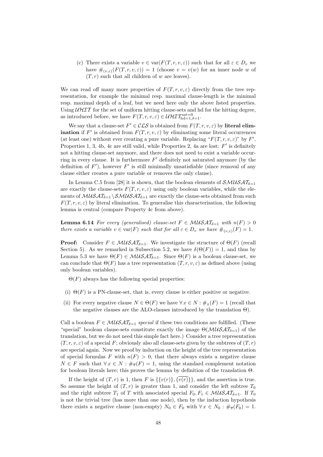(c) There exists a variable  $v \in \text{var}(F(T, r, v, \varepsilon))$  such that for all  $\varepsilon \in D_v$  we have  $\#_{(v,\varepsilon)}(F(T,r,v,\varepsilon)) = 1$  (choose  $v = v(w)$  for an inner node w of  $(T, r)$  such that all children of w are leaves).

We can read off many more properties of  $F(T, r, v, \varepsilon)$  directly from the tree representation, for example the minimal resp. maximal clause-length is the minimal resp. maximal depth of a leaf, but we need here only the above listed properties. Using  $UHIT$  for the set of uniform hitting clause-sets and hd for the hitting degree, as introduced before, we have  $F(T, r, v, \varepsilon) \in \mathcal{UHIT}_{\text{hd}=1, \delta=1}^{\text{sat}=0}$ .

We say that a clause-set  $F' \in \mathcal{CLS}$  is obtained from  $F(T, r, v, \varepsilon)$  by literal elim**ination** if F' is obtained from  $F(T, r, v, \varepsilon)$  by eliminating some literal occurrences (at least one) without ever creating a pure variable. Replacing " $F(T, r, v, \varepsilon)$ " by F', Properties 1, 3, 4b, 4c are still valid, while Properties 2, 4a are lost:  $F'$  is definitely not a hitting clause-set anymore, and there does not need to exist a variable occurring in every clause. It is furthermore  $F'$  definitely not saturated anymore (by the definition of  $F'$ ), however  $F'$  is still minimally unsatisfiable (since removal of any clause either creates a pure variable or removes the only clause).

In Lemma C.5 from [28] it is shown, that the boolean elements of  $\mathcal{SMUSAT}_{\delta=1}$ are exactly the clause-sets  $F(T, r, v, \varepsilon)$  using only boolean variables, while the elements of  $\mathcal{M} \mathcal{U} \mathcal{S} \mathcal{A} \mathcal{I}_{\delta=1} \setminus \mathcal{S} \mathcal{M} \mathcal{U} \mathcal{S} \mathcal{A} \mathcal{I}_{\delta=1}$  are exactly the clause-sets obtained from such  $F(T, r, v, \varepsilon)$  by literal elimination. To generalise this characterisation, the following lemma is central (compare Property 4c from above).

**Lemma 6.14** For every (generalised) clause-set  $F \in \mathcal{M} \cup \mathcal{SAT}_{\delta=1}$  with  $n(F) > 0$ there exists a variable  $v \in \text{var}(F)$  such that for all  $\varepsilon \in D_v$  we have  $\#_{(v,\varepsilon)}(F) = 1$ .

**Proof:** Consider  $F \in \mathcal{M} \cup \mathcal{S} \cup \mathcal{A} \mathcal{T}_{\delta=1}$ . We investigate the structure of  $\Theta(F)$  (recall Section 5). As we remarked in Subsection 5.2, we have  $\delta(\Theta(F)) = 1$ , and thus by Lemma 5.3 we have  $\Theta(F) \in \mathcal{M} \mathcal{U} \mathcal{S} \mathcal{A} \mathcal{I}_{\delta=1}$ . Since  $\Theta(F)$  is a boolean clause-set, we can conclude that  $\Theta(F)$  has a tree representation  $(T, r, v, \varepsilon)$  as defined above (using only boolean variables).

 $\Theta(F)$  always has the following special properties:

- (i)  $\Theta(F)$  is a PN-clause-set, that is, every clause is either positive or negative.
- (ii) For every negative clause  $N \in \Theta(F)$  we have  $\forall x \in N : \#_x(F) = 1$  (recall that the negative clauses are the ALO-clauses introduced by the translation  $\Theta$ ).

Call a boolean  $F \in \mathcal{M} \mathcal{U} \mathcal{S} \mathcal{A} \mathcal{I}_{\delta=1}$  special if these two conditions are fulfilled. (These "special" boolean clause-sets constitute exactly the image  $\Theta(\mathcal{M} \mathcal{U} \mathcal{S} \mathcal{A} \mathcal{T}_{\delta=1})$  of the translation, but we do not need this simple fact here.) Consider a tree representation  $(T, r, v, \varepsilon)$  of a special F; obviously also all clause-sets given by the subtrees of  $(T, r)$ are special again. Now we proof by induction on the height of the tree representation of special formulas F with  $n(F) > 0$ , that there always exists a negative clause  $N \in F$  such that  $\forall x \in N : \#_{\overline{x}}(F) = 1$ , using the standard complement notation for boolean literals here; this proves the lemma by definition of the translation Θ.

If the height of  $(T, r)$  is 1, then F is  $\{\{v(r)\}, \{\overline{v(r)}\}\}\$ , and the assertion is true. So assume the height of  $(T, r)$  is greater than 1, and consider the left subtree  $T_0$ and the right subtree  $T_1$  of T with associated special  $F_0, F_1 \in \mathcal{MUSAT}_{\delta=1}$ . If  $T_0$ is not the trivial tree (has more than one node), then by the induction hypothesis there exists a negative clause (non-empty)  $N_0 \in F_0$  with  $\forall x \in N_0 : \#_{\overline{x}}(F_0) = 1$ .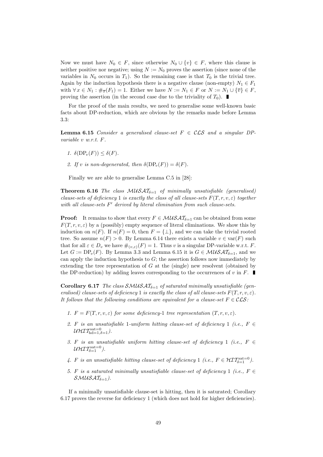Now we must have  $N_0 \in F$ , since otherwise  $N_0 \cup \{v\} \in F$ , where this clause is neither positive nor negative; using  $N := N_0$  proves the assertion (since none of the variables in  $N_0$  occurs in  $T_1$ ). So the remaining case is that  $T_0$  is the trivial tree. Again by the induction hypothesis there is a negative clause (non-empty)  $N_1 \in F_1$ with  $\forall x \in N_1 : \#_{\overline{x}}(F_1) = 1$ . Either we have  $N := N_1 \in F$  or  $N := N_1 \cup {\overline{v}} \in F$ , proving the assertion (in the second case due to the triviality of  $T_0$ ).

For the proof of the main results, we need to generalise some well-known basic facts about DP-reduction, which are obvious by the remarks made before Lemma 3.3:

**Lemma 6.15** Consider a generalised clause-set  $F \in \mathcal{CLS}$  and a singular DPvariable v w.r.t. F.

- 1.  $\delta(DP_v(F)) \leq \delta(F)$ .
- 2. If v is non-degenerated, then  $\delta(DP_v(F)) = \delta(F)$ .

Finally we are able to generalise Lemma C.5 in [28]:

**Theorem 6.16** The class  $MUSAT_{\delta=1}$  of minimally unsatisfiable (generalised) clause-sets of deficiency 1 is exactly the class of all clause-sets  $F(T, r, v, \varepsilon)$  together with all clause-sets  $F'$  derived by literal elimination from such clause-sets.

**Proof:** It remains to show that every  $F \in \mathcal{MUSAT}_{\delta=1}$  can be obtained from some  $F(T, r, v, \varepsilon)$  by a (possibly) empty sequence of literal eliminations. We show this by induction on  $n(F)$ . If  $n(F) = 0$ , then  $F = {\perp}$ , and we can take the trivial rooted tree. So assume  $n(F) > 0$ . By Lemma 6.14 there exists a variable  $v \in \text{var}(F)$  such that for all  $\varepsilon \in D_v$  we have  $\#_{(v,\varepsilon)}(F) = 1$ . Thus v is a singular DP-variable w.r.t. F. Let  $G := \text{DP}_v(F)$ . By Lemma 3.3 and Lemma 6.15 it is  $G \in \mathcal{MUSAT}_{\delta=1}$ , and we can apply the induction hypothesis to  $G$ ; the assertion follows now immediately by extending the tree representation of  $G$  at the (single) new resolvent (obtained by the DP-reduction) by adding leaves corresponding to the occurrences of v in  $F$ .

**Corollary 6.17** The class  $\mathcal{SMUSAT}_{\delta=1}$  of saturated minimally unsatisfiable (generalised) clause-sets of deficiency 1 is exactly the class of all clause-sets  $F(T, r, v, \varepsilon)$ . It follows that the following conditions are equivalent for a clause-set  $F \in \mathcal{CLS}$ :

- 1.  $F = F(T, r, v, \varepsilon)$  for some deficiency-1 tree representation  $(T, r, v, \varepsilon)$ .
- 2. F is an unsatisfiable 1-uniform hitting clause-set of deficiency 1 (i.e.,  $F \in$  $\mathcal{U}\mathcal{H}\mathcal{I} \mathcal{T}^{\text{sat}=0}_{\text{hd}=1,\delta=1}$  ).
- 3. F is an unsatisfiable uniform hitting clause-set of deficiency 1 (i.e.,  $F \in$ UHIT $\mathcal{I}_{\delta=1}^{\mathrm{sat}=0}$  ).
- 4. F is an unsatisfiable hitting clause-set of deficiency 1 (i.e.,  $F \in \mathcal{HT}^{\text{sat}=0}_{\delta=1}$ ).
- 5. F is a saturated minimally unsatisfiable clause-set of deficiency 1 (i.e.,  $F \in$  $SMUSAT_{\delta=1}$ ).

If a minimally unsatisfiable clause-set is hitting, then it is saturated; Corollary 6.17 proves the reverse for deficiency 1 (which does not hold for higher deficiencies).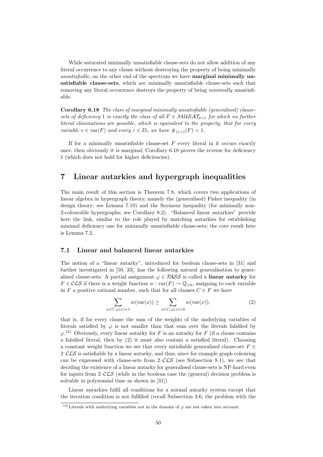While saturated minimally unsatisfiable clause-sets do not allow addition of any literal occurrence to any clause without destroying the property of being minimally unsatisfiable, on the other end of the spectrum we have **marginal minimally un**satisfiable clause-sets, which are minimally unsatisfiable clause-sets such that removing any literal occurrence destroys the property of being minimally unsatisfiable.

Corollary 6.18 The class of marginal minimally unsatisfiable (generalised) clausesets of deficiency 1 is exactly the class of all  $F \in \mathcal{M} \cup \mathcal{SAT}_{\delta-1}$  for which no further literal eliminations are possible, which is equivalent to the property, that for every variable  $v \in \text{var}(F)$  and every  $\varepsilon \in D_v$  we have  $\#_{(v,\varepsilon)}(F) = 1$ .

If for a minimally unsatisfiable clause-set  $F$  every literal in it occurs exactly once, then obviously it is marginal; Corollary 6.18 proves the reverse for deficiency 1 (which does not hold for higher deficiencies).

## 7 Linear autarkies and hypergraph inequalities

The main result of this section is Theorem 7.8, which covers two applications of linear algebra in hypergraph theory, namely the (generalised) Fisher inequality (in design theory; see Lemma 7.10) and the Seymour inequality (for minimally non-2-colourable hypergraphs; see Corollary 8.2). "Balanced linear autarkies" provide here the link, similar to the role played by matching autarkies for establishing minimal deficiency one for minimally unsatisfiable clause-sets; the core result here is Lemma 7.2.

#### 7.1 Linear and balanced linear autarkies

The notion of a "linear autarky", introduced for boolean clause-sets in [31] and further investigated in [50, 33], has the following natural generalisation to generalised clause-sets: A partial assignment  $\varphi \in \mathcal{R} \mathcal{S} \mathcal{S}$  is called a **linear autarky** for  $F \in \mathcal{CLS}$  if there is a weight function  $w : \text{var}(F) \to \mathbb{Q}_{>0}$ , assigning to each variable in F a positive rational number, such that for all clauses  $C \in F$  we have

$$
\sum_{x \in C, \varphi(x)=1} w(\text{var}(x)) \ge \sum_{x \in C, \varphi(x)=0} w(\text{var}(x)),\tag{2}
$$

that is, if for every clause the sum of the weights of the underlying variables of literals satisfied by  $\varphi$  is not smaller than that sum over the literals falsified by  $\varphi$ <sup>12</sup> Obviously, every linear autarky for F is an autarky for F (if a clause contains a falsified literal, then by (2) it must also contain a satisfied literal). Choosing a constant weight function we see that every satisfiable generalised clause-set  $F \in$  $2-\mathcal{CLS}$  is satisfiable by a linear autarky, and thus, since for example graph colouring can be expressed with clause-sets from  $2-\mathcal{CLS}$  (see Subsection 8.1), we see that deciding the existence of a linear autarky for generalised clause-sets is NP-hard even for inputs from  $2-\mathcal{CLS}$  (while in the boolean case the (general) decision problem is solvable in polynomial time as shown in [31]).

Linear autarkies fulfil all conditions for a normal autarky system except that the iteration condition is not fulfilled (recall Subsection 3.6; the problem with the

<sup>&</sup>lt;sup>12)</sup>Literals with underlying variables not in the domain of  $\varphi$  are not taken into account.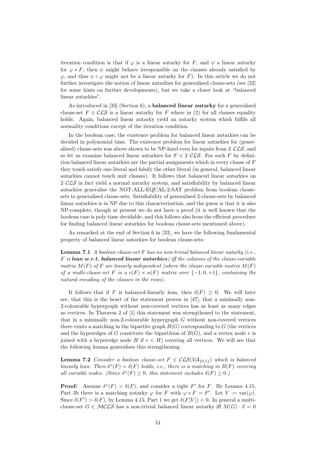iteration condition is that if  $\varphi$  is a linear autarky for F, and  $\psi$  a linear autarky for  $\varphi * F$ , then  $\psi$  might behave irresponsible on the clauses already satisfied by  $\varphi$ , and thus  $\psi \circ \varphi$  might not be a linear autarky for F). In this article we do not further investigate the notion of linear autarkies for generalised clause-sets (see [32] for some hints on further developments), but we take a closer look at "balanced linear autarkies".

As introduced in [33] (Section 6), a balanced linear autarky for a generalised clause-set  $F \in \mathcal{CLS}$  is a linear autarky for F where in (2) for all clauses equality holds. Again, balanced linear autarky yield an autarky system which fulfils all normality conditions except of the iteration condition.

In the boolean case, the existence problem for balanced linear autarkies can be decided in polynomial time. The existence problem for linear autarkies for (generalised) clause-sets was above shown to be NP-hard even for inputs from  $2-\mathcal{CLS}$ , and so let us examine balanced linear autarkies for  $F \in 2\text{-}\mathcal{CLS}$ . For such F by definition balanced linear autarkies are the partial assignments which in every clause of F they touch satisfy one literal and falsify the other literal (in general, balanced linear autarkies cannot touch unit clauses). It follows that balanced linear autarkies on  $2-\mathcal{L}\mathcal{L}\mathcal{S}$  in fact yield a normal autarky system, and satisfiability by balanced linear autarkies generalise the NOT-ALL-EQUAL-2-SAT problem from boolean clausesets to generalised clause-sets. Satisfiability of generalised 2-clause-sets by balanced linear autarkies is in NP due to this characterisation, and the guess is that it is also NP-complete, though at present we do not have a proof (it is well known that the boolean case is poly-time decidable, and this follows also from the efficient procedure for finding balanced linear autarkies for boolean clause-sets mentioned above).

As remarked at the end of Section 6 in [33], we have the following fundamental property of balanced linear autarkies for boolean clause-sets:

**Lemma 7.1** A boolean clause-set F has no non-trivial balanced linear autarky (i.e.,  $F$  is lean w.r.t. balanced linear autarkies) iff the columns of the clause-variable matrix  $M(F)$  of F are linearly independent (where the clause-variable matrix  $M(F)$ of a multi-clause-set F is a  $c(F) \times n(F)$  matrix over  $\{-1,0,+1\}$ , containing the natural encoding of the clauses in the rows).

It follows that if F is balanced-linearly lean, then  $\delta(F) \geq 0$ . We will later see, that this is the heart of the statement proven in [47], that a minimally non-2-colourable hypergraph without non-covered vertices has as least as many edges as vertices. In Theorem 2 of [1] this statement was strengthened to the statement, that in a minimally non-2-colourable hypergraph G without non-covered vertices there exists a matching in the bipartite graph  $B(G)$  corresponding to G (the vertices and the hyperedges of G constitute the bipartition of  $B(G)$ , and a vertex node v is joined with a hyperedge node H if  $v \in H$ ) covering all vertices. We will see that the following lemma generalises this strengthening.

**Lemma 7.2** Consider a boolean clause-set  $F \in \mathcal{CLS}(V\mathcal{A}_{\{0,1\}})$  which is balanced linearly lean. Then  $\delta^*(F) = \delta(F)$  holds, i.e., there is a matching in  $B(F)$  covering all variable nodes. (Since  $\delta^*(F) \geq 0$ , this statement includes  $\delta(F) \geq 0$ .)

**Proof:** Assume  $\delta^*(F) > \delta(F)$ , and consider a tight F' for F. By Lemma 4.15, Part 3b there is a matching autarky  $\varphi$  for F with  $\varphi * F = F'$ . Let  $V := \text{var}(\varphi)$ . Since  $\delta(F') > \delta(F)$ , by Lemma 4.15, Part 1 we get  $\delta(F[V]) < 0$ . In general a multiclause-set  $G \in \mathcal{MCLS}$  has a non-trivial balanced linear autarky iff  $M(G) \cdot \vec{x} = 0$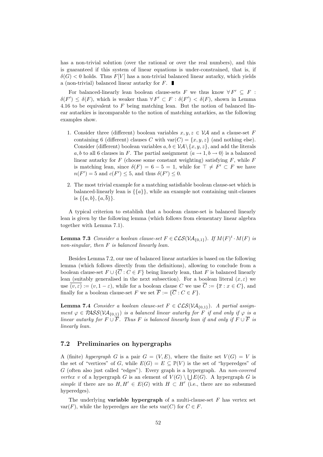has a non-trivial solution (over the rational or over the real numbers), and this is guaranteed if this system of linear equations is under-constrained, that is, if  $\delta(G)$  < 0 holds. Thus F[V] has a non-trivial balanced linear autarky, which yields a (non-trivial) balanced linear autarky for  $F$ .

For balanced-linearly lean boolean clause-sets F we thus know  $\forall F' \subseteq F$ :  $\delta(F') \leq \delta(F)$ , which is weaker than  $\forall F' \subset F : \delta(F') < \delta(F)$ , shown in Lemma 4.16 to be equivalent to  $F$  being matching lean. But the notion of balanced linear autarkies is incomparable to the notion of matching autarkies, as the following examples show.

- 1. Consider three (different) boolean variables  $x, y, z \in V\mathcal{A}$  and a clause-set F containing 6 (different) clauses C with  $var(C) = \{x, y, z\}$  (and nothing else). Consider (different) boolean variables  $a, b \in VA \setminus \{x, y, z\}$ , and add the literals a, b to all 6 clauses in F. The partial assignment  $\langle a \rightarrow 1, b \rightarrow 0 \rangle$  is a balanced linear autarky for  $F$  (choose some constant weighting) satisfying  $F$ , while  $F$ is matching lean, since  $\delta(F) = 6 - 5 = 1$ , while for  $\top \neq F' \subset F$  we have  $n(F') = 5$  and  $c(F') \leq 5$ , and thus  $\delta(F') \leq 0$ .
- 2. The most trivial example for a matching satisfiable boolean clause-set which is balanced-linearly lean is  $\{\{a\}\}\$ , while an example not containing unit-clauses is  $\{\{a, b\}, \{a, \overline{b}\}\}.$

A typical criterion to establish that a boolean clause-set is balanced linearly lean is given by the following lemma (which follows from elementary linear algebra together with Lemma 7.1).

**Lemma 7.3** Consider a boolean clause-set  $F \in \mathcal{CLS}(V\mathcal{A}_{\{0,1\}})$ . If  $M(F)^t \cdot M(F)$  is non-singular, then F is balanced linearly lean.

Besides Lemma 7.2, our use of balanced linear autarkies is based on the following lemma (which follows directly from the definitions), allowing to conclude from a boolean clause-set  $F \cup \{ \overline{C} : C \in F \}$  being linearly lean, that F is balanced linearly lean (suitably generalised in the next subsection). For a boolean literal  $(x, \varepsilon)$  we use  $\overline{(v,\varepsilon)} := (v,1-\varepsilon)$ , while for a boolean clause C we use  $\overline{C} := {\overline{x} : x \in C}$ , and finally for a boolean clause-set F we set  $\overline{F} := \{ \overline{C} : C \in F \}.$ 

**Lemma 7.4** Consider a boolean clause-set  $F \in \mathcal{CLS}(V\mathcal{A}_{\{0,1\}})$ . A partial assignment  $\varphi \in PASSV\mathcal{A}_{\{0,1\}}$  is a balanced linear autarky for F if and only if  $\varphi$  is a linear autarky for  $F \cup \overline{F}$ . Thus F is balanced linearly lean if and only if  $F \cup \overline{F}$  is linearly lean.

#### 7.2 Preliminaries on hypergraphs

A (finite) hypergraph G is a pair  $G = (V, E)$ , where the finite set  $V(G) = V$  is the set of "vertices" of G, while  $E(G) = E \subseteq \mathbb{P}(V)$  is the set of "hyperedges" of G (often also just called "edges"). Every graph is a hypergraph. An non-covered vertex v of a hypergraph G is an element of  $V(G) \setminus \bigcup E(G)$ . A hypergraph G is simple if there are no  $H, H' \in E(G)$  with  $H \subset H'$  (i.e., there are no subsumed hyperedges).

The underlying **variable hypergraph** of a multi-clause-set  $F$  has vertex set  $var(F)$ , while the hyperedges are the sets  $var(C)$  for  $C \in F$ .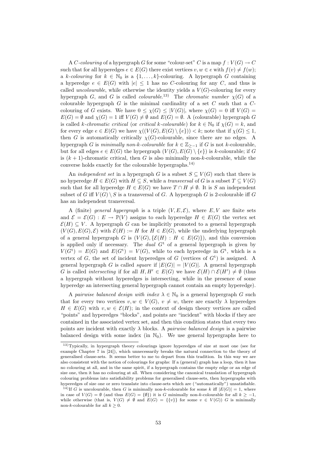A C-colouring of a hypergraph G for some "colour-set" C is a map  $f: V(G) \to C$ such that for all hyperedges  $e \in E(G)$  there exist vertices  $v, w \in e$  with  $f(v) \neq f(w)$ ; a k-colouring for  $k \in \mathbb{N}_0$  is a  $\{1, \ldots, k\}$ -colouring. A hypergraph G containing a hyperedge  $e \in E(G)$  with  $|e| \leq 1$  has no C-colouring for any C, and thus is called *uncolourable*, while otherwise the identity yields a  $V(G)$ -colouring for every hypergraph G, and G is called *colourable*.<sup>13</sup> The *chromatic number*  $\chi(G)$  of a colourable hypergraph  $G$  is the minimal cardinality of a set  $C$  such that a  $C$ colouring of G exists. We have  $0 \leq \chi(G) \leq |V(G)|$ , where  $\chi(G) = 0$  iff  $V(G) =$  $E(G) = \emptyset$  and  $\chi(G) = 1$  iff  $V(G) \neq \emptyset$  and  $E(G) = \emptyset$ . A (colourable) hypergraph G is called k-chromatic critical (or critical k-colourable) for  $k \in \mathbb{N}_0$  if  $\chi(G) = k$ , and for every edge  $e \in E(G)$  we have  $\chi((V(G), E(G) \setminus \{e\})) < k$ ; note that if  $\chi(G) \leq 1$ , then G is automatically critically  $\chi(G)$ -colourable, since there are no edges. A hypergraph G is minimally non-k-colourable for  $k \in \mathbb{Z}_{\ge-1}$  if G is not k-colourable, but for all edges  $e \in E(G)$  the hypergraph  $(V(G), E(G) \setminus \{e\})$  is k-colourable; if G is  $(k + 1)$ -chromatic critical, then G is also minimally non-k-colourable, while the converse holds exactly for the colourable hypergraphs.14)

An *independent set* in a hypergraph G is a subset  $S \subseteq V(G)$  such that there is no hyperedge  $H \in E(G)$  with  $H \subseteq S$ , while a *transversal* of G is a subset  $T \subseteq V(G)$ such that for all hyperedge  $H \in E(G)$  we have  $T \cap H \neq \emptyset$ . It is S an independent subset of G iff  $V(G) \setminus S$  is a transversal of G. A hypergraph G is 2-colourable iff G has an independent transversal.

A (finite) general hypergraph is a triple  $(V, E, \mathcal{E})$ , where  $E, V$  are finite sets and  $\mathcal{E} = \mathcal{E}(G) : E \to \mathbb{P}(V)$  assigns to each hyperedge  $H \in E(G)$  the vertex set  $\mathcal{E}(H) \subseteq V$ . A hypergraph G can be implicitly promoted to a general hypergraph  $(V(G), E(G), \mathcal{E})$  with  $\mathcal{E}(H) := H$  for  $H \in E(G)$ , while the underlying hypergraph of a general hypergraph G is  $(V(G), \{E(H) : H \in E(G)\})$ , and this conversion is applied only if necessary. The *dual*  $G<sup>t</sup>$  of a general hypergraph is given by  $V(G<sup>t</sup>) = E(G)$  and  $E(G<sup>t</sup>) = V(G)$ , while to each hyperedge in  $G<sup>t</sup>$ , which is a vertex of  $G$ , the set of incident hyperedges of  $G$  (vertices of  $G<sup>t</sup>$ ) is assigned. A general hypergraph G is called *square* if  $|E(G)| = |V(G)|$ . A general hypergraph G is called *intersecting* if for all  $H, H' \in E(G)$  we have  $\mathcal{E}(H) \cap \mathcal{E}(H') \neq \emptyset$  (thus a hypergraph without hyperedges is intersecting, while in the presence of some hyperedge an intersecting general hypergraph cannot contain an empty hyperedge).

A pairwise balanced design with index  $\lambda \in \mathbb{N}_0$  is a general hypergraph G such that for every two vertices  $v, w \in V(G), v \neq w$ , there are exactly  $\lambda$  hyperedges  $H \in E(G)$  with  $v, w \in \mathcal{E}(H)$ ; in the context of design theory vertices are called "points" and hyperedges "blocks", and points are "incident" with blocks if they are contained in the associated vertex set, and then this condition states that every two points are incident with exactly  $\lambda$  blocks. A *pairwise balanced design* is a pairwise balanced design with some index (in  $\mathbb{N}_0$ ). We use general hypergraphs here to

<sup>13)</sup>Typically, in hypergraph theory colourings ignore hyperedges of size at most one (see for example Chapter 7 in [24]), which unnecessarily breaks the natural connection to the theory of generalised clause-sets. It seems better to me to depart from this tradition. In this way we are also consistent with the notion of colourings for graphs: If a (general) graph has a loop, then it has no colouring at all, and in the same spirit, if a hypergraph contains the empty edge or an edge of size one, then it has no colouring at all. When considering the canonical translation of hypergraph colouring problems into satisfiability problems for generalised clause-sets, then hypergraphs with hyperedges of size one or zero translate into clause-sets which are ("automatically") unsatisfiable.

<sup>&</sup>lt;sup>14)</sup>If G is uncolourable, then G is minimally non-k-colourable for some k iff  $|E(G)| = 1$ , where in case of  $V(G) = \emptyset$  (and thus  $E(G) = \{\emptyset\}$ ) it is G minimally non-k-colourable for all  $k > -1$ , while otherwise (that is,  $V(G) \neq \emptyset$  and  $E(G) = \{\{v\}\}\$  for some  $v \in V(G)$ ) G is minimally non-k-colourable for all  $k \geq 0$ .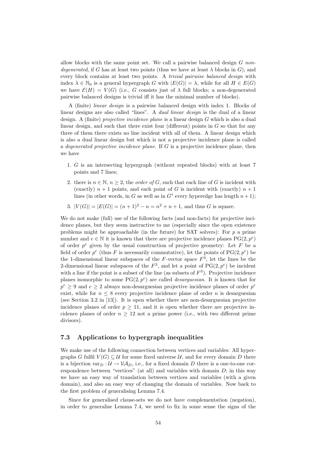allow blocks with the same point set. We call a pairwise balanced design  $G$  nondegenerated, if G has at least two points (thus we have at least  $\lambda$  blocks in G), and every block contains at least two points. A trivial pairwise balanced design with index  $\lambda \in \mathbb{N}_0$  is a general hypergraph G with  $|E(G)| = \lambda$ , while for all  $H \in E(G)$ we have  $\mathcal{E}(H) = V(G)$  (i.e., G consists just of  $\lambda$  full blocks; a non-degenerated pairwise balanced designs is trivial iff it has the minimal number of blocks).

A (finite) linear design is a pairwise balanced design with index 1. Blocks of linear designs are also called "lines". A *dual linear design* is the dual of a linear design. A (finite) *projective incidence plane* is a linear design G which is also a dual linear design, and such that there exist four (different) points in  $G$  so that for any three of them there exists no line incident with all of them. A linear design which is also a dual linear design but which is not a projective incidence plane is called a degenerated projective incidence plane. If G is a projective incidence plane, then we have

- 1. G is an intersecting hypergraph (without repeated blocks) with at least 7 points and 7 lines;
- 2. there is  $n \in \mathbb{N}$ ,  $n \geq 2$ , the *order of G*, such that each line of G is incident with (exactly)  $n + 1$  points, and each point of G is incident with (exactly)  $n + 1$ lines (in other words, in G as well as in  $G^t$  every hyperedge has length  $n+1$ );
- 3.  $|V(G)| = |E(G)| = (n+1)^2 n = n^2 + n + 1$ , and thus G is square.

We do not make (full) use of the following facts (and non-facts) for projective incidence planes, but they seem instructive to me (especially since the open existence problems might be approachable (in the future) for SAT solvers): For  $p$  a prime number and  $e \in \mathbb{N}$  it is known that there are projective incidence planes  $PG(2, p^e)$ of order  $p^e$  given by the usual construction of projective geometry: Let F be a field of order  $p^e$  (thus F is necessarily commutative), let the points of  $PG(2, p^e)$  be the 1-dimensional linear subspaces of the  $F$ -vector space  $F^3$ , let the lines be the 2-dimensional linear subspaces of the  $F^3$ , and let a point of  $PG(2, p^e)$  be incident with a line if the point is a subset of the line (as subsets of  $F<sup>3</sup>$ ). Projective incidence planes isomorphic to some  $PG(2, p^e)$  are called *desarguesian*. It is known that for  $p^e \geq 9$  and  $e \geq 2$  always non-desarguesian projective incidence planes of order  $p^e$ exist, while for  $n \leq 8$  every projective incidence plane of order n is desarguesian (see Section 3.2 in [13]). It is open whether there are non-desarguesian projective incidence planes of order  $p > 11$ , and it is open whether there are projective incidence planes of order  $n \geq 12$  not a prime power (i.e., with two different prime divisors).

#### 7.3 Applications to hypergraph inequalities

We make use of the following connection between vertices and variables: All hypergraphs G fulfil  $V(G) \subseteq U$  for some fixed universe U, and for every domain D there is a bijection var $_D: U \to V \mathcal{A}_D$ , i.e., for a fixed domain D there is a one-to-one correspondence between "vertices" (at all) and variables with domain  $D$ ; in this way we have an easy way of translation between vertices and variables (with a given domain), and also an easy way of changing the domain of variables. Now back to the first problem of generalising Lemma 7.4.

Since for generalised clause-sets we do not have complementation (negation), in order to generalise Lemma 7.4, we need to fix in some sense the signs of the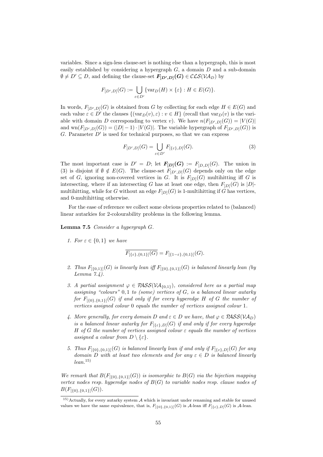variables. Since a sign-less clause-set is nothing else than a hypergraph, this is most easily established by considering a hypergraph  $G$ , a domain  $D$  and a sub-domain  $\emptyset \neq D' \subseteq D$ , and defining the clause-set  $\mathbf{F}_{[D',D]}(G) \in \mathcal{CLS}(V\mathcal{A}_D)$  by

$$
F_{[D',D]}(G) := \bigcup_{\varepsilon \in D'} \{ \text{var}_D(H) \times \{\varepsilon\} : H \in E(G) \}.
$$

In words,  $F_{[D', D]}(G)$  is obtained from G by collecting for each edge  $H \in E(G)$  and each value  $\varepsilon \in D'$  the clauses  $\{(\text{var}_D(v), \varepsilon) : v \in H\}$  (recall that  $\text{var}_D(v)$  is the variable with domain D corresponding to vertex v). We have  $n(F_{[D',D]}(G)) = |V(G)|$ and  $\text{wn}(F_{[D',D]}(G)) = (|D|-1) \cdot |V(G)|$ . The variable hypergraph of  $F_{[D',D]}(G)$  is G. Parameter  $D'$  is used for technical purposes, so that we can express

$$
F_{[D',D]}(G) = \bigcup_{\varepsilon \in D'} F_{[\{\varepsilon\},D]}(G). \tag{3}
$$

The most important case is  $D' = D$ ; let  $F_{[D]}(G) := F_{[D,D]}(G)$ . The union in (3) is disjoint if  $\emptyset \notin E(G)$ . The clause-set  $F_{[D',D]}(G)$  depends only on the edge set of G, ignoring non-covered vertices in G. It is  $F_{D}(G)$  multihitting iff G is intersecting, where if an intersecting G has at least one edge, then  $F_{[D]}(G)$  is  $|D|$ multihitting, while for G without an edge  $F_{[D]}(G)$  is 1-multihitting if G has vertices, and 0-multihitting otherwise.

For the ease of reference we collect some obvious properties related to (balanced) linear autarkies for 2-colourability problems in the following lemma.

Lemma 7.5 Consider a hypergraph G.

1. For  $\varepsilon \in \{0,1\}$  we have

$$
\overline{F_{\left[\{\varepsilon\},\{0,1\}\right]}(G)}=F_{\left[\{1-\varepsilon\},\{0,1\}\right]}(G).
$$

- 2. Thus  $F_{[\{0,1\}]}(G)$  is linearly lean iff  $F_{[\{0\},\{0,1\}]}(G)$  is balanced linearly lean (by Lemma  $7.4$ ).
- 3. A partial assignment  $\varphi \in PASS(V{\cal A}_{\{0,1\}})$ , considered here as a partial map assigning "colours"  $0, 1$  to (some) vertices of  $G$ , is a balanced linear autarky for  $F_{[\{0\},\{0,1\}]}(G)$  if and only if for every hyperedge H of G the number of vertices assigned colour 0 equals the number of vertices assigned colour 1.
- 4. More generally, for every domain D and  $\varepsilon \in D$  we have, that  $\varphi \in PASS(V\mathcal{A}_D)$ is a balanced linear autarky for  $F_{[\{\varepsilon\},D]}(G)$  if and only if for every hyperedge H of G the number of vertices assigned colour  $\varepsilon$  equals the number of vertices assigned a colour from  $D \setminus \{\varepsilon\}.$
- 5. Thus  $F_{[\{0\},\{0,1\}]}(G)$  is balanced linearly lean if and only if  $F_{[\{\varepsilon\},D]}(G)$  for any domain D with at least two elements and for any  $\varepsilon \in D$  is balanced linearly  $lean.<sup>15</sup>$

We remark that  $B(F_{[\{0\},\{0,1\}]}(G))$  is isomorphic to  $B(G)$  via the bijection mapping vertex nodes resp. hyperedge nodes of  $B(G)$  to variable nodes resp. clause nodes of  $B(F_{[\{0\},\{0,1\}]}(G)).$ 

 $15)$ Actually, for every autarky system A which is invariant under renaming and stable for unused values we have the same equivalence, that is,  $F_{\{0\},\{0,1\}\}(G)$  is A-lean iff  $F_{\{\{\varepsilon\},D\}}(G)$  is A-lean.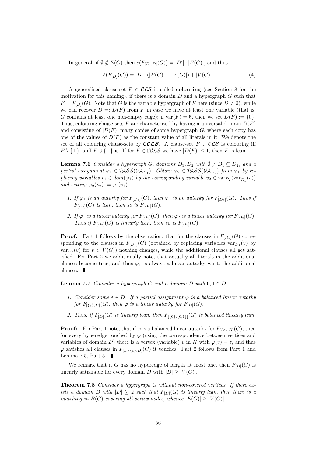In general, if  $\emptyset \notin E(G)$  then  $c(F_{[D', D]}(G)) = |D'| \cdot |E(G)|$ , and thus

$$
\delta(F_{[D]}(G)) = |D| \cdot (|E(G)| - |V(G)|) + |V(G)|. \tag{4}
$$

A generalised clause-set  $F \in \mathcal{CLS}$  is called **colouring** (see Section 8 for the motivation for this naming), if there is a domain  $D$  and a hypergraph  $G$  such that  $F = F_{D}(G)$ . Note that G is the variable hypergraph of F here (since  $D \neq \emptyset$ ), while we can recover  $D =: D(F)$  from F in case we have at least one variable (that is, G contains at least one non-empty edge); if  $var(F) = \emptyset$ , then we set  $D(F) := \{0\}$ . Thus, colouring clause-sets F are characterised by having a universal domain  $D(F)$ and consisting of  $|D(F)|$  many copies of some hypergraph G, where each copy has one of the values of  $D(F)$  as the constant value of all literals in it. We denote the set of all colouring clause-sets by **CCLS**. A clause-set  $F \in \mathcal{CLS}$  is colouring iff  $F \setminus {\{\perp\}}$  is iff  $F \cup {\{\perp\}}$  is. If for  $F \in \mathcal{CCLS}$  we have  $|D(F)| \leq 1$ , then F is lean.

**Lemma 7.6** Consider a hypergraph G, domains  $D_1, D_2$  with  $\emptyset \neq D_1 \subseteq D_2$ , and a partial assignment  $\varphi_1 \in PASS(V\mathcal{A}_{D_1})$ . Obtain  $\varphi_2 \in PASS(V\mathcal{A}_{D_2})$  from  $\varphi_1$  by replacing variables  $v_1 \in dom(\varphi_1)$  by the corresponding variable  $v_2 \in var_{D_2}(var_{D_1}^{-1}(v))$ and setting  $\varphi_2(v_2) := \varphi_1(v_1)$ .

- 1. If  $\varphi_1$  is an autarky for  $F_{[D_1]}(G)$ , then  $\varphi_2$  is an autarky for  $F_{[D_2]}(G)$ . Thus if  $F_{[D_2]}(G)$  is lean, then so is  $F_{[D_1]}(G)$ .
- 2. If  $\varphi_1$  is a linear autarky for  $F_{[D_1]}(G)$ , then  $\varphi_2$  is a linear autarky for  $F_{[D_2]}(G)$ . Thus if  $F_{[D_2]}(G)$  is linearly lean, then so is  $F_{[D_1]}(G)$ .

**Proof:** Part 1 follows by the observation, that for the clauses in  $F_{[D_2]}(G)$  corresponding to the clauses in  $F_{[D_1]}(G)$  (obtained by replacing variables  $var_{D_1}(v)$  by  $var_{D_2}(v)$  for  $v \in V(G)$  nothing changes, while the additional clauses all get satisfied. For Part 2 we additionally note, that actually all literals in the additional clauses become true, and thus  $\varphi_1$  is always a linear autarky w.r.t. the additional clauses.  $\blacksquare$ 

**Lemma 7.7** Consider a hypergraph G and a domain D with  $0, 1 \in D$ .

- 1. Consider some  $\varepsilon \in D$ . If a partial assignment  $\varphi$  is a balanced linear autarky for  $F_{\lbrack \{\varepsilon\},D\rbrack}(G)$ , then  $\varphi$  is a linear autarky for  $F_{\lbrack D\rbrack}(G)$ .
- 2. Thus, if  $F_{[D]}(G)$  is linearly lean, then  $F_{[\{0\},\{0,1\}]}(G)$  is balanced linearly lean.

**Proof:** For Part 1 note, that if  $\varphi$  is a balanced linear autarky for  $F_{\{\xi \xi\},D}(G)$ , then for every hyperedge touched by  $\varphi$  (using the correspondence between vertices and variables of domain D) there is a vertex (variable) v in H with  $\varphi(v) = \varepsilon$ , and thus  $\varphi$  satisfies all clauses in  $F_{[D\setminus\{\varepsilon\},D]}(G)$  it touches. Part 2 follows from Part 1 and Lemma 7.5, Part 5.  $\blacksquare$ 

We remark that if G has no hyperedge of length at most one, then  $F_{[D]}(G)$  is linearly satisfiable for every domain D with  $|D| \geq |V(G)|$ .

Theorem 7.8 Consider a hypergraph G without non-covered vertices. If there exists a domain D with  $|D| \geq 2$  such that  $F_{[D]}(G)$  is linearly lean, then there is a matching in  $B(G)$  covering all vertex nodes, whence  $|E(G)| \geq |V(G)|$ .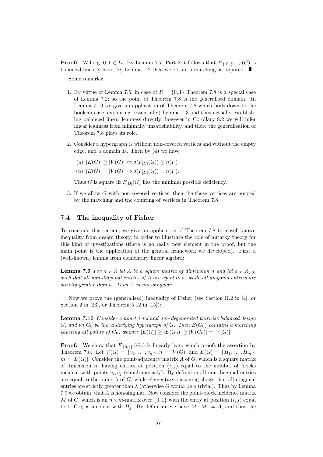**Proof:** W.l.o.g.  $0, 1 \in D$ . By Lemma 7.7, Part 2 it follows that  $F_{[\{0\},\{0,1\}]}(G)$  is balanced linearly lean. By Lemma 7.2 then we obtain a matching as required.

Some remarks:

- 1. By virtue of Lemma 7.5, in case of  $D = \{0, 1\}$  Theorem 7.8 is a special case of Lemma 7.2; so the point of Theorem 7.8 is the generalised domain. In Lemma 7.10 we give an application of Theorem 7.8 which boils down to the boolean case, exploiting (essentially) Lemma 7.3 and thus actually establishing balanced linear leanness directly; however in Corollary 8.2 we will infer linear leanness from minimally unsatisfiability, and there the generalisation of Theorem 7.8 plays its role.
- 2. Consider a hypergraph G without non-covered vertices and without the empty edge, and a domain  $D$ . Then by  $(4)$  we have
	- (a)  $|E(G)| \geq |V(G)| \Leftrightarrow \delta(F_{|D|}(G)) \geq n(F)$
	- (b)  $|E(G)| = |V(G)| \Leftrightarrow \delta(F_{[D]}(G)) = n(F).$

Thus G is square iff  $F_{D}$ [G] has the minimal possible deficiency.

3. If we allow G with non-covered vertices, then the these vertices are ignored by the matching and the counting of vertices in Theorem 7.8.

#### 7.4 The inequality of Fisher

To conclude this section, we give an application of Theorem 7.8 to a well-known inequality from design theory, in order to illustrate the role of autarky theory for this kind of investigations (there is no really new element in the proof, but the main point is the application of the general framework we developed). First a (well-known) lemma from elementary linear algebra:

**Lemma 7.9** For  $n \in \mathbb{N}$  let A be a square matrix of dimension n and let  $a \in \mathbb{R}_{>0}$ , such that all non-diagonal entries of A are equal to a, while all diagonal entries are strictly greater than a. Then A is non-singular.

Now we prove the (generalised) inequality of Fisher (see Section II.2 in [4], or Section 2 in [23], or Theorem 5.12 in [15]):

Lemma 7.10 Consider a non-trivial and non-degenerated pairwise balanced design G, and let  $G_0$  be the underlying hypergraph of G. Then  $B(G_0)$  contains a matching covering all points of  $G_0$ , whence  $|E(G)| \geq |E(G_0)| \geq |V(G_0)| = |V(G)|$ .

**Proof:** We show that  $F_{[\{0,1\}]}(G_0)$  is linearly lean, which proofs the assertion by Theorem 7.8. Let  $V(G) = \{v_1, \ldots, v_n\}, n = |V(G)|$  and  $E(G) = \{H_1, \ldots, H_m\},$  $m = |E(G)|$ . Consider the point-adjacency matrix A of G, which is a square matrix of dimension n, having entries at position  $(i, j)$  equal to the number of blocks incident with points  $v_i, v_j$  (simultaneously). By definition all non-diagonal entries are equal to the index  $\lambda$  of G, while elementary reasoning shows that all diagonal entries are strictly greater than  $\lambda$  (otherwise G would be a trivial). Thus by Lemma 7.9 we obtain, that A is non-singular. Now consider the point-block incidence matrix M of G, which is an  $n \times m$ -matrix over  $\{0,1\}$  with the entry at position  $(i, j)$  equal to 1 iff  $v_i$  is incident with  $H_j$ . By definition we have  $M \cdot M^t = A$ , and thus the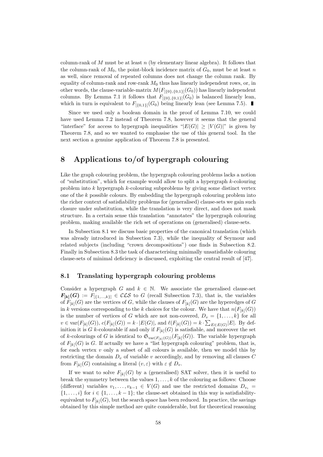column-rank of  $M$  must be at least  $n$  (by elementary linear algebra). It follows that the column-rank of  $M_0$ , the point-block incidence matrix of  $G_0$ , must be at least n as well, since removal of repeated columns does not change the column rank. By equality of column-rank and row-rank  $M_0$  thus has linearly independent rows, or, in other words, the clause-variable-matrix  $M(F_{[0],\{0,1\}}(G_0))$  has linearly independent columns. By Lemma 7.1 it follows that  $F_{[\{0\},\{0,1\}]}(G_0)$  is balanced linearly lean, which in turn is equivalent to  $F_{[0,1]}(G_0)$  being linearly lean (see Lemma 7.5).

Since we used only a boolean domain in the proof of Lemma 7.10, we could have used Lemma 7.2 instead of Theorem 7.8, however it seems that the general "interface" for access to hypergraph inequalities " $|E(G)| > |V(G)|$ " is given by Theorem 7.8, and so we wanted to emphasise the use of this general tool. In the next section a genuine application of Theorem 7.8 is presented.

## 8 Applications to/of hypergraph colouring

Like the graph colouring problem, the hypergraph colouring problems lacks a notion of "substitution", which for example would allow to split a hypergraph  $k$ -colouring problem into  $k$  hypergraph  $k$ -colouring subproblems by giving some distinct vertex one of the  $k$  possible colours. By embedding the hypergraph colouring problem into the richer context of satisfiability problems for (generalised) clause-sets we gain such closure under substitution, while the translation is very direct, and does not mask structure. In a certain sense this translation "annotates" the hypergraph colouring problem, making available the rich set of operations on (generalised) clause-sets.

In Subsection 8.1 we discuss basic properties of the canonical translation (which was already introduced in Subsection 7.3), while the inequality of Seymour and related subjects (including "crown decompositions") one finds in Subsection 8.2. Finally in Subsection 8.3 the task of characterising minimally unsatisfiable colouring clause-sets of minimal deficiency is discussed, exploiting the central result of [47].

#### 8.1 Translating hypergraph colouring problems

Consider a hypergraph G and  $k \in \mathbb{N}$ . We associate the generalised clause-set  $\mathbf{F}_{[k]}(G) := F_{[\{1,\ldots,k\}]} \in \mathcal{CLS}$  to G (recall Subsection 7.3), that is, the variables of  $F_{[k]}(G)$  are the vertices of G, while the clauses of  $F_{[k]}(G)$  are the hyperedges of G in k versions corresponding to the k choices for the colour. We have that  $n(F_{[k]}(G))$ is the number of vertices of G which are not non-covered,  $D_v = \{1, \ldots, k\}$  for all  $v \in \text{var}(F_{[k]}(G)), c(F_{[k]}(G)) = k \cdot |E(G)|$ , and  $\ell(F_{[k]}(G)) = k \cdot \sum_{E \in E(G)} |E|$ . By definition it is G k-colourable if and only if  $F_{[k]}(G)$  is satisfiable, and moreover the set of k-colourings of G is identical to  $\mathfrak{S}_{var(F_{[k]}(G))}(F_{[k]}(G))$ . The variable hypergraph of  $F_{[k]}(G)$  is G. If actually we have a "list hypergraph colouring" problem, that is, for each vertex  $v$  only a subset of all colours is available, then we model this by restricting the domain  $D_v$  of variable v accordingly, and by removing all clauses  $C$ from  $F_{[k]}(G)$  containing a literal  $(v, \varepsilon)$  with  $\varepsilon \notin D_v$ .

If we want to solve  $F_{[k]}(G)$  by a (generalised) SAT solver, then it is useful to break the symmetry between the values  $1, \ldots, k$  of the colouring as follows: Choose (different) variables  $v_1, \ldots, v_{k-1} \in V(G)$  and use the restricted domains  $D_{v_i} =$  $\{1, \ldots, i\}$  for  $i \in \{1, \ldots, k-1\}$ ; the clause-set obtained in this way is satisfiabilityequivalent to  $F_{[k]}(G)$ , but the search space has been reduced. In practice, the savings obtained by this simple method are quite considerable, but for theoretical reasoning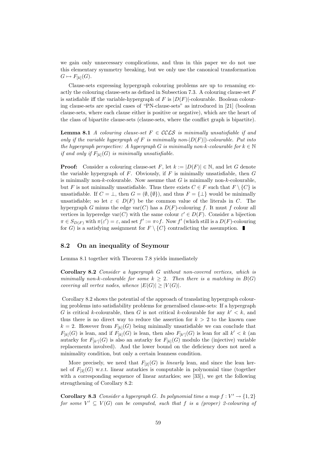we gain only unnecessary complications, and thus in this paper we do not use this elementary symmetry breaking, but we only use the canonical transformation  $G \mapsto F_{[k]}(G).$ 

Clause-sets expressing hypergraph colouring problems are up to renaming exactly the colouring clause-sets as defined in Subsection 7.3. A colouring clause-set  $F$ is satisfiable iff the variable-hypergraph of F is  $|D(F)|$ -colourable. Boolean colouring clause-sets are special cases of "PN-clause-sets" as introduced in [21] (boolean clause-sets, where each clause either is positive or negative), which are the heart of the class of bipartite clause-sets (clause-sets, where the conflict graph is bipartite).

**Lemma 8.1** A colouring clause-set  $F \in \mathcal{CCLS}$  is minimally unsatisfiable if and only if the variable hypergraph of F is minimally non- $|D(F)|$ )-colourable. Put into the hypergraph perspective: A hypergraph G is minimally non-k-colourable for  $k \in \mathbb{N}$ if and only if  $F_{[k]}(G)$  is minimally unsatisfiable.

**Proof:** Consider a colouring clause-set F, let  $k := |D(F)| \in \mathbb{N}$ , and let G denote the variable hypergraph of  $F$ . Obviously, if  $F$  is minimally unsatisfiable, then  $G$ is minimally non- $k$ -colourable. Now assume that  $G$  is minimally non- $k$ -colourable, but F is not minimally unsatisfiable. Thus there exists  $C \in F$  such that  $F \setminus \{C\}$  is unsatisfiable. If  $C = \bot$ , then  $G = (\emptyset, \{\emptyset\})$ , and thus  $F = {\bot}$  would be minimally unsatisfiable; so let  $\varepsilon \in D(F)$  be the common value of the literals in C. The hypergraph G minus the edge var $(C)$  has a  $D(F)$ -colouring f. It must f colour all vertices in hyperedge var $(C)$  with the same colour  $\varepsilon' \in D(F)$ . Consider a bijection  $\pi \in S_{D(F)}$  with  $\pi(\varepsilon') = \varepsilon$ , and set  $f' := \pi \circ f$ . Now  $f'$  (which still is a  $D(F)$ -colouring for G) is a satisfying assignment for  $F \setminus \{C\}$  contradicting the assumption.

#### 8.2 On an inequality of Seymour

Lemma 8.1 together with Theorem 7.8 yields immediately

Corollary 8.2 Consider a hypergraph G without non-covered vertices, which is minimally non-k-colourable for some  $k \geq 2$ . Then there is a matching in  $B(G)$ covering all vertex nodes, whence  $|E(G)| \geq |V(G)|$ .

Corollary 8.2 shows the potential of the approach of translating hypergraph colouring problems into satisfiability problems for generalised clause-sets: If a hypergraph G is critical k-colourable, then G is not critical k-colourable for any  $k' < k$ , and thus there is no direct way to reduce the assertion for  $k > 2$  to the known case  $k = 2$ . However from  $F_{[k]}(G)$  being minimally unsatisfiable we can conclude that  $F_{[k]}(G)$  is lean, and if  $F_{[k]}(G)$  is lean, then also  $F_{[k']}(G)$  is lean for all  $k' < k$  (and autarky for  $F_{[k]}(G)$  is also an autarky for  $F_{[k]}(G)$  modulo the (injective) variable replacements involved). And the lower bound on the deficiency does not need a minimality condition, but only a certain leanness condition.

More precisely, we need that  $F_{[2]}(G)$  is *linearly* lean, and since the lean kernel of  $F_{[2]}(G)$  w.r.t. linear autarkies is computable in polynomial time (together with a corresponding sequence of linear autarkies; see [33]), we get the following strengthening of Corollary 8.2:

**Corollary 8.3** Consider a hypergraph G. In polynomial time a map  $f: V' \to \{1,2\}$ for some  $V' \subseteq V(G)$  can be computed, such that f is a (proper) 2-colouring of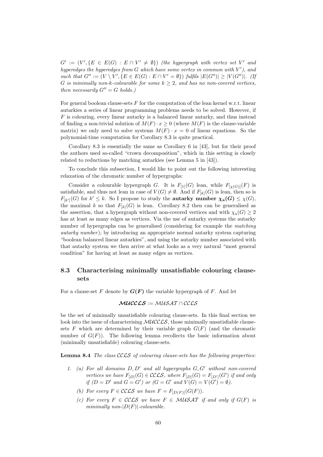$G' := (V', \{E \in E(G) : E \cap V' \neq \emptyset\})$  (the hypergraph with vertex set V' and hyperedges the hyperedges from  $G$  which have some vertex in common with  $V'$ ), and such that  $G'' := (V \setminus V', \{E \in E(G) : E \cap V' = \emptyset\})$  fulfils  $|E(G'')| \geq |V(G'')|$ . (If G is minimally non-k-colourable for some  $k \geq 2$ , and has no non-covered vertices, then necessarily  $G'' = G$  holds.)

For general boolean clause-sets  $F$  for the computation of the lean kernel w.r.t. linear autarkies a series of linear programming problems needs to be solved. However, if F is colouring, every linear autarky is a balanced linear autarky, and thus instead of finding a non-trivial solution of  $M(F) \cdot x \geq 0$  (where  $M(F)$  is the clause-variable matrix) we only need to solve systems  $M(F) \cdot x = 0$  of linear equations. So the polynomial-time computation for Corollary 8.3 is quite practical.

Corollary 8.3 is essentially the same as Corollary 6 in [43], but for their proof the authors used so-called "crown decomposition", which in this setting is closely related to reductions by matching autarkies (see Lemma 5 in [43]).

To conclude this subsection, I would like to point out the following interesting relaxation of the chromatic number of hypergraphs:

Consider a colourable hypergraph G. It is  $F_{[1]}(G)$  lean, while  $F_{[\chi(G)]}(F)$  is satisfiable, and thus not lean in case of  $V(G) \neq \emptyset$ . And if  $F_{[k]}(G)$  is lean, then so is  $F_{[k']}(G)$  for  $k' \leq k$ . So I propose to study the **autarky number**  $\chi_{\mathbf{a}}(G) \leq \chi(G)$ , the maximal k so that  $F_{[k]}(G)$  is lean. Corollary 8.2 then can be generalised as the assertion, that a hypergraph without non-covered vertices and with  $\chi_a(G) \geq 2$ has at least as many edges as vertices. Via the use of autarky systems the autarky number of hypergraphs can be generalised (considering for example the *matching* autarky number); by introducing an appropriate normal autarky system capturing "boolean balanced linear autarkies", and using the autarky number associated with that autarky system we then arrive at what looks as a very natural "most general condition" for having at least as many edges as vertices.

### 8.3 Characterising minimally unsatisfiable colouring clausesets

For a clause-set F denote by  $G(F)$  the variable hypergraph of F. And let

$$
\mathcal{MUCLSS}:=\mathcal{MUSAT}\cap\mathcal{CCLS}
$$

be the set of minimally unsatisfiable colouring clause-sets. In this final section we look into the issue of characterising  $\mathcal{MUCCLS}$ , those minimally unsatisfiable clausesets F which are determined by their variable graph  $G(F)$  (and the chromatic number of  $G(F)$ ). The following lemma recollects the basic information about (minimally unsatisfiable) colouring clause-sets.

Lemma 8.4 The class CCLS of colouring clause-sets has the following properties:

- 1. (a) For all domains  $D, D'$  and all hypergraphs  $G, G'$  without non-covered vertices we have  $F_{[D]}(G) \in \mathcal{C}\mathcal{C}\mathcal{L}\mathcal{S}$ , where  $F_{[D]}(G) = F_{[D']}(G')$  if and only if  $(D = D'$  and  $G = G'$  or  $(G = G'$  and  $V(G) = V(G') = \emptyset$ ).
	- (b) For every  $F \in \mathcal{CCLS}$  we have  $F = F_{[D(F)]}(G(F)).$
	- (c) For every  $F \in \mathcal{C}\mathcal{C}\mathcal{L}\mathcal{S}$  we have  $F \in \mathcal{M}\mathcal{U}\mathcal{S}\mathcal{A}\mathcal{T}$  if and only if  $G(F)$  is minimally non- $|D(F)|$ -colourable.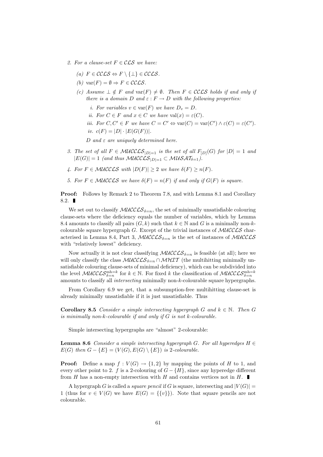- 2. For a clause-set  $F \in \mathcal{CLS}$  we have:
	- (a)  $F \in \mathcal{C}\mathcal{C}\mathcal{L}\mathcal{S} \Leftrightarrow F \setminus \{\perp\} \in \mathcal{C}\mathcal{C}\mathcal{L}\mathcal{S}.$
	- (b)  $var(F) = \emptyset \Rightarrow F \in \mathcal{C}\mathcal{C}\mathcal{L}\mathcal{S}.$
	- (c) Assume  $\bot \notin F$  and var $(F) \neq \emptyset$ . Then  $F \in \mathcal{CCLS}$  holds if and only if there is a domain D and  $\varepsilon$ :  $F \to D$  with the following properties:
		- i. For variables  $v \in \text{var}(F)$  we have  $D_v = D$ .
		- ii. For  $C \in F$  and  $x \in C$  we have  $val(x) = \varepsilon(C)$ .
		- *iii.* For  $C, C' \in F$  we have  $C = C' \Leftrightarrow \text{var}(C) = \text{var}(C') \wedge \varepsilon(C) = \varepsilon(C')$ .
		- iv.  $c(F) = |D| \cdot |E(G(F))|$ .

D and  $\varepsilon$  are uniquely determined here.

- 3. The set of all  $F \in MUCCCS_{|D|=1}$  is the set of all  $F_{|D|}(G)$  for  $|D| = 1$  and  $|E(G)| = 1$  (and thus MUCCLS<sub>|D|=1</sub>  $\subset$  MUSAT<sub> $\delta=1$ </sub>).
- 4. For  $F \in \mathcal{MUCLS}$  with  $|D(F)| \geq 2$  we have  $\delta(F) \geq n(F)$ .
- 5. For  $F \in \mathcal{MUCLS}$  we have  $\delta(F) = n(F)$  if and only if  $G(F)$  is square.

Proof: Follows by Remark 2 to Theorem 7.8, and with Lemma 8.1 and Corollary 8.2.

We set out to classify  $\mathcal{MUCLSS}_{\delta=n}$ , the set of minimally unsatisfiable colouring clause-sets where the deficiency equals the number of variables, which by Lemma 8.4 amounts to classify all pairs  $(G, k)$  such that  $k \in \mathbb{N}$  and G is a minimally non-kcolourable square hypergraph  $G$ . Except of the trivial instances of  $MUCCCS$  characterised in Lemma 8.4, Part 3, MUCCLS $_{\delta=n}$  is the set of instances of MUCCLS with "relatively lowest" deficiency.

Now actually it is not clear classifying  $\mathcal{MUCLS}_{\delta=n}$  is feasible (at all); here we will only classify the class  $\mathcal{MUCLSS}_{\delta=n} \cap \mathcal{MHT}$  (the multihitting minimally unsatisfiable colouring clause-sets of minimal deficiency), which can be subdivided into the level  $\mathcal{MUCCLS}_{\delta=n}^{\text{mh}=k}$  for  $k \in \mathbb{N}$ . For fixed k the classification of  $\mathcal{MUCCLS}_{\delta=n}^{\text{mh}=k}$ amounts to classify all intersecting minimally non-k-colourable square hypergraphs.

From Corollary 6.9 we get, that a subsumption-free multihitting clause-set is already minimally unsatisfiable if it is just unsatisfiable. Thus

**Corollary 8.5** Consider a simple intersecting hypergraph G and  $k \in \mathbb{N}$ . Then G is minimally non- $k$ -colourable if and only if  $G$  is not  $k$ -colourable.

Simple intersecting hypergraphs are "almost" 2-colourable:

**Lemma 8.6** Consider a simple intersecting hypergraph G. For all hyperedges  $H \in$  $E(G)$  then  $G - \{E\} = (V(G), E(G) \setminus \{E\})$  is 2-colourable.

**Proof:** Define a map  $f: V(G) \to \{1,2\}$  by mapping the points of H to 1, and every other point to 2. f is a 2-colouring of  $G - \{H\}$ , since any hyperedge different from  $H$  has a non-empty intersection with  $H$  and contains vertices not in  $H$ . П

A hypergraph G is called a *square pencil* if G is square, intersecting and  $|V(G)| =$ 1 (thus for  $v \in V(G)$  we have  $E(G) = \{\{v\}\}\)$ . Note that square pencils are not colourable.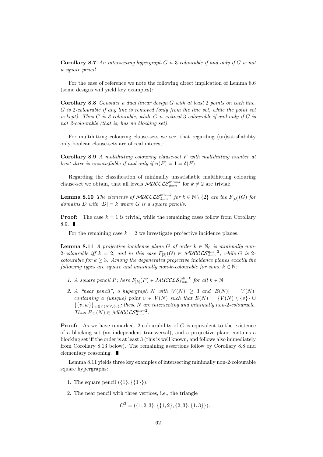**Corollary 8.7** An intersecting hypergraph  $G$  is 3-colourable if and only if  $G$  is not a square pencil.

For the ease of reference we note the following direct implication of Lemma 8.6 (some designs will yield key examples):

Corollary 8.8 Consider a dual linear design G with at least 2 points on each line. G is 2-colourable if any line is removed (only from the line set, while the point set is kept). Thus  $G$  is 3-colourable, while  $G$  is critical 3-colourable if and only if  $G$  is not 2-colourable (that is, has no blocking set).

For multihitting colouring clause-sets we see, that regarding (un)satisfiability only boolean clause-sets are of real interest:

Corollary 8.9 A multihitting colouring clause-set  $F$  with multihitting number at least three is unsatisfiable if and only if  $n(F) = 1 = \delta(F)$ .

Regarding the classification of minimally unsatisfiable multihitting colouring clause-set we obtain, that all levels  $\mathcal{MUCCLS}_{\delta=n}^{\text{mh}=k}$  for  $k \neq 2$  are trivial:

**Lemma 8.10** The elements of MUCCLS $_{\delta=n}^{\text{mh}=k}$  for  $k \in \mathbb{N} \setminus \{2\}$  are the  $F_{[D]}(G)$  for domains D with  $|D| = k$  where G is a square pencils.

**Proof:** The case  $k = 1$  is trivial, while the remaining cases follow from Corollary 8.9.  $\blacksquare$ 

For the remaining case  $k = 2$  we investigate projective incidence planes.

**Lemma 8.11** A projective incidence plane G of order  $k \in \mathbb{N}_0$  is minimally non-2-colourable iff  $k = 2$ , and in this case  $F_{[2]}(G) \in \mathcal{MUCLSS}_{\delta=n}^{m h=2}$ , while G is 2colourable for  $k \geq 3$ . Among the degenerated projective incidence planes exactly the following types are square and minimally non-k-colourable for some  $k \in \mathbb{N}$ :

- 1. A square pencil P; here  $F_{[k]}(P) \in \mathcal{MUCLSS}_{\delta=n}^{\text{mh}=k}$  for all  $k \in \mathbb{N}$ .
- 2. A "near pencil", a hypergraph N with  $|V(N)| \geq 3$  and  $|E(N)| = |V(N)|$ containing a (unique) point  $v \in V(N)$  such that  $E(N) = \{V(N) \setminus \{v\}\}\cup$  $\{\{v,w\}\}_{w\in V(N)\setminus\{v\}}$ ; these N are intersecting and minimally non-2-colourable. Thus  $F_{[2]}(N) \in \mathcal{MUCCLS}_{\delta=n}^{\text{mh}=2}$ .

**Proof:** As we have remarked, 2-colourability of  $G$  is equivalent to the existence of a blocking set (an independent transversal), and a projective plane contains a blocking set iff the order is at least 3 (this is well known, and follows also immediately from Corollary 8.13 below). The remaining assertions follow by Corollary 8.8 and elementary reasoning.

Lemma 8.11 yields three key examples of intersecting minimally non-2-colourable square hypergraphs:

- 1. The square pencil  $({1},({1})$ .
- 2. The near pencil with three vertices, i.e., the triangle

 $C^3 = (\{1, 2, 3\}, \{\{1, 2\}, \{2, 3\}, \{1, 3\}\}).$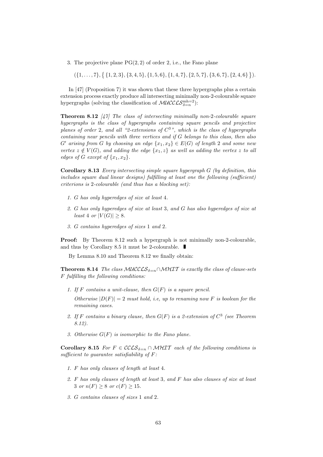3. The projective plane  $PG(2, 2)$  of order 2, i.e., the Fano plane

 $({1, ..., 7}, {1, 2, 3}, {3, 4, 5}, {1, 5, 6}, {1, 4, 7}, {2, 5, 7}, {3, 6, 7}, {2, 4, 6}$ }.

In [47] (Proposition 7) it was shown that these three hypergraphs plus a certain extension process exactly produce all intersecting minimally non-2-colourable square hypergraphs (solving the classification of  $\mathcal{MUCCLS}_{\delta=n}^{\text{mh}=2}$ ):

**Theorem 8.12** [47] The class of intersecting minimally non-2-colourable square hypergraphs is the class of hypergraphs containing square pencils and projective planes of order 2, and all "2-extensions of  $C^3$ ", which is the class of hypergraphs containing near pencils with three vertices and if G belongs to this class, then also  $G'$  arising from G by choosing an edge  $\{x_1, x_2\} \in E(G)$  of length 2 and some new vertex  $z \notin V(G)$ , and adding the edge  $\{x_1, z\}$  as well as adding the vertex z to all edges of G except of  $\{x_1, x_2\}$ .

**Corollary 8.13** Every intersecting simple square hypergraph  $G$  (by definition, this includes square dual linear designs) fulfilling at least one the following (sufficient) criterions is 2-colourable (and thus has a blocking set):

- 1. G has only hyperedges of size at least 4.
- 2. G has only hyperedges of size at least 3, and G has also hyperedges of size at least 4 or  $|V(G)| \geq 8$ .
- 3. G contains hyperedges of sizes 1 and 2.

Proof: By Theorem 8.12 such a hypergraph is not minimally non-2-colourable, and thus by Corollary 8.5 it must be 2-colourable.

By Lemma 8.10 and Theorem 8.12 we finally obtain:

**Theorem 8.14** The class MUCCLS<sub>δ=n</sub> ∩MHIT is exactly the class of clause-sets F fulfilling the following conditions:

1. If F contains a unit-clause, then  $G(F)$  is a square pencil.

Otherwise  $|D(F)| = 2$  must hold, i.e, up to renaming now F is boolean for the remaining cases.

- 2. If F contains a binary clause, then  $G(F)$  is a 2-extension of  $C^3$  (see Theorem 8.12).
- 3. Otherwise  $G(F)$  is isomorphic to the Fano plane.

Corollary 8.15 For  $F \in \mathcal{C}\mathcal{C}\mathcal{S}_{\delta=n} \cap \mathcal{M} \mathcal{H} \mathcal{I}$  each of the following conditions is sufficient to guarantee satisfiability of F:

- 1. F has only clauses of length at least 4.
- 2. F has only clauses of length at least 3, and F has also clauses of size at least 3 or  $n(F) \ge 8$  or  $c(F) \ge 15$ .
- 3. G contains clauses of sizes 1 and 2.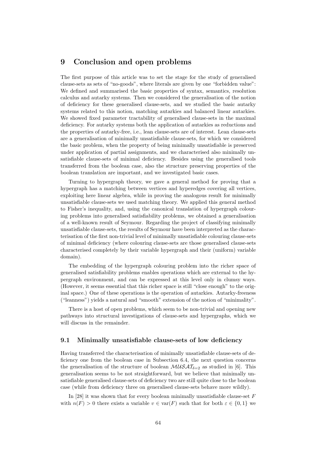## 9 Conclusion and open problems

The first purpose of this article was to set the stage for the study of generalised clause-sets as sets of "no-goods", where literals are given by one "forbidden value": We defined and summarised the basic properties of syntax, semantics, resolution calculus and autarky systems. Then we considered the generalisation of the notion of deficiency for these generalised clause-sets, and we studied the basic autarky systems related to this notion, matching autarkies and balanced linear autarkies. We showed fixed parameter tractability of generalised clause-sets in the maximal deficiency. For autarky systems both the application of autarkies as reductions and the properties of autarky-free, i.e., lean clause-sets are of interest. Lean clause-sets are a generalisation of minimally unsatisfiable clause-sets, for which we considered the basic problem, when the property of being minimally unsatisfiable is preserved under application of partial assignments, and we characterised also minimally unsatisfiable clause-sets of minimal deficiency. Besides using the generalised tools transferred from the boolean case, also the structure preserving properties of the boolean translation are important, and we investigated basic cases.

Turning to hypergraph theory, we gave a general method for proving that a hypergraph has a matching between vertices and hyperedges covering all vertices, exploiting here linear algebra, while in proving the analogous result for minimally unsatisfiable clause-sets we used matching theory. We applied this general method to Fisher's inequality, and, using the canonical translation of hypergraph colouring problems into generalised satisfiability problems, we obtained a generalisation of a well-known result of Seymour. Regarding the project of classifying minimally unsatisfiable clause-sets, the results of Seymour have been interpreted as the characterisation of the first non-trivial level of minimally unsatisfiable colouring clause-sets of minimal deficiency (where colouring clause-sets are those generalised clause-sets characterised completely by their variable hypergraph and their (uniform) variable domain).

The embedding of the hypergraph colouring problem into the richer space of generalised satisfiability problems enables operations which are external to the hypergraph environment, and can be expressed at this level only in clumsy ways. (However, it seems essential that this richer space is still "close enough" to the original space.) One of these operations is the operation of autarkies. Autarky-freeness ("leanness") yields a natural and "smooth" extension of the notion of "minimality".

There is a host of open problems, which seem to be non-trivial and opening new pathways into structural investigations of clause-sets and hypergraphs, which we will discuss in the remainder.

#### 9.1 Minimally unsatisfiable clause-sets of low deficiency

Having transferred the characterisation of minimally unsatisfiable clause-sets of deficiency one from the boolean case in Subsection 6.4, the next question concerns the generalisation of the structure of boolean  $\mathcal{M} \mathcal{U} \mathcal{A} \mathcal{I}_{\delta=2}$  as studied in [6]. This generalisation seems to be not straightforward, but we believe that minimally unsatisfiable generalised clause-sets of deficiency two are still quite close to the boolean case (while from deficiency three on generalised clause-sets behave more wildly).

In [28] it was shown that for every boolean minimally unsatisfiable clause-set  $F$ with  $n(F) > 0$  there exists a variable  $v \in \text{var}(F)$  such that for both  $\varepsilon \in \{0,1\}$  we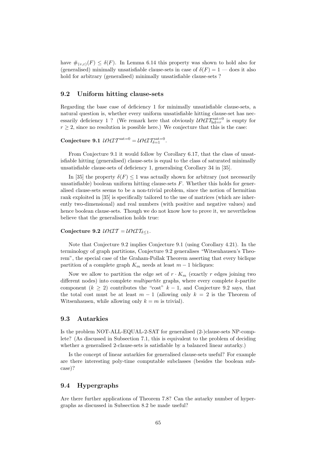have  $\#_{(v,\varepsilon)}(F) \leq \delta(F)$ . In Lemma 6.14 this property was shown to hold also for (generalised) minimally unsatisfiable clause-sets in case of  $\delta(F) = 1$  — does it also hold for arbitrary (generalised) minimally unsatisfiable clause-sets ?

#### 9.2 Uniform hitting clause-sets

Regarding the base case of deficiency 1 for minimally unsatisfiable clause-sets, a natural question is, whether every uniform unsatisfiable hitting clause-set has necessarily deficiency 1 ? (We remark here that obviously  $\mathcal{UHIT}_{\text{hd}=r}^{\text{sat}=0}$  is empty for  $r \geq 2$ , since no resolution is possible here.) We conjecture that this is the case:

## Conjecture 9.1  $\mathcal{UHIT}^{\text{sat}=0} = \mathcal{UHIT}_{\delta=1}^{\text{sat}=0}.$

From Conjecture 9.1 it would follow by Corollary 6.17, that the class of unsatisfiable hitting (generalised) clause-sets is equal to the class of saturated minimally unsatisfiable clause-sets of deficiency 1, generalising Corollary 34 in [35].

In [35] the property  $\delta(F) \leq 1$  was actually shown for arbitrary (not necessarily unsatisfiable) boolean uniform hitting clause-sets  $F$ . Whether this holds for generalised clause-sets seems to be a non-trivial problem, since the notion of hermitian rank exploited in [35] is specifically tailored to the use of matrices (which are inherently two-dimensional) and real numbers (with positive and negative values) and hence boolean clause-sets. Though we do not know how to prove it, we nevertheless believe that the generalisation holds true:

#### Conjecture 9.2  $UHIT = UHTT_{\delta \leq 1}$ .

Note that Conjecture 9.2 implies Conjecture 9.1 (using Corollary 4.21). In the terminology of graph partitions, Conjecture 9.2 generalises "Witsenhausen's Theorem", the special case of the Graham-Pollak Theorem asserting that every biclique partition of a complete graph  $K_m$  needs at least  $m-1$  bicliques:

Now we allow to partition the edge set of  $r \cdot K_m$  (exactly r edges joining two different nodes) into complete *multipartite* graphs, where every complete k-partite component  $(k \geq 2)$  contributes the "cost"  $k-1$ , and Conjecture 9.2 says, that the total cost must be at least  $m-1$  (allowing only  $k = 2$  is the Theorem of Witsenhausen, while allowing only  $k = m$  is trivial).

#### 9.3 Autarkies

Is the problem NOT-ALL-EQUAL-2-SAT for generalised (2-)clause-sets NP-complete? (As discussed in Subsection 7.1, this is equivalent to the problem of deciding whether a generalised 2-clause-sets is satisfiable by a balanced linear autarky.)

Is the concept of linear autarkies for generalised clause-sets useful? For example are there interesting poly-time computable subclasses (besides the boolean subcase)?

#### 9.4 Hypergraphs

Are there further applications of Theorem 7.8? Can the autarky number of hypergraphs as discussed in Subsection 8.2 be made useful?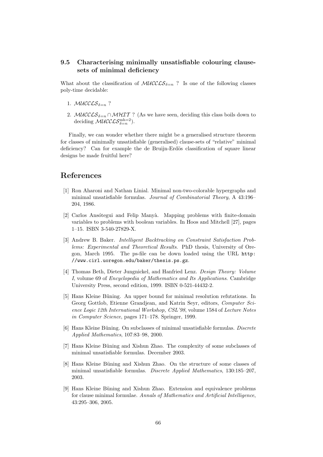## 9.5 Characterising minimally unsatisfiable colouring clausesets of minimal deficiency

What about the classification of  $\mathcal{MUCLSS}_{\delta=n}$ ? Is one of the following classes poly-time decidable:

- 1. MUCCL $S_{\delta=n}$  ?
- 2. MUCCLS $\delta_{\delta=n} \cap \mathcal{MHT}$  ? (As we have seen, deciding this class boils down to deciding  $\mathcal{MUCCLS}_{\delta=n}^{\text{mh}=2}$ ).

Finally, we can wonder whether there might be a generalised structure theorem for classes of minimally unsatisfiable (generalised) clause-sets of "relative" minimal deficiency? Can for example the de Bruijn-Erdös classification of square linear designs be made fruitful here?

## References

- [1] Ron Aharoni and Nathan Linial. Minimal non-two-colorable hypergraphs and minimal unsatisfiable formulas. Journal of Combinatorial Theory, A 43:196– 204, 1986.
- [2] Carlos Ansótegui and Felip Manyà. Mapping problems with finite-domain variables to problems with boolean variables. In Hoos and Mitchell [27], pages 1–15. ISBN 3-540-27829-X.
- [3] Andrew B. Baker. Intelligent Backtracking on Constraint Satisfaction Problems: Experimental and Theoretical Results. PhD thesis, University of Oregon, March 1995. The ps-file can be down loaded using the URL http: //www.cirl.uoregon.edu/baker/thesis.ps.gz.
- [4] Thomas Beth, Dieter Jungnickel, and Hanfried Lenz. Design Theory: Volume I, volume 69 of Encyclopedia of Mathematics and Its Applications. Cambridge University Press, second edition, 1999. ISBN 0-521-44432-2.
- [5] Hans Kleine Büning. An upper bound for minimal resolution refutations. In Georg Gottlob, Etienne Grandjean, and Katrin Seyr, editors, Computer Science Logic 12th International Workshop, CSL'98, volume 1584 of Lecture Notes in Computer Science, pages 171–178. Springer, 1999.
- $[6]$  Hans Kleine Büning. On subclasses of minimal unsatisfiable formulas. Discrete Applied Mathematics, 107:83–98, 2000.
- [7] Hans Kleine Büning and Xishun Zhao. The complexity of some subclasses of minimal unsatisfiable formulas. December 2003.
- [8] Hans Kleine Büning and Xishun Zhao. On the structure of some classes of minimal unsatisfiable formulas. Discrete Applied Mathematics, 130:185–207, 2003.
- [9] Hans Kleine Büning and Xishun Zhao. Extension and equivalence problems for clause minimal formulae. Annals of Mathematics and Artificial Intelligence, 43:295–306, 2005.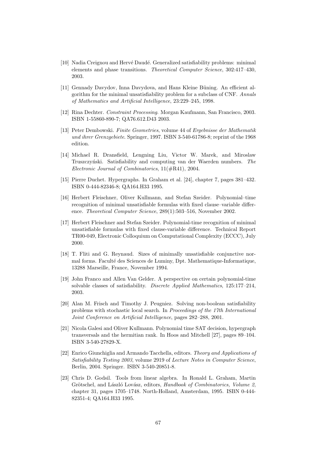- [10] Nadia Creignou and Hervé Daudé. Generalized satisfiability problems: minimal elements and phase transitions. Theoretical Computer Science, 302:417–430, 2003.
- [11] Gennady Davydov, Inna Davydova, and Hans Kleine Büning. An efficient algorithm for the minimal unsatisfiability problem for a subclass of CNF. Annals of Mathematics and Artificial Intelligence, 23:229–245, 1998.
- [12] Rina Dechter. Constraint Processing. Morgan Kaufmann, San Francisco, 2003. ISBN 1-55860-890-7; QA76.612.D43 2003.
- [13] Peter Dembowski. Finite Geometries, volume 44 of Ergebnisse der Mathematik und ihrer Grenzgebiete. Springer, 1997. ISBN 3-540-61786-8; reprint of the 1968 edition.
- [14] Michael R. Dransfield, Lengning Liu, Victor W. Marek, and Miroslaw Truszczyński. Satisfiability and computing van der Waerden numbers. The Electronic Journal of Combinatorics, 11(#R41), 2004.
- [15] Pierre Duchet. Hypergraphs. In Graham et al. [24], chapter 7, pages 381–432. ISBN 0-444-82346-8; QA164.H33 1995.
- [16] Herbert Fleischner, Oliver Kullmann, and Stefan Szeider. Polynomial–time recognition of minimal unsatisfiable formulas with fixed clause–variable difference. Theoretical Computer Science, 289(1):503–516, November 2002.
- [17] Herbert Fleischner and Stefan Szeider. Polynomial-time recognition of minimal unsatisfiable formulas with fixed clause-variable difference. Technical Report TR00-049, Electronic Colloquium on Computational Complexity (ECCC), July 2000.
- [18] T. Fliti and G. Reynaud. Sizes of minimally unsatisfiable conjunctive normal forms. Faculté des Sciences de Luminy, Dpt. Mathematique-Informatique, 13288 Marseille, France, November 1994.
- [19] John Franco and Allen Van Gelder. A perspective on certain polynomial-time solvable classes of satisfiability. Discrete Applied Mathematics, 125:177–214, 2003.
- [20] Alan M. Frisch and Timothy J. Peugniez. Solving non-boolean satisfiability problems with stochastic local search. In Proceedings of the 17th International Joint Conference on Artificial Intelligence, pages 282–288, 2001.
- [21] Nicola Galesi and Oliver Kullmann. Polynomial time SAT decision, hypergraph transversals and the hermitian rank. In Hoos and Mitchell [27], pages 89–104. ISBN 3-540-27829-X.
- [22] Enrico Giunchiglia and Armando Tacchella, editors. Theory and Applications of Satisfiability Testing 2003, volume 2919 of Lecture Notes in Computer Science, Berlin, 2004. Springer. ISBN 3-540-20851-8.
- [23] Chris D. Godsil. Tools from linear algebra. In Ronald L. Graham, Martin Grötschel, and László Lovász, editors, Handbook of Combinatorics, Volume 2, chapter 31, pages 1705–1748. North-Holland, Amsterdam, 1995. ISBN 0-444- 82351-4; QA164.H33 1995.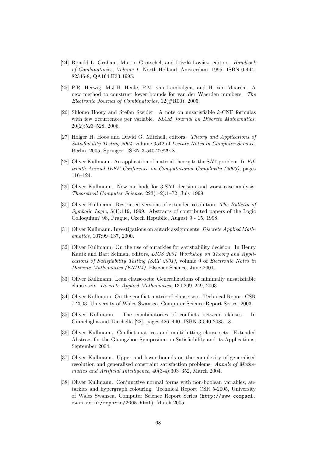- [24] Ronald L. Graham, Martin Grötschel, and László Lovász, editors. Handbook of Combinatorics, Volume 1. North-Holland, Amsterdam, 1995. ISBN 0-444- 82346-8; QA164.H33 1995.
- [25] P.R. Herwig, M.J.H. Heule, P.M. van Lambalgen, and H. van Maaren. A new method to construct lower bounds for van der Waerden numbers. The Electronic Journal of Combinatorics, 12(#R00), 2005.
- [26] Shlomo Hoory and Stefan Szeider. A note on unsatisfiable k-CNF formulas with few occurrences per variable. SIAM Journal on Discrete Mathematics, 20(2):523–528, 2006.
- [27] Holger H. Hoos and David G. Mitchell, editors. Theory and Applications of Satisfiability Testing 2004, volume 3542 of Lecture Notes in Computer Science, Berlin, 2005. Springer. ISBN 3-540-27829-X.
- [28] Oliver Kullmann. An application of matroid theory to the SAT problem. In Fifteenth Annual IEEE Conference on Computational Complexity (2003), pages 116–124.
- [29] Oliver Kullmann. New methods for 3-SAT decision and worst-case analysis. Theoretical Computer Science, 223(1-2):1–72, July 1999.
- [30] Oliver Kullmann. Restricted versions of extended resolution. The Bulletin of Symbolic Logic, 5(1):119, 1999. Abstracts of contributed papers of the Logic Colloquium' 98, Prague, Czech Republic, August 9 - 15, 1998.
- [31] Oliver Kullmann. Investigations on autark assignments. Discrete Applied Mathematics, 107:99–137, 2000.
- [32] Oliver Kullmann. On the use of autarkies for satisfiability decision. In Henry Kautz and Bart Selman, editors, LICS 2001 Workshop on Theory and Applications of Satisfiability Testing (SAT 2001), volume 9 of Electronic Notes in Discrete Mathematics (ENDM). Elsevier Science, June 2001.
- [33] Oliver Kullmann. Lean clause-sets: Generalizations of minimally unsatisfiable clause-sets. Discrete Applied Mathematics, 130:209–249, 2003.
- [34] Oliver Kullmann. On the conflict matrix of clause-sets. Technical Report CSR 7-2003, University of Wales Swansea, Computer Science Report Series, 2003.
- [35] Oliver Kullmann. The combinatorics of conflicts between clauses. In Giunchiglia and Tacchella [22], pages 426–440. ISBN 3-540-20851-8.
- [36] Oliver Kullmann. Conflict matrices and multi-hitting clause-sets. Extended Abstract for the Guangzhou Symposium on Satisfiability and its Applications, September 2004.
- [37] Oliver Kullmann. Upper and lower bounds on the complexity of generalised resolution and generalised constraint satisfaction problems. Annals of Mathematics and Artificial Intelligence, 40(3-4):303–352, March 2004.
- [38] Oliver Kullmann. Conjunctive normal forms with non-boolean variables, autarkies and hypergraph colouring. Technical Report CSR 5-2005, University of Wales Swansea, Computer Science Report Series (http://www-compsci. swan.ac.uk/reports/2005.html), March 2005.